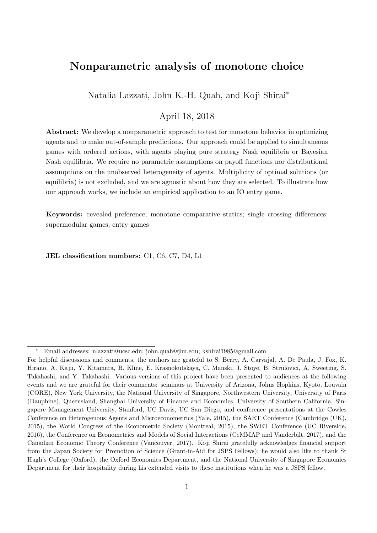# Nonparametric analysis of monotone choice

Natalia Lazzati, John K.-H. Quah, and Koji Shirai<sup>∗</sup>

## April 18, 2018

Abstract: We develop a nonparametric approach to test for monotone behavior in optimizing agents and to make out-of-sample predictions. Our approach could be applied to simultaneous games with ordered actions, with agents playing pure strategy Nash equilibria or Bayesian Nash equilibria. We require no parametric assumptions on payoff functions nor distributional assumptions on the unobserved heterogeneity of agents. Multiplicity of optimal solutions (or equilibria) is not excluded, and we are agnostic about how they are selected. To illustrate how our approach works, we include an empirical application to an IO entry game.

Keywords: revealed preference; monotone comparative statics; single crossing differences; supermodular games; entry games

JEL classification numbers: C1, C6, C7, D4, L1

<sup>∗</sup> Email addresses: nlazzati@ucsc.edu; john.quah@jhu.edu; kshirai1985@gmail.com

For helpful discussions and comments, the authors are grateful to S. Berry, A. Carvajal, A. De Paula, J. Fox, K. Hirano, A. Kajii, Y. Kitamura, B. Kline, E. Krasnokutskaya, C. Manski, J. Stoye, B. Strulovici, A. Sweeting, S. Takahashi, and Y. Takahashi. Various versions of this project have been presented to audiences at the following events and we are grateful for their comments: seminars at University of Arizona, Johns Hopkins, Kyoto, Louvain (CORE), New York University, the National University of Singapore, Northwestern University, University of Paris (Dauphine), Queensland, Shanghai University of Finance and Economics, University of Southern California, Singapore Management University, Stanford, UC Davis, UC San Diego, and conference presentations at the Cowles Conference on Heterogenous Agents and Microeconometrics (Yale, 2015), the SAET Conference (Cambridge (UK), 2015), the World Congress of the Econometric Society (Montreal, 2015), the SWET Conference (UC Riverside, 2016), the Conference on Econometrics and Models of Social Interactions (CeMMAP and Vanderbilt, 2017), and the Canadian Economic Theory Conference (Vancouver, 2017). Koji Shirai gratefully acknowledges financial support from the Japan Society for Promotion of Science (Grant-in-Aid for JSPS Fellows); he would also like to thank St Hugh's College (Oxford), the Oxford Economics Department, and the National University of Singapore Economics Department for their hospitality during his extended visits to these institutions when he was a JSPS fellow.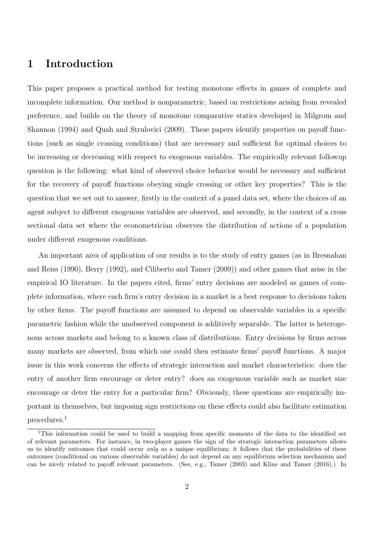# 1 Introduction

This paper proposes a practical method for testing monotone effects in games of complete and incomplete information. Our method is nonparametric, based on restrictions arising from revealed preference, and builds on the theory of monotone comparative statics developed in Milgrom and Shannon (1994) and Quah and Strulovici (2009). These papers identify properties on payoff functions (such as single crossing conditions) that are necessary and sufficient for optimal choices to be increasing or decreasing with respect to exogenous variables. The empirically relevant followup question is the following: what kind of observed choice behavior would be necessary and sufficient for the recovery of payoff functions obeying single crossing or other key properties? This is the question that we set out to answer, firstly in the context of a panel data set, where the choices of an agent subject to different exogenous variables are observed, and secondly, in the context of a cross sectional data set where the econometrician observes the distribution of actions of a population under different exogenous conditions.

An important area of application of our results is to the study of entry games (as in Bresnahan and Reiss (1990), Berry (1992), and Ciliberto and Tamer (2009)) and other games that arise in the empirical IO literature. In the papers cited, firms' entry decisions are modeled as games of complete information, where each firm's entry decision in a market is a best response to decisions taken by other firms. The payoff functions are assumed to depend on observable variables in a specific parametric fashion while the unobserved component is additively separable. The latter is heterogenous across markets and belong to a known class of distributions. Entry decisions by firms across many markets are observed, from which one could then estimate firms' payoff functions. A major issue in this work concerns the effects of strategic interaction and market characteristics: does the entry of another firm encourage or deter entry? does an exogenous variable such as market size encourage or deter the entry for a particular firm? Obviously, these questions are empirically important in themselves, but imposing sign restrictions on these effects could also facilitate estimation procedures.<sup>1</sup>

<sup>&</sup>lt;sup>1</sup>This information could be used to build a mapping from specific moments of the data to the identified set of relevant parameters. For instance, in two-player games the sign of the strategic interaction parameters allows us to identify outcomes that could occur *only as* a unique equilibrium; it follows that the probabilities of these outcomes (conditional on various observable variables) do not depend on any equilibrium selection mechanism and can be nicely related to payoff relevant parameters. (See, e.g., Tamer (2003) and Kline and Tamer (2016).) In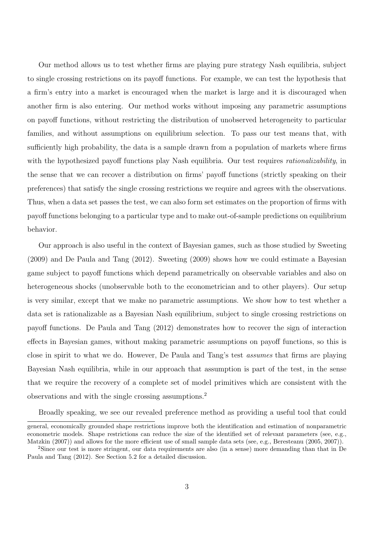Our method allows us to test whether firms are playing pure strategy Nash equilibria, subject to single crossing restrictions on its payoff functions. For example, we can test the hypothesis that a firm's entry into a market is encouraged when the market is large and it is discouraged when another firm is also entering. Our method works without imposing any parametric assumptions on payoff functions, without restricting the distribution of unobserved heterogeneity to particular families, and without assumptions on equilibrium selection. To pass our test means that, with sufficiently high probability, the data is a sample drawn from a population of markets where firms with the hypothesized payoff functions play Nash equilibria. Our test requires *rationalizability*, in the sense that we can recover a distribution on firms' payoff functions (strictly speaking on their preferences) that satisfy the single crossing restrictions we require and agrees with the observations. Thus, when a data set passes the test, we can also form set estimates on the proportion of firms with payoff functions belonging to a particular type and to make out-of-sample predictions on equilibrium behavior.

Our approach is also useful in the context of Bayesian games, such as those studied by Sweeting (2009) and De Paula and Tang (2012). Sweeting (2009) shows how we could estimate a Bayesian game subject to payoff functions which depend parametrically on observable variables and also on heterogeneous shocks (unobservable both to the econometrician and to other players). Our setup is very similar, except that we make no parametric assumptions. We show how to test whether a data set is rationalizable as a Bayesian Nash equilibrium, subject to single crossing restrictions on payoff functions. De Paula and Tang (2012) demonstrates how to recover the sign of interaction effects in Bayesian games, without making parametric assumptions on payoff functions, so this is close in spirit to what we do. However, De Paula and Tang's test assumes that firms are playing Bayesian Nash equilibria, while in our approach that assumption is part of the test, in the sense that we require the recovery of a complete set of model primitives which are consistent with the observations and with the single crossing assumptions.<sup>2</sup>

Broadly speaking, we see our revealed preference method as providing a useful tool that could

general, economically grounded shape restrictions improve both the identification and estimation of nonparametric econometric models. Shape restrictions can reduce the size of the identified set of relevant parameters (see, e.g., Matzkin (2007)) and allows for the more efficient use of small sample data sets (see, e.g., Beresteanu (2005, 2007)).

<sup>2</sup>Since our test is more stringent, our data requirements are also (in a sense) more demanding than that in De Paula and Tang (2012). See Section 5.2 for a detailed discussion.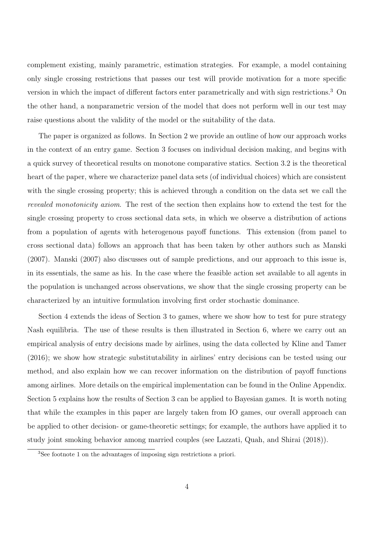complement existing, mainly parametric, estimation strategies. For example, a model containing only single crossing restrictions that passes our test will provide motivation for a more specific version in which the impact of different factors enter parametrically and with sign restrictions.<sup>3</sup> On the other hand, a nonparametric version of the model that does not perform well in our test may raise questions about the validity of the model or the suitability of the data.

The paper is organized as follows. In Section 2 we provide an outline of how our approach works in the context of an entry game. Section 3 focuses on individual decision making, and begins with a quick survey of theoretical results on monotone comparative statics. Section 3.2 is the theoretical heart of the paper, where we characterize panel data sets (of individual choices) which are consistent with the single crossing property; this is achieved through a condition on the data set we call the revealed monotonicity axiom. The rest of the section then explains how to extend the test for the single crossing property to cross sectional data sets, in which we observe a distribution of actions from a population of agents with heterogenous payoff functions. This extension (from panel to cross sectional data) follows an approach that has been taken by other authors such as Manski (2007). Manski (2007) also discusses out of sample predictions, and our approach to this issue is, in its essentials, the same as his. In the case where the feasible action set available to all agents in the population is unchanged across observations, we show that the single crossing property can be characterized by an intuitive formulation involving first order stochastic dominance.

Section 4 extends the ideas of Section 3 to games, where we show how to test for pure strategy Nash equilibria. The use of these results is then illustrated in Section 6, where we carry out an empirical analysis of entry decisions made by airlines, using the data collected by Kline and Tamer (2016); we show how strategic substitutability in airlines' entry decisions can be tested using our method, and also explain how we can recover information on the distribution of payoff functions among airlines. More details on the empirical implementation can be found in the Online Appendix. Section 5 explains how the results of Section 3 can be applied to Bayesian games. It is worth noting that while the examples in this paper are largely taken from IO games, our overall approach can be applied to other decision- or game-theoretic settings; for example, the authors have applied it to study joint smoking behavior among married couples (see Lazzati, Quah, and Shirai (2018)).

<sup>3</sup>See footnote 1 on the advantages of imposing sign restrictions a priori.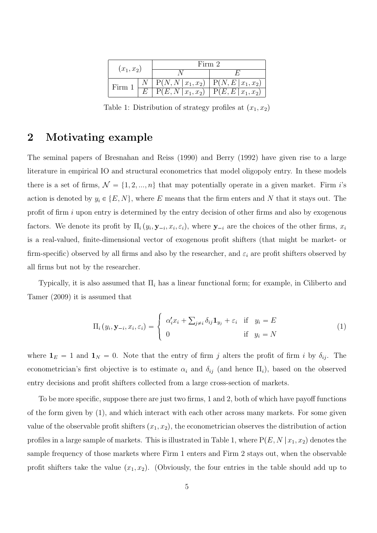| $(x_1, x_2)$ | Firm 2                                                         |  |
|--------------|----------------------------------------------------------------|--|
|              |                                                                |  |
| Firm         | $\mathbb{P}(N, N   x_1, x_2) \mid \mathbb{P}(N, E   x_1, x_2)$ |  |
|              | $\overline{P(E,N x_1,x_2)}$   $P(E,E x_1,x_2)$                 |  |

Table 1: Distribution of strategy profiles at  $(x_1, x_2)$ 

# 2 Motivating example

The seminal papers of Bresnahan and Reiss (1990) and Berry (1992) have given rise to a large literature in empirical IO and structural econometrics that model oligopoly entry. In these models there is a set of firms,  $\mathcal{N} = \{1, 2, ..., n\}$  that may potentially operate in a given market. Firm i's action is denoted by  $y_i \in \{E, N\}$ , where E means that the firm enters and N that it stays out. The profit of firm  $i$  upon entry is determined by the entry decision of other firms and also by exogenous factors. We denote its profit by  $\Pi_i(y_i, \mathbf{y}_{-i}, x_i, \varepsilon_i)$ , where  $\mathbf{y}_{-i}$  are the choices of the other firms,  $x_i$ is a real-valued, finite-dimensional vector of exogenous profit shifters (that might be market- or firm-specific) observed by all firms and also by the researcher, and  $\varepsilon_i$  are profit shifters observed by all firms but not by the researcher.

Typically, it is also assumed that  $\Pi_i$  has a linear functional form; for example, in Ciliberto and Tamer (2009) it is assumed that

$$
\Pi_i(y_i, \mathbf{y}_{-i}, x_i, \varepsilon_i) = \begin{cases} \alpha'_i x_i + \sum_{j \neq i} \delta_{ij} \mathbf{1}_{y_j} + \varepsilon_i & \text{if } y_i = E \\ 0 & \text{if } y_i = N \end{cases}
$$
\n(1)

where  $\mathbf{1}_E = 1$  and  $\mathbf{1}_N = 0$ . Note that the entry of firm j alters the profit of firm i by  $\delta_{ij}$ . The econometrician's first objective is to estimate  $\alpha_i$  and  $\delta_{ij}$  (and hence  $\Pi_i$ ), based on the observed entry decisions and profit shifters collected from a large cross-section of markets.

To be more specific, suppose there are just two firms, 1 and 2, both of which have payoff functions of the form given by (1), and which interact with each other across many markets. For some given value of the observable profit shifters  $(x_1, x_2)$ , the econometrician observes the distribution of action profiles in a large sample of markets. This is illustrated in Table 1, where  $P(E, N | x_1, x_2)$  denotes the sample frequency of those markets where Firm 1 enters and Firm 2 stays out, when the observable profit shifters take the value  $(x_1, x_2)$ . (Obviously, the four entries in the table should add up to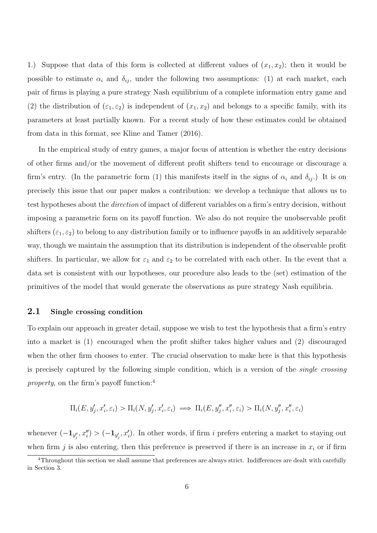1.) Suppose that data of this form is collected at different values of  $(x_1, x_2)$ ; then it would be possible to estimate  $\alpha_i$  and  $\delta_{ij}$ , under the following two assumptions: (1) at each market, each pair of firms is playing a pure strategy Nash equilibrium of a complete information entry game and (2) the distribution of  $(\varepsilon_1, \varepsilon_2)$  is independent of  $(x_1, x_2)$  and belongs to a specific family, with its parameters at least partially known. For a recent study of how these estimates could be obtained from data in this format, see Kline and Tamer (2016).

In the empirical study of entry games, a major focus of attention is whether the entry decisions of other firms and/or the movement of different profit shifters tend to encourage or discourage a firm's entry. (In the parametric form (1) this manifests itself in the signs of  $\alpha_i$  and  $\delta_{ij}$ .) It is on precisely this issue that our paper makes a contribution: we develop a technique that allows us to test hypotheses about the direction of impact of different variables on a firm's entry decision, without imposing a parametric form on its payoff function. We also do not require the unobservable profit shifters  $(\varepsilon_1, \varepsilon_2)$  to belong to any distribution family or to influence payoffs in an additively separable way, though we maintain the assumption that its distribution is independent of the observable profit shifters. In particular, we allow for  $\varepsilon_1$  and  $\varepsilon_2$  to be correlated with each other. In the event that a data set is consistent with our hypotheses, our procedure also leads to the (set) estimation of the primitives of the model that would generate the observations as pure strategy Nash equilibria.

## 2.1 Single crossing condition

To explain our approach in greater detail, suppose we wish to test the hypothesis that a firm's entry into a market is (1) encouraged when the profit shifter takes higher values and (2) discouraged when the other firm chooses to enter. The crucial observation to make here is that this hypothesis is precisely captured by the following simple condition, which is a version of the single crossing property, on the firm's payoff function:<sup>4</sup>

$$
\Pi_i(E, y'_j, x'_i, \varepsilon_i) > \Pi_i(N, y'_j, x'_i, \varepsilon_i) \implies \Pi_i(E, y''_j, x''_i, \varepsilon_i) > \Pi_i(N, y''_j, x''_i, \varepsilon_i)
$$

whenever  $(-1_{y''_j}, x''_i) > (-1_{y'_j}, x'_i)$ . In other words, if firm i prefers entering a market to staying out when firm j is also entering, then this preference is preserved if there is an increase in  $x_i$  or if firm

 $4$ Throughout this section we shall assume that preferences are always strict. Indifferences are dealt with carefully in Section 3.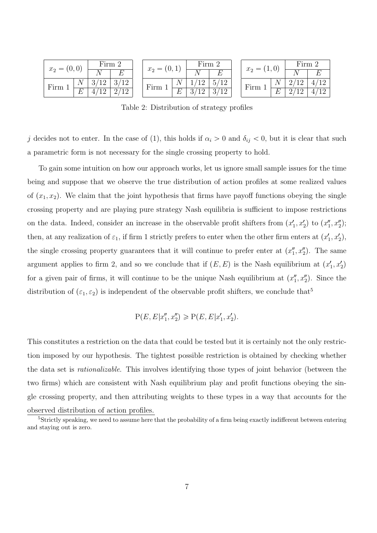| $x_2 = (0,0)$ |   | Firm 2  |                           | $x_2=(0,1)$ |   | Firm 2       |      | $x_2 = (1,0)$ |   | Firm 2 |     |
|---------------|---|---------|---------------------------|-------------|---|--------------|------|---------------|---|--------|-----|
|               |   |         | F.                        |             |   |              |      |               |   |        |     |
| Firm          |   | $\perp$ | $12\,$<br>$\mathcal{Q}$ / | Firm        |   | $1^{\Omega}$ | 5/12 | Firm          |   | ↵      | 19. |
|               | E |         | 12                        |             | L | റ            | 2/10 |               | E |        |     |

Table 2: Distribution of strategy profiles

j decides not to enter. In the case of (1), this holds if  $\alpha_i > 0$  and  $\delta_{ij} < 0$ , but it is clear that such a parametric form is not necessary for the single crossing property to hold.

To gain some intuition on how our approach works, let us ignore small sample issues for the time being and suppose that we observe the true distribution of action profiles at some realized values of  $(x_1, x_2)$ . We claim that the joint hypothesis that firms have payoff functions obeying the single crossing property and are playing pure strategy Nash equilibria is sufficient to impose restrictions on the data. Indeed, consider an increase in the observable profit shifters from  $(x'_1, x'_2)$  to  $(x''_1, x''_2)$ ; then, at any realization of  $\varepsilon_1$ , if firm 1 strictly prefers to enter when the other firm enters at  $(x'_1, x'_2)$ , the single crossing property guarantees that it will continue to prefer enter at  $(x_1'', x_2'')$ . The same argument applies to firm 2, and so we conclude that if  $(E, E)$  is the Nash equilibrium at  $(x'_1, x'_2)$ for a given pair of firms, it will continue to be the unique Nash equilibrium at  $(x_1'', x_2'')$ . Since the distribution of  $(\varepsilon_1, \varepsilon_2)$  is independent of the observable profit shifters, we conclude that<sup>5</sup>

$$
P(E, E|x_1'', x_2'') \ge P(E, E|x_1', x_2').
$$

This constitutes a restriction on the data that could be tested but it is certainly not the only restriction imposed by our hypothesis. The tightest possible restriction is obtained by checking whether the data set is rationalizable. This involves identifying those types of joint behavior (between the two firms) which are consistent with Nash equilibrium play and profit functions obeying the single crossing property, and then attributing weights to these types in a way that accounts for the observed distribution of action profiles.

<sup>&</sup>lt;sup>5</sup>Strictly speaking, we need to assume here that the probability of a firm being exactly indifferent between entering and staying out is zero.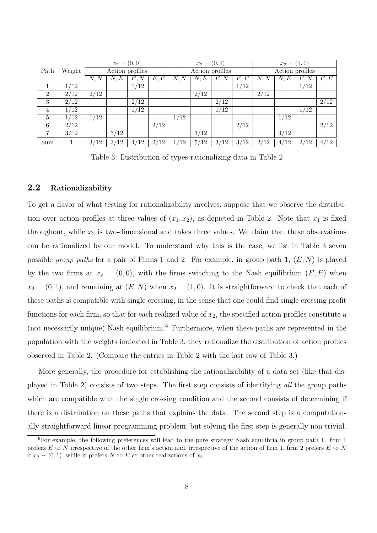|                |                     | $x_2 = (0,0)$       |                   |                     |      |               | $x_2 = (0,1)$     |                 |               | $x_2 = (1,0)$ |                   |      |                   |
|----------------|---------------------|---------------------|-------------------|---------------------|------|---------------|-------------------|-----------------|---------------|---------------|-------------------|------|-------------------|
| Path           | Weight              |                     | Action profiles   |                     |      |               |                   | Action profiles |               |               | Action profiles   |      |                   |
|                |                     | $\overline{N}$ , N  | N,E               | E, N                | E, E | N, N          | N, E              | E, N            | E, E          | N, N          | N,E               | E, N | E, E              |
|                | $^{\prime}12$<br>1/ |                     |                   | 1/12                |      |               |                   |                 | 1/12          |               |                   | 1/12 |                   |
| $\overline{2}$ | 2/12                | 2/12                |                   |                     |      |               | 2/12              |                 |               | 2/12          |                   |      |                   |
| 3              | 2/12                |                     |                   | 2/12                |      |               |                   | 2/12            |               |               |                   |      | $\sqrt{2/12}$     |
| 4              | 1/12                |                     |                   | 1/12                |      |               |                   | $\frac{1}{12}$  |               |               |                   | 1/12 |                   |
| $\,$ 5 $\,$    | $^{\prime}12$       | $^{\prime}12$       |                   |                     |      | $^{\prime}12$ |                   |                 |               |               | 1/12              |      |                   |
| 6              | 2/12                |                     |                   |                     | 2/12 |               |                   |                 | $\sqrt{2/12}$ |               |                   |      | $2/\overline{12}$ |
| 7              | $\overline{3/12}$   |                     | $\overline{3/12}$ |                     |      |               | $\overline{3/12}$ |                 |               |               | $\overline{3/12}$ |      |                   |
| Sum            |                     | 3/<br>$^{\prime}12$ | 3/12              | $^{\prime}12$<br>4/ | 2/12 | 12            | 5/12              | 3/12            | 3/12          | 2/12          | 4/12              | 2/12 | 4/12              |

Table 3: Distribution of types rationalizing data in Table 2

## 2.2 Rationalizability

To get a flavor of what testing for rationalizability involves, suppose that we observe the distribution over action profiles at three values of  $(x_1, x_2)$ , as depicted in Table 2. Note that  $x_1$  is fixed throughout, while  $x_2$  is two-dimensional and takes three values. We claim that these observations can be rationalized by our model. To understand why this is the case, we list in Table 3 seven possible group paths for a pair of Firms 1 and 2. For example, in group path 1,  $(E, N)$  is played by the two firms at  $x_2 = (0, 0)$ , with the firms switching to the Nash equilibrium  $(E, E)$  when  $x_2 = (0, 1)$ , and remaining at  $(E, N)$  when  $x_2 = (1, 0)$ . It is straightforward to check that each of these paths is compatible with single crossing, in the sense that one could find single crossing profit functions for each firm, so that for each realized value of  $x_2$ , the specified action profiles constitute a (not necessarily unique) Nash equilibrium.<sup>6</sup> Furthermore, when these paths are represented in the population with the weights indicated in Table 3, they rationalize the distribution of action profiles observed in Table 2. (Compare the entries in Table 2 with the last row of Table 3.)

More generally, the procedure for establishing the rationalizability of a data set (like that displayed in Table 2) consists of two steps. The first step consists of identifying all the group paths which are compatible with the single crossing condition and the second consists of determining if there is a distribution on these paths that explains the data. The second step is a computationally straightforward linear programming problem, but solving the first step is generally non-trivial.

<sup>6</sup>For example, the following preferences will lead to the pure strategy Nash equilibria in group path 1: firm 1 prefers  $E$  to  $N$  irrespective of the other firm's action and, irrespective of the action of firm 1, firm 2 prefers  $E$  to  $N$ if  $x_2 = (0, 1)$ , while it prefers N to E at other realizations of  $x_2$ .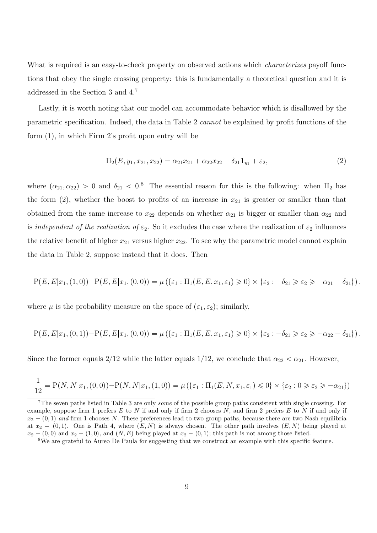What is required is an easy-to-check property on observed actions which *characterizes* payoff functions that obey the single crossing property: this is fundamentally a theoretical question and it is addressed in the Section 3 and 4.<sup>7</sup>

Lastly, it is worth noting that our model can accommodate behavior which is disallowed by the parametric specification. Indeed, the data in Table 2 cannot be explained by profit functions of the form (1), in which Firm 2's profit upon entry will be

$$
\Pi_2(E, y_1, x_{21}, x_{22}) = \alpha_{21} x_{21} + \alpha_{22} x_{22} + \delta_{21} \mathbf{1}_{y_1} + \varepsilon_2,\tag{2}
$$

where  $(\alpha_{21}, \alpha_{22}) > 0$  and  $\delta_{21} < 0$ .<sup>8</sup> The essential reason for this is the following: when  $\Pi_2$  has the form  $(2)$ , whether the boost to profits of an increase in  $x_{21}$  is greater or smaller than that obtained from the same increase to  $x_{22}$  depends on whether  $\alpha_{21}$  is bigger or smaller than  $\alpha_{22}$  and is independent of the realization of  $\varepsilon_2$ . So it excludes the case where the realization of  $\varepsilon_2$  influences the relative benefit of higher  $x_{21}$  versus higher  $x_{22}$ . To see why the parametric model cannot explain the data in Table 2, suppose instead that it does. Then

$$
P(E, E|x_1, (1,0)) - P(E, E|x_1, (0,0)) = \mu(\{\varepsilon_1 : \Pi_1(E, E, x_1, \varepsilon_1) \ge 0\} \times \{\varepsilon_2 : -\delta_{21} \ge \varepsilon_2 \ge -\alpha_{21} - \delta_{21}\}),
$$

where  $\mu$  is the probability measure on the space of  $(\varepsilon_1, \varepsilon_2)$ ; similarly,

$$
P(E, E|x_1, (0, 1)) - P(E, E|x_1, (0, 0)) = \mu (\{\varepsilon_1 : \Pi_1(E, E, x_1, \varepsilon_1) \ge 0\} \times {\varepsilon_2 : -\delta_{21} \ge \varepsilon_2 \ge -\alpha_{22} - \delta_{21}}).
$$

Since the former equals 2/12 while the latter equals 1/12, we conclude that  $\alpha_{22} < \alpha_{21}$ . However,

$$
\frac{1}{12} = P(N, N | x_1, (0, 0)) - P(N, N | x_1, (1, 0)) = \mu (\{\varepsilon_1 : \Pi_1(E, N, x_1, \varepsilon_1) \le 0\} \times \{\varepsilon_2 : 0 \ge \varepsilon_2 \ge -\alpha_{21}\})
$$

<sup>&</sup>lt;sup>7</sup>The seven paths listed in Table 3 are only *some* of the possible group paths consistent with single crossing. For example, suppose firm 1 prefers  $E$  to  $N$  if and only if firm 2 chooses  $N$ , and firm 2 prefers  $E$  to  $N$  if and only if  $x_2 = (0, 1)$  and firm 1 chooses N. These preferences lead to two group paths, because there are two Nash equilibria at  $x_2 = (0, 1)$ . One is Path 4, where  $(E, N)$  is always chosen. The other path involves  $(E, N)$  being played at  $x_2 = (0, 0)$  and  $x_2 = (1, 0)$ , and  $(N, E)$  being played at  $x_2 = (0, 1)$ ; this path is not among those listed.

<sup>&</sup>lt;sup>8</sup>We are grateful to Aureo De Paula for suggesting that we construct an example with this specific feature.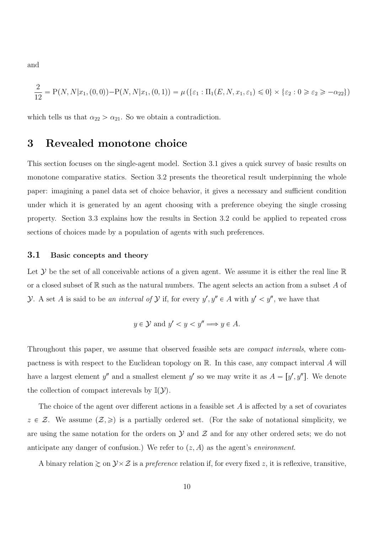and

$$
\frac{2}{12} = P(N, N|x_1, (0,0)) - P(N, N|x_1, (0,1)) = \mu(\{\varepsilon_1 : \Pi_1(E, N, x_1, \varepsilon_1) \le 0\} \times \{\varepsilon_2 : 0 \ge \varepsilon_2 \ge -\alpha_{22}\})
$$

which tells us that  $\alpha_{22} > \alpha_{21}$ . So we obtain a contradiction.

## 3 Revealed monotone choice

This section focuses on the single-agent model. Section 3.1 gives a quick survey of basic results on monotone comparative statics. Section 3.2 presents the theoretical result underpinning the whole paper: imagining a panel data set of choice behavior, it gives a necessary and sufficient condition under which it is generated by an agent choosing with a preference obeying the single crossing property. Section 3.3 explains how the results in Section 3.2 could be applied to repeated cross sections of choices made by a population of agents with such preferences.

#### 3.1 Basic concepts and theory

Let  $\mathcal Y$  be the set of all conceivable actions of a given agent. We assume it is either the real line  $\mathbb R$ or a closed subset of  $\mathbb R$  such as the natural numbers. The agent selects an action from a subset A of *Y*. A set *A* is said to be an interval of *Y* if, for every  $y', y'' \in A$  with  $y' < y''$ , we have that

$$
y \in \mathcal{Y}
$$
 and  $y' < y < y'' \Longrightarrow y \in A$ .

Throughout this paper, we assume that observed feasible sets are *compact intervals*, where compactness is with respect to the Euclidean topology on R. In this case, any compact interval A will have a largest element  $y''$  and a smallest element  $y'$  so we may write it as  $A = [y', y'']$ . We denote the collection of compact interevals by  $\mathbb{I}(\mathcal{Y})$ .

The choice of the agent over different actions in a feasible set  $A$  is affected by a set of covariates  $z \in \mathcal{Z}$ . We assume  $(\mathcal{Z}, \geqslant)$  is a partially ordered set. (For the sake of notational simplicity, we are using the same notation for the orders on  $\mathcal Y$  and  $\mathcal Z$  and for any other ordered sets; we do not anticipate any danger of confusion.) We refer to  $(z, A)$  as the agent's environment.

A binary relation  $\gtrsim$  on  $\mathcal{Y}\times\mathcal{Z}$  is a *preference* relation if, for every fixed z, it is reflexive, transitive,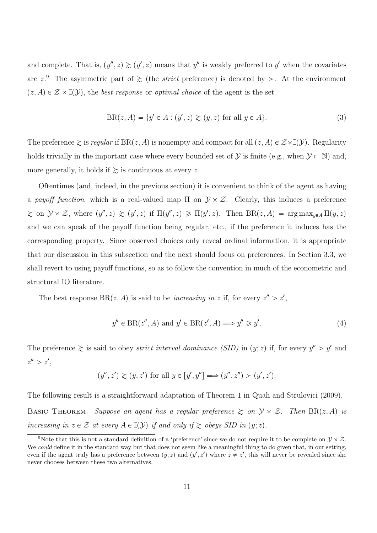and complete. That is,  $(y'', z) \ge (y', z)$  means that y'' is weakly preferred to y' when the covariates are  $z^9$ . The asymmetric part of  $\geq$  (the *strict* preference) is denoted by  $\geq$ . At the environment  $(z, A) \in \mathcal{Z} \times \mathbb{I}(\mathcal{Y})$ , the *best response* or *optimal choice* of the agent is the set

$$
BR(z, A) = \{ y' \in A : (y', z) \ge (y, z) \text{ for all } y \in A \}. \tag{3}
$$

The preference  $\geq$  is *regular* if  $BR(z, A)$  is nonempty and compact for all  $(z, A) \in \mathcal{Z} \times \mathbb{I}(\mathcal{Y})$ . Regularity holds trivially in the important case where every bounded set of  $\mathcal{Y}$  is finite (e.g., when  $\mathcal{Y} \subset \mathbb{N}$ ) and, more generally, it holds if  $\geq$  is continuous at every z.

Oftentimes (and, indeed, in the previous section) it is convenient to think of the agent as having a payoff function, which is a real-valued map  $\Pi$  on  $\mathcal{Y} \times \mathcal{Z}$ . Clearly, this induces a preference  $\geq$  on  $\mathcal{Y} \times \mathcal{Z}$ , where  $(y'', z) \geq (y', z)$  if  $\Pi(y'', z) \geq \Pi(y', z)$ . Then  $BR(z, A) = \arg \max_{y \in A} \Pi(y, z)$ and we can speak of the payoff function being regular, etc., if the preference it induces has the corresponding property. Since observed choices only reveal ordinal information, it is appropriate that our discussion in this subsection and the next should focus on preferences. In Section 3.3, we shall revert to using payoff functions, so as to follow the convention in much of the econometric and structural IO literature.

The best response BR $(z, A)$  is said to be *increasing in z* if, for every  $z'' > z'$ ,

$$
y'' \in \text{BR}(z'', A) \text{ and } y' \in \text{BR}(z', A) \Longrightarrow y'' \geq y'.
$$
 (4)

The preference  $\geq$  is said to obey *strict interval dominance (SID)* in  $(y; z)$  if, for every  $y'' > y'$  and  $z'' > z'$ ,

$$
(y'', z') \ge (y, z')
$$
 for all  $y \in [y', y''] \Longrightarrow (y'', z'') > (y', z').$ 

The following result is a straightforward adaptation of Theorem 1 in Quah and Strulovici (2009). BASIC THEOREM. Suppose an agent has a regular preference  $\geq$  on  $\mathcal{Y} \times \mathcal{Z}$ . Then  $BR(z, A)$  is increasing in  $z \in \mathcal{Z}$  at every  $A \in \mathbb{I}(\mathcal{Y})$  if and only if  $\geq$  obeys SID in  $(y; z)$ .

<sup>&</sup>lt;sup>9</sup>Note that this is not a standard definition of a 'preference' since we do not require it to be complete on  $\mathcal{Y} \times \mathcal{Z}$ . We could define it in the standard way but that does not seem like a meaningful thing to do given that, in our setting, even if the agent truly has a preference between  $(y, z)$  and  $(y', z')$  where  $z \neq z'$ , this will never be revealed since she never chooses between these two alternatives.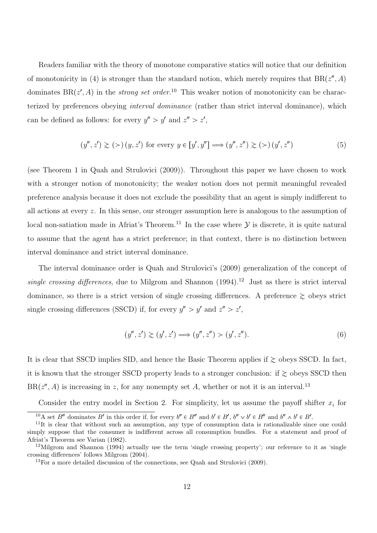Readers familiar with the theory of monotone comparative statics will notice that our definition of monotonicity in (4) is stronger than the standard notion, which merely requires that  $BR(z'', A)$ dominates  $BR(z', A)$  in the *strong set order*.<sup>10</sup> This weaker notion of monotonicity can be characterized by preferences obeying interval dominance (rather than strict interval dominance), which can be defined as follows: for every  $y'' > y'$  and  $z'' > z'$ ,

$$
(y'', z') \gtrsim (>) (y, z') \text{ for every } y \in [y', y''] \Longrightarrow (y'', z'') \gtrsim (>) (y', z'')
$$
 (5)

(see Theorem 1 in Quah and Strulovici (2009)). Throughout this paper we have chosen to work with a stronger notion of monotonicity; the weaker notion does not permit meaningful revealed preference analysis because it does not exclude the possibility that an agent is simply indifferent to all actions at every z. In this sense, our stronger assumption here is analogous to the assumption of local non-satiation made in Afriat's Theorem.<sup>11</sup> In the case where  $\mathcal Y$  is discrete, it is quite natural to assume that the agent has a strict preference; in that context, there is no distinction between interval dominance and strict interval dominance.

The interval dominance order is Quah and Strulovici's (2009) generalization of the concept of single crossing differences, due to Milgrom and Shannon  $(1994)$ <sup>12</sup> Just as there is strict interval dominance, so there is a strict version of single crossing differences. A preference  $\gtrsim$  obeys strict single crossing differences (SSCD) if, for every  $y'' > y'$  and  $z'' > z'$ ,

$$
(y'', z') \gtrsim (y', z') \Longrightarrow (y'', z'') > (y', z'').
$$
\n(6)

It is clear that SSCD implies SID, and hence the Basic Theorem applies if  $\gtrsim$  obeys SSCD. In fact, it is known that the stronger SSCD property leads to a stronger conclusion: if  $\gtrsim$  obeys SSCD then  $BR(z'', A)$  is increasing in z, for any nonempty set A, whether or not it is an interval.<sup>13</sup>

Consider the entry model in Section 2. For simplicity, let us assume the payoff shifter  $x_i$  for

<sup>&</sup>lt;sup>10</sup>A set B'' dominates B' in this order if, for every  $b'' \in B''$  and  $b' \in B'$ ,  $b'' \vee b' \in B''$  and  $b'' \wedge b' \in B'$ .

<sup>&</sup>lt;sup>11</sup>It is clear that without such an assumption, any type of consumption data is rationalizable since one could simply suppose that the consumer is indifferent across all consumption bundles. For a statement and proof of Afriat's Theorem see Varian (1982).

<sup>12</sup>Milgrom and Shannon (1994) actually use the term 'single crossing property'; our reference to it as 'single crossing differences' follows Milgrom (2004).

 $13$  For a more detailed discussion of the connections, see Quah and Strulovici (2009).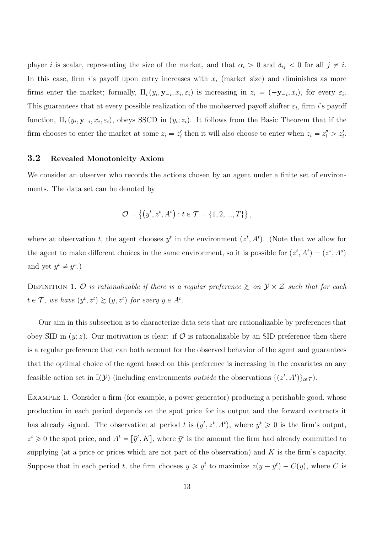player i is scalar, representing the size of the market, and that  $\alpha_i > 0$  and  $\delta_{ij} < 0$  for all  $j \neq i$ . In this case, firm is payoff upon entry increases with  $x_i$  (market size) and diminishes as more firms enter the market; formally,  $\Pi_i(y_i, \mathbf{y}_{-i}, x_i, \varepsilon_i)$  is increasing in  $z_i = (-\mathbf{y}_{-i}, x_i)$ , for every  $\varepsilon_i$ . This guarantees that at every possible realization of the unobserved payoff shifter  $\varepsilon_i$ , firm i's payoff function,  $\Pi_i(y_i, \mathbf{y}_{-i}, x_i, \varepsilon_i)$ , obeys SSCD in  $(y_i, z_i)$ . It follows from the Basic Theorem that if the firm chooses to enter the market at some  $z_i = z'_i$  then it will also choose to enter when  $z_i = z''_i > z'_i$ .

### 3.2 Revealed Monotonicity Axiom

We consider an observer who records the actions chosen by an agent under a finite set of environments. The data set can be denoted by

$$
\mathcal{O} = \left\{ \left( y^t, z^t, A^t \right) : t \in \mathcal{T} = \{1, 2, ..., T\} \right\},\
$$

where at observation t, the agent chooses  $y^t$  in the environment  $(z^t, A^t)$ . (Note that we allow for the agent to make different choices in the same environment, so it is possible for  $(z^t, A^t) = (z^s, A^s)$ and yet  $y^t \neq y^s$ .)

DEFINITION 1. O is rationalizable if there is a regular preference  $\gtrsim$  on  $\mathcal{Y} \times \mathcal{Z}$  such that for each  $t \in \mathcal{T}$ , we have  $(y^t, z^t) \gtrsim (y, z^t)$  for every  $y \in A^t$ .

Our aim in this subsection is to characterize data sets that are rationalizable by preferences that obey SID in  $(y; z)$ . Our motivation is clear: if  $\mathcal O$  is rationalizable by an SID preference then there is a regular preference that can both account for the observed behavior of the agent and guarantees that the optimal choice of the agent based on this preference is increasing in the covariates on any feasible action set in  $\mathbb{I}(Y)$  (including environments *outside* the observations  $\{(z^t, A^t)\}_{t \in \mathcal{T}})$ .

EXAMPLE 1. Consider a firm (for example, a power generator) producing a perishable good, whose production in each period depends on the spot price for its output and the forward contracts it has already signed. The observation at period t is  $(y^t, z^t, A^t)$ , where  $y^t \geq 0$  is the firm's output,  $z^t \geq 0$  the spot price, and  $A^t = [\bar{y}^t, K]$ , where  $\bar{y}^t$  is the amount the firm had already committed to supplying (at a price or prices which are not part of the observation) and  $K$  is the firm's capacity. Suppose that in each period t, the firm chooses  $y \geq \bar{y}^t$  to maximize  $z(y - \bar{y}^t) - C(y)$ , where C is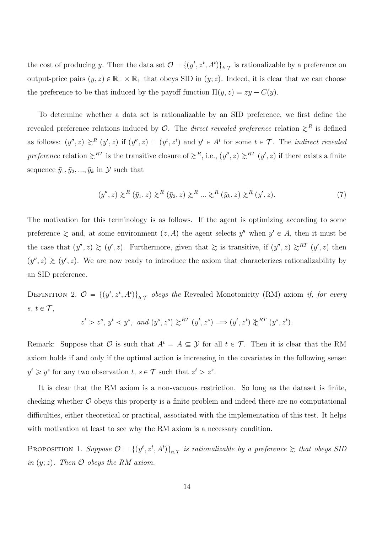the cost of producing y. Then the data set  $\mathcal{O} = \{(y^t, z^t, A^t)\}_{t \in \mathcal{T}}$  is rationalizable by a preference on output-price pairs  $(y, z) \in \mathbb{R}_+ \times \mathbb{R}_+$  that obeys SID in  $(y, z)$ . Indeed, it is clear that we can choose the preference to be that induced by the payoff function  $\Pi(y, z) = zy - C(y)$ .

To determine whether a data set is rationalizable by an SID preference, we first define the revealed preference relations induced by  $\mathcal{O}$ . The *direct revealed preference* relation  $\gtrsim^R$  is defined as follows:  $(y'', z) \geq^{R} (y', z)$  if  $(y'', z) = (y^t, z^t)$  and  $y' \in A^t$  for some  $t \in \mathcal{T}$ . The *indirect revealed* preference relation  $\gtrsim^{RT}$  is the transitive closure of  $\gtrsim^{R}$ , i.e.,  $(y'', z) \gtrsim^{RT} (y', z)$  if there exists a finite sequence  $\bar{y}_1, \bar{y}_2, ..., \bar{y}_k$  in  $\mathcal{Y}$  such that

$$
(y'',z) \gtrsim^R (\bar{y}_1, z) \gtrsim^R (\bar{y}_2, z) \gtrsim^R \ldots \gtrsim^R (\bar{y}_k, z) \gtrsim^R (y', z).
$$
 (7)

The motivation for this terminology is as follows. If the agent is optimizing according to some preference  $\gtrsim$  and, at some environment  $(z, A)$  the agent selects  $y''$  when  $y' \in A$ , then it must be the case that  $(y'', z) \ge (y', z)$ . Furthermore, given that  $\ge$  is transitive, if  $(y'', z) \ge R^T$   $(y', z)$  then  $(y'', z) \ge (y', z)$ . We are now ready to introduce the axiom that characterizes rationalizability by an SID preference.

DEFINITION 2.  $\mathcal{O} = \{(y^t, z^t, A^t)\}_{t \in \mathcal{T}}$  obeys the Revealed Monotonicity (RM) axiom if, for every  $s, t \in \mathcal{T}$ ,

$$
z^t>z^s,\ y^t< y^s,\ \text{and}\ (y^s,z^s)\gtrsim^{RT}(y^t,z^s)\Longrightarrow (y^t,z^t)\not\uparrow^{RT}(y^s,z^t).
$$

Remark: Suppose that  $\mathcal O$  is such that  $A^t = A \subseteq \mathcal Y$  for all  $t \in \mathcal T$ . Then it is clear that the RM axiom holds if and only if the optimal action is increasing in the covariates in the following sense:  $y^t \geq y^s$  for any two observation  $t, s \in \mathcal{T}$  such that  $z^t > z^s$ .

It is clear that the RM axiom is a non-vacuous restriction. So long as the dataset is finite, checking whether  $\mathcal O$  obeys this property is a finite problem and indeed there are no computational difficulties, either theoretical or practical, associated with the implementation of this test. It helps with motivation at least to see why the RM axiom is a necessary condition.

PROPOSITION 1. Suppose  $\mathcal{O} = \{(y^t, z^t, A^t)\}_{t \in \mathcal{T}}$  is rationalizable by a preference  $\gtrsim$  that obeys SID in  $(y; z)$ . Then  $\mathcal O$  obeys the RM axiom.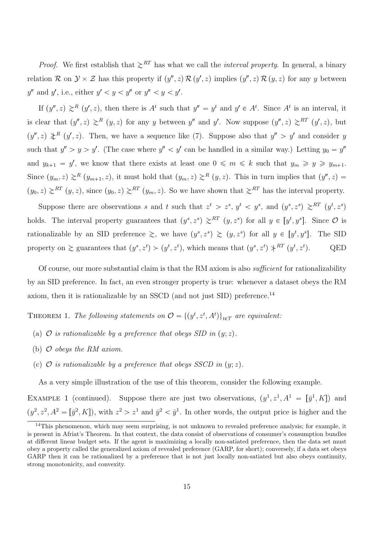*Proof.* We first establish that  $\gtrsim^{RT}$  has what we call the *interval property*. In general, a binary relation R on  $\mathcal{Y} \times \mathcal{Z}$  has this property if  $(y'', z) \mathcal{R} (y', z)$  implies  $(y'', z) \mathcal{R} (y, z)$  for any y between  $y''$  and  $y'$ , i.e., either  $y' < y < y''$  or  $y'' < y < y'$ .

If  $(y'', z) \geq^R (y', z)$ , then there is  $A^t$  such that  $y'' = y^t$  and  $y' \in A^t$ . Since  $A^t$  is an interval, it is clear that  $(y'', z) \geq R(y, z)$  for any y between y'' and y'. Now suppose  $(y'', z) \geq R(T(y', z))$ , but  $(y'', z) \nless^{R} (y', z)$ . Then, we have a sequence like (7). Suppose also that  $y'' > y'$  and consider y such that  $y'' > y > y'$ . (The case where  $y'' < y'$  can be handled in a similar way.) Letting  $y_0 = y''$ and  $y_{k+1} = y'$ , we know that there exists at least one  $0 \leq m \leq k$  such that  $y_m \geq y \geq y_{m+1}$ . Since  $(y_m, z) \geq^R (y_{m+1}, z)$ , it must hold that  $(y_m, z) \geq^R (y, z)$ . This in turn implies that  $(y'', z) =$  $p(y_0, z) \ge^{RT} (y, z)$ , since  $(y_0, z) \ge^{RT} (y_m, z)$ . So we have shown that  $\ge^{RT}$  has the interval property.

Suppose there are observations s and t such that  $z^t > z^s$ ,  $y^t < y^s$ , and  $(y^s, z^s) \geq^{RT} (y^t, z^s)$ holds. The interval property guarantees that  $(y^s, z^s) \geq^{RT} (y, z^s)$  for all  $y \in [y^t, y^s]$ . Since  $\mathcal O$  is rationalizable by an SID preference  $\gtrsim$ , we have  $(y^s, z^s) \gtrsim (y, z^s)$  for all  $y \in [y^t, y^s]$ . The SID property on  $\gtrsim$  guarantees that  $(y^s, z^t) > (y^t, z^t)$ , which means that  $(y^s, z^t) \nless^{\text{RT}} (y^t, z^t)$ q. QED

Of course, our more substantial claim is that the RM axiom is also sufficient for rationalizability by an SID preference. In fact, an even stronger property is true: whenever a dataset obeys the RM axiom, then it is rationalizable by an SSCD (and not just SID) preference.<sup>14</sup>

THEOREM 1. The following statements on  $\mathcal{O} = \{ (y^t, z^t, A^t) \}_{t \in \mathcal{T}}$  are equivalent:

- (a)  $\mathcal O$  is rationalizable by a preference that obeys SID in  $(y; z)$ .
- (b)  $O$  obeys the RM axiom.
- (c)  $\mathcal O$  is rationalizable by a preference that obeys SSCD in  $(y; z)$ .

As a very simple illustration of the use of this theorem, consider the following example.

EXAMPLE 1 (continued). Suppose there are just two observations,  $(y^1, z^1, A^1 = [\bar{y}^1, K])$  and  $(y^2, z^2, A^2 = [\bar{y}^2, K])$ , with  $z^2 > z^1$  and  $\bar{y}^2 < \bar{y}^1$ . In other words, the output price is higher and the

 $14$ This phenomenon, which may seem surprising, is not unknown to revealed preference analysis; for example, it is present in Afriat's Theorem. In that context, the data consist of observations of consumer's consumption bundles at different linear budget sets. If the agent is maximizing a locally non-satiated preference, then the data set must obey a property called the generalized axiom of revealed preference (GARP, for short); conversely, if a data set obeys GARP then it can be rationalized by a preference that is not just locally non-satiated but also obeys continuity, strong monotonicity, and convexity.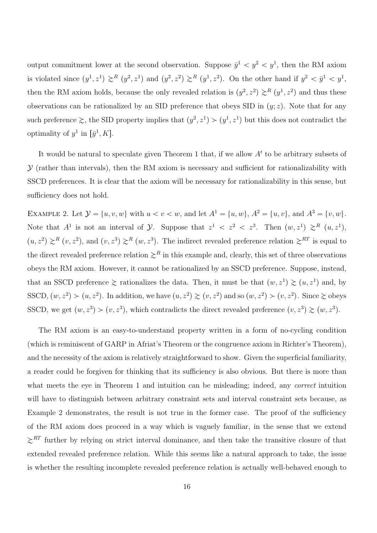output commitment lower at the second observation. Suppose  $\bar{y}^1 < y^2 < y^1$ , then the RM axiom is violated since  $(y^1, z^1) \geq^R (y^2, z^1)$  and  $(y^2, z^2) \geq^R (y^1, z^2)$ . On the other hand if  $y^2 < \bar{y}^1 < y^1$ , then the RM axiom holds, because the only revealed relation is  $(y^2, z^2) \gtrsim^R (y^1, z^2)$  and thus these observations can be rationalized by an SID preference that obeys SID in  $(y; z)$ . Note that for any such preference  $\gtrsim$ , the SID property implies that  $(y^2, z^1) > (y^1, z^1)$  but this does not contradict the optimality of  $y^1$  in  $[\bar{y}^1, K]$ .

It would be natural to speculate given Theorem 1 that, if we allow  $A<sup>t</sup>$  to be arbitrary subsets of  $\mathcal Y$  (rather than intervals), then the RM axiom is necessary and sufficient for rationalizability with SSCD preferences. It is clear that the axiom will be necessary for rationalizability in this sense, but sufficiency does not hold.

EXAMPLE 2. Let  $\mathcal{Y} = \{u, v, w\}$  with  $u < v < w$ , and let  $A^1 = \{u, w\}$ ,  $A^2 = \{u, v\}$ , and  $A^3 = \{v, w\}$ . Note that  $A^1$  is not an interval of  $\mathcal{Y}$ . Suppose that  $z^1 < z^2 < z^3$ . Then  $(w, z^1) \geq^R (u, z^1)$ ,  $(u, z^2) \geq R (v, z^2)$ , and  $(v, z^3) \geq R (w, z^3)$ . The indirect revealed preference relation  $\geq R$ <sup>RT</sup> is equal to the direct revealed preference relation  $\geq^R$  in this example and, clearly, this set of three observations obeys the RM axiom. However, it cannot be rationalized by an SSCD preference. Suppose, instead, that an SSCD preference  $\gtrsim$  rationalizes the data. Then, it must be that  $(w, z^1) \gtrsim (u, z^1)$  and, by SSCD,  $(w, z^2) > (u, z^2)$ . In addition, we have  $(u, z^2) \ge (v, z^2)$  and so  $(w, z^2) > (v, z^2)$ . Since  $\ge$  obeys SSCD, we get  $(w, z^3) > (v, z^3)$ , which contradicts the direct revealed preference  $(v, z^3) \gtrsim (w, z^3)$ .

The RM axiom is an easy-to-understand property written in a form of no-cycling condition (which is reminiscent of GARP in Afriat's Theorem or the congruence axiom in Richter's Theorem), and the necessity of the axiom is relatively straightforward to show. Given the superficial familiarity, a reader could be forgiven for thinking that its sufficiency is also obvious. But there is more than what meets the eye in Theorem 1 and intuition can be misleading; indeed, any *correct* intuition will have to distinguish between arbitrary constraint sets and interval constraint sets because, as Example 2 demonstrates, the result is not true in the former case. The proof of the sufficiency of the RM axiom does proceed in a way which is vaguely familiar, in the sense that we extend  $\gtrsim$ <sup>RT</sup> further by relying on strict interval dominance, and then take the transitive closure of that extended revealed preference relation. While this seems like a natural approach to take, the issue is whether the resulting incomplete revealed preference relation is actually well-behaved enough to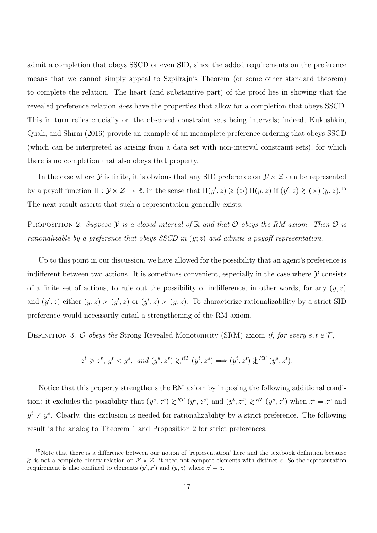admit a completion that obeys SSCD or even SID, since the added requirements on the preference means that we cannot simply appeal to Szpilrajn's Theorem (or some other standard theorem) to complete the relation. The heart (and substantive part) of the proof lies in showing that the revealed preference relation does have the properties that allow for a completion that obeys SSCD. This in turn relies crucially on the observed constraint sets being intervals; indeed, Kukushkin, Quah, and Shirai (2016) provide an example of an incomplete preference ordering that obeys SSCD (which can be interpreted as arising from a data set with non-interval constraint sets), for which there is no completion that also obeys that property.

In the case where  $\mathcal Y$  is finite, it is obvious that any SID preference on  $\mathcal Y\times\mathcal Z$  can be represented by a payoff function  $\Pi: \mathcal{Y} \times \mathcal{Z} \to \mathbb{R}$ , in the sense that  $\Pi(y', z) \geq (>) \Pi(y, z)$  if  $(y', z) \geq (>) (y, z)$ .<sup>15</sup> The next result asserts that such a representation generally exists.

PROPOSITION 2. Suppose Y is a closed interval of  $\mathbb R$  and that  $\mathcal O$  obeys the RM axiom. Then  $\mathcal O$  is rationalizable by a preference that obeys SSCD in  $(y; z)$  and admits a payoff representation.

Up to this point in our discussion, we have allowed for the possibility that an agent's preference is indifferent between two actions. It is sometimes convenient, especially in the case where  $\mathcal Y$  consists of a finite set of actions, to rule out the possibility of indifference; in other words, for any  $(y, z)$ and  $(y', z)$  either  $(y, z) > (y', z)$  or  $(y', z) > (y, z)$ . To characterize rationalizability by a strict SID preference would necessarily entail a strengthening of the RM axiom.

DEFINITION 3. O obeys the Strong Revealed Monotonicity (SRM) axiom if, for every  $s, t \in \mathcal{T}$ ,

$$
z^t \geq z^s
$$
,  $y^t < y^s$ , and  $(y^s, z^s) \geq \stackrel{RT}{\sim} (y^t, z^s) \Longrightarrow (y^t, z^t) \not\geq \stackrel{RT}{\sim} (y^s, z^t)$ .

Notice that this property strengthens the RM axiom by imposing the following additional condition: it excludes the possibility that  $(y^s, z^s) \geq^{RT} (y^t, z^s)$  and  $(y^t, z^t) \geq^{RT} (y^s, z^t)$  when  $z^t = z^s$  and  $y^t \neq y^s$ . Clearly, this exclusion is needed for rationalizability by a strict preference. The following result is the analog to Theorem 1 and Proposition 2 for strict preferences.

<sup>&</sup>lt;sup>15</sup>Note that there is a difference between our notion of 'representation' here and the textbook definition because  $\geq$  is not a complete binary relation on  $\mathcal{X} \times \mathcal{Z}$ : it need not compare elements with distinct z. So the representation requirement is also confined to elements  $(y', z')$  and  $(y, z)$  where  $z' = z$ .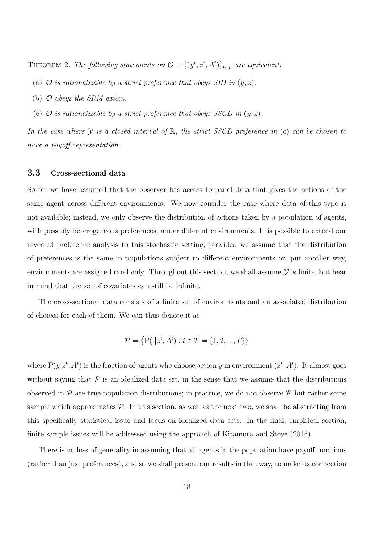THEOREM 2. The following statements on  $\mathcal{O} = \{ (y^t, z^t, A^t) \}_{t \in \mathcal{T}}$  are equivalent:

- (a)  $\mathcal O$  is rationalizable by a strict preference that obeys SID in  $(y; z)$ .
- (b)  $O$  obeys the SRM axiom.
- (c)  $\mathcal O$  is rationalizable by a strict preference that obeys SSCD in  $(y; z)$ .

In the case where  $\mathcal Y$  is a closed interval of  $\mathbb R$ , the strict SSCD preference in (c) can be chosen to have a payoff representation.

### 3.3 Cross-sectional data

So far we have assumed that the observer has access to panel data that gives the actions of the same agent across different environments. We now consider the case where data of this type is not available; instead, we only observe the distribution of actions taken by a population of agents, with possibly heterogeneous preferences, under different environments. It is possible to extend our revealed preference analysis to this stochastic setting, provided we assume that the distribution of preferences is the same in populations subject to different environments or, put another way, environments are assigned randomly. Throughout this section, we shall assume  $\mathcal Y$  is finite, but bear in mind that the set of covariates can still be infinite.

The cross-sectional data consists of a finite set of environments and an associated distribution of choices for each of them. We can thus denote it as

$$
\mathcal{P} = \{ P(\cdot | z^t, A^t) : t \in \mathcal{T} = \{1, 2, ..., T\} \}
$$

where  $P(y|z^t, A^t)$  is the fraction of agents who choose action y in environment  $(z^t, A^t)$ . It almost goes without saying that  $P$  is an idealized data set, in the sense that we assume that the distributions observed in  $\mathcal P$  are true population distributions; in practice, we do not observe  $\mathcal P$  but rather some sample which approximates  $P$ . In this section, as well as the next two, we shall be abstracting from this specifically statistical issue and focus on idealized data sets. In the final, empirical section, finite sample issues will be addressed using the approach of Kitamura and Stoye (2016).

There is no loss of generality in assuming that all agents in the population have payoff functions (rather than just preferences), and so we shall present our results in that way, to make its connection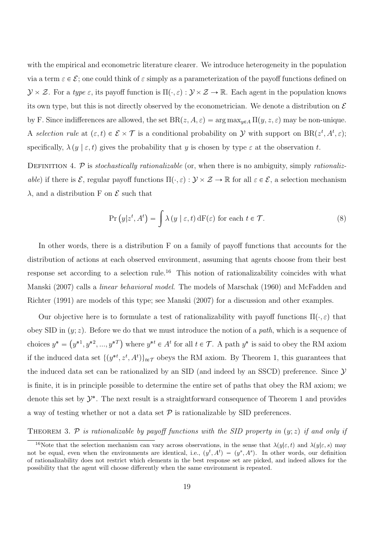with the empirical and econometric literature clearer. We introduce heterogeneity in the population via a term  $\varepsilon \in \mathcal{E}$ ; one could think of  $\varepsilon$  simply as a parameterization of the payoff functions defined on  $\mathcal{Y} \times \mathcal{Z}$ . For a type  $\varepsilon$ , its payoff function is  $\Pi(\cdot, \varepsilon) : \mathcal{Y} \times \mathcal{Z} \to \mathbb{R}$ . Each agent in the population knows its own type, but this is not directly observed by the econometrician. We denote a distribution on  $\mathcal E$ by F. Since indifferences are allowed, the set  $BR(z, A, \varepsilon) = \arg \max_{y \in A} \Pi(y, z, \varepsilon)$  may be non-unique. A selection rule at  $(\varepsilon, t) \in \mathcal{E} \times \mathcal{T}$  is a conditional probability on Y with support on  $BR(z^t, A^t, \varepsilon)$ ; specifically,  $\lambda(y \mid \varepsilon, t)$  gives the probability that y is chosen by type  $\varepsilon$  at the observation t.

DEFINITION 4. P is stochastically rationalizable (or, when there is no ambiguity, simply rationalizable) if there is  $\mathcal{E}$ , regular payoff functions  $\Pi(\cdot, \varepsilon) : \mathcal{Y} \times \mathcal{Z} \to \mathbb{R}$  for all  $\varepsilon \in \mathcal{E}$ , a selection mechanism  $\lambda$ , and a distribution F on E such that

$$
\Pr(y|z^t, A^t) = \int \lambda(y \mid \varepsilon, t) dF(\varepsilon) \text{ for each } t \in \mathcal{T}.
$$
 (8)

In other words, there is a distribution F on a family of payoff functions that accounts for the distribution of actions at each observed environment, assuming that agents choose from their best response set according to a selection rule.<sup>16</sup> This notion of rationalizability coincides with what Manski (2007) calls a linear behavioral model. The models of Marschak (1960) and McFadden and Richter (1991) are models of this type; see Manski (2007) for a discussion and other examples.

Our objective here is to formulate a test of rationalizability with payoff functions  $\Pi(\cdot, \varepsilon)$  that obey SID in  $(y; z)$ . Before we do that we must introduce the notion of a path, which is a sequence of choices  $y^* = (y^{*1}, y^{*2}, ..., y^{*T})$  where  $y^{*t} \in A^t$  for all  $t \in \mathcal{T}$ . A path  $y^*$  is said to obey the RM axiom if the induced data set  $\{(y^{*t}, z^t, A^t)\}_{t \in \mathcal{T}}$  obeys the RM axiom. By Theorem 1, this guarantees that the induced data set can be rationalized by an SID (and indeed by an SSCD) preference. Since  $\mathcal Y$ is finite, it is in principle possible to determine the entire set of paths that obey the RM axiom; we denote this set by  $\mathcal{Y}^*$ . The next result is a straightforward consequence of Theorem 1 and provides a way of testing whether or not a data set  $P$  is rationalizable by SID preferences.

THEOREM 3. P is rationalizable by payoff functions with the SID property in  $(y; z)$  if and only if

<sup>&</sup>lt;sup>16</sup>Note that the selection mechanism can vary across observations, in the sense that  $\lambda(y|\varepsilon, t)$  and  $\lambda(y|\varepsilon, s)$  may not be equal, even when the environments are identical, i.e.,  $(y^t, A^t) = (y^s, A^s)$ . In other words, our definition of rationalizability does not restrict which elements in the best response set are picked, and indeed allows for the possibility that the agent will choose differently when the same environment is repeated.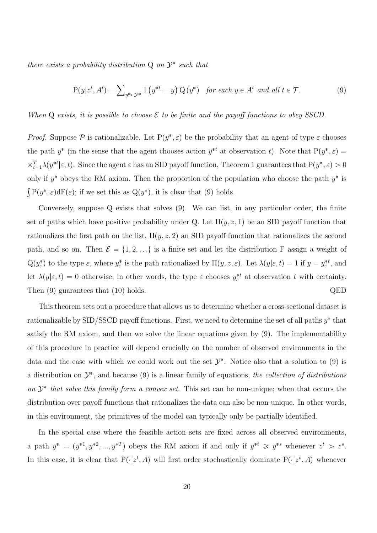there exists a probability distribution  $Q$  on  $\mathcal{Y}^*$  such that

$$
P(y|z^t, A^t) = \sum_{y^* \in \mathcal{Y}^*} 1(y^{*t} = y) Q(y^*) \text{ for each } y \in A^t \text{ and all } t \in \mathcal{T}.
$$
 (9)

When Q exists, it is possible to choose  $\mathcal E$  to be finite and the payoff functions to obey SSCD.

*Proof.* Suppose  $P$  is rationalizable. Let  $P(y^*, \varepsilon)$  be the probability that an agent of type  $\varepsilon$  chooses the path  $y^*$  (in the sense that the agent chooses action  $y^{*t}$  at observation t). Note that  $P(y^*, \varepsilon) =$  $\langle \times_{t=1}^T \lambda(y^{*t} | \varepsilon, t) \rangle$ . Since the agent  $\varepsilon$  has an SID payoff function, Theorem 1 guarantees that  $P(y^*, \varepsilon) > 0$ only if  $y^*$  obeys the RM axiom. Then the proportion of the population who choose the path  $y^*$  is  $\int P(y^*, \varepsilon) dF(\varepsilon)$ ; if we set this as  $Q(y^*)$ , it is clear that (9) holds.

Conversely, suppose Q exists that solves (9). We can list, in any particular order, the finite set of paths which have positive probability under Q. Let  $\Pi(y, z, 1)$  be an SID payoff function that rationalizes the first path on the list,  $\Pi(y, z, 2)$  an SID payoff function that rationalizes the second path, and so on. Then  $\mathcal{E} = \{1, 2, ...\}$  is a finite set and let the distribution F assign a weight of  $Q(y^*_{\varepsilon})$  to the type  $\varepsilon$ , where  $y^*_{\varepsilon}$  is the path rationalized by  $\Pi(y, z, \varepsilon)$ . Let  $\lambda(y|\varepsilon, t) = 1$  if  $y = y^{*t}_{\varepsilon}$ , and let  $\lambda(y|\varepsilon, t) = 0$  otherwise; in other words, the type  $\varepsilon$  chooses  $y_{\varepsilon}^{*t}$  at observation t with certainty. Then (9) guarantees that (10) holds. QED

This theorem sets out a procedure that allows us to determine whether a cross-sectional dataset is rationalizable by  $\text{SID} / \text{SSCD}$  payoff functions. First, we need to determine the set of all paths  $y^*$  that satisfy the RM axiom, and then we solve the linear equations given by (9). The implementability of this procedure in practice will depend crucially on the number of observed environments in the data and the ease with which we could work out the set  $\mathcal{Y}^*$ . Notice also that a solution to (9) is a distribution on  $\mathcal{Y}^*$ , and because (9) is a linear family of equations, the collection of distributions on  $\mathcal{Y}^*$  that solve this family form a convex set. This set can be non-unique; when that occurs the distribution over payoff functions that rationalizes the data can also be non-unique. In other words, in this environment, the primitives of the model can typically only be partially identified.

In the special case where the feasible action sets are fixed across all observed environments, a path  $y^* = (y^{*1}, y^{*2}, ..., y^{*T})$  obeys the RM axiom if and only if  $y^{*t} \geq y^{*s}$  whenever  $z^t > z^s$ . In this case, it is clear that  $P(\cdot|z^t, A)$  will first order stochastically dominate  $P(\cdot|z^s, A)$  whenever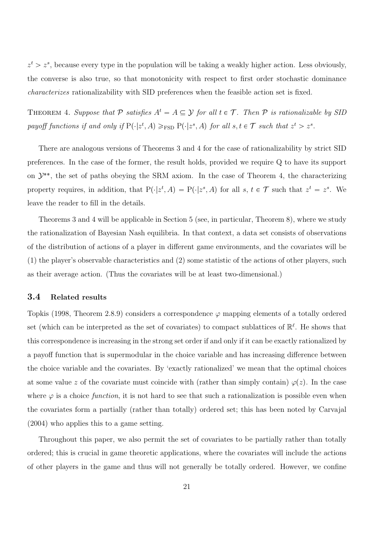$z^t > z^s$ , because every type in the population will be taking a weakly higher action. Less obviously, the converse is also true, so that monotonicity with respect to first order stochastic dominance characterizes rationalizability with SID preferences when the feasible action set is fixed.

THEOREM 4. Suppose that P satisfies  $A^t = A \subseteq Y$  for all  $t \in \mathcal{T}$ . Then P is rationalizable by SID payoff functions if and only if  $P(\cdot|z^t, A) \geq_{\text{FSD}} P(\cdot|z^s, A)$  for all  $s, t \in \mathcal{T}$  such that  $z^t > z^s$ .

There are analogous versions of Theorems 3 and 4 for the case of rationalizability by strict SID preferences. In the case of the former, the result holds, provided we require Q to have its support on  $\mathcal{Y}^{**}$ , the set of paths obeying the SRM axiom. In the case of Theorem 4, the characterizing property requires, in addition, that  $P(|z^t, A) = P(|z^s, A)$  for all  $s, t \in \mathcal{T}$  such that  $z^t = z^s$ . We leave the reader to fill in the details.

Theorems 3 and 4 will be applicable in Section 5 (see, in particular, Theorem 8), where we study the rationalization of Bayesian Nash equilibria. In that context, a data set consists of observations of the distribution of actions of a player in different game environments, and the covariates will be (1) the player's observable characteristics and (2) some statistic of the actions of other players, such as their average action. (Thus the covariates will be at least two-dimensional.)

#### 3.4 Related results

Topkis (1998, Theorem 2.8.9) considers a correspondence  $\varphi$  mapping elements of a totally ordered set (which can be interpreted as the set of covariates) to compact sublattices of  $\mathbb{R}^{\ell}$ . He shows that this correspondence is increasing in the strong set order if and only if it can be exactly rationalized by a payoff function that is supermodular in the choice variable and has increasing difference between the choice variable and the covariates. By 'exactly rationalized' we mean that the optimal choices at some value z of the covariate must coincide with (rather than simply contain)  $\varphi(z)$ . In the case where  $\varphi$  is a choice function, it is not hard to see that such a rationalization is possible even when the covariates form a partially (rather than totally) ordered set; this has been noted by Carvajal (2004) who applies this to a game setting.

Throughout this paper, we also permit the set of covariates to be partially rather than totally ordered; this is crucial in game theoretic applications, where the covariates will include the actions of other players in the game and thus will not generally be totally ordered. However, we confine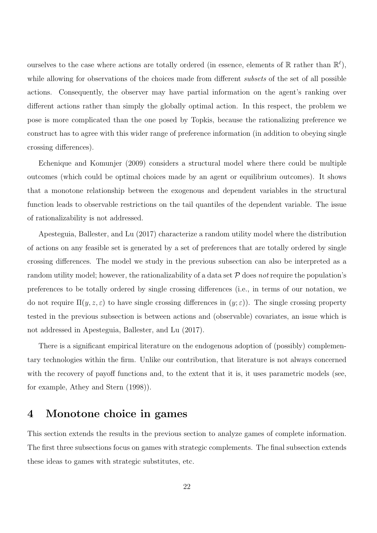ourselves to the case where actions are totally ordered (in essence, elements of  $\mathbb R$  rather than  $\mathbb R^{\ell}$ ), while allowing for observations of the choices made from different *subsets* of the set of all possible actions. Consequently, the observer may have partial information on the agent's ranking over different actions rather than simply the globally optimal action. In this respect, the problem we pose is more complicated than the one posed by Topkis, because the rationalizing preference we construct has to agree with this wider range of preference information (in addition to obeying single crossing differences).

Echenique and Komunjer (2009) considers a structural model where there could be multiple outcomes (which could be optimal choices made by an agent or equilibrium outcomes). It shows that a monotone relationship between the exogenous and dependent variables in the structural function leads to observable restrictions on the tail quantiles of the dependent variable. The issue of rationalizability is not addressed.

Apesteguia, Ballester, and Lu (2017) characterize a random utility model where the distribution of actions on any feasible set is generated by a set of preferences that are totally ordered by single crossing differences. The model we study in the previous subsection can also be interpreted as a random utility model; however, the rationalizability of a data set  $P$  does not require the population's preferences to be totally ordered by single crossing differences (i.e., in terms of our notation, we do not require  $\Pi(y, z, \varepsilon)$  to have single crossing differences in  $(y; \varepsilon)$ . The single crossing property tested in the previous subsection is between actions and (observable) covariates, an issue which is not addressed in Apesteguia, Ballester, and Lu (2017).

There is a significant empirical literature on the endogenous adoption of (possibly) complementary technologies within the firm. Unlike our contribution, that literature is not always concerned with the recovery of payoff functions and, to the extent that it is, it uses parametric models (see, for example, Athey and Stern (1998)).

# 4 Monotone choice in games

This section extends the results in the previous section to analyze games of complete information. The first three subsections focus on games with strategic complements. The final subsection extends these ideas to games with strategic substitutes, etc.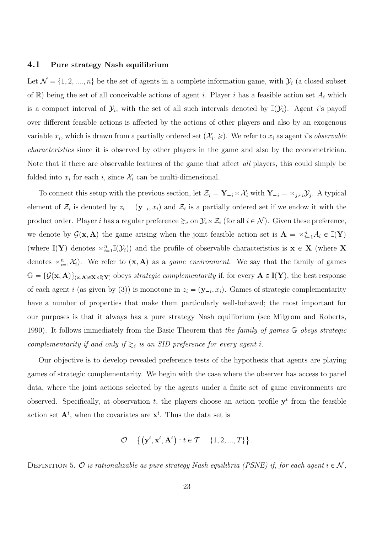#### 4.1 Pure strategy Nash equilibrium

Let  $\mathcal{N} = \{1, 2, ..., n\}$  be the set of agents in a complete information game, with  $\mathcal{Y}_i$  (a closed subset of  $\mathbb{R}$ ) being the set of all conceivable actions of agent i. Player i has a feasible action set  $A_i$  which is a compact interval of  $\mathcal{Y}_i$ , with the set of all such intervals denoted by  $\mathbb{I}(\mathcal{Y}_i)$ . Agent *i*'s payoff over different feasible actions is affected by the actions of other players and also by an exogenous variable  $x_i$ , which is drawn from a partially ordered set  $(\mathcal{X}_i, \geqslant)$ . We refer to  $x_i$  as agent *i*'s *observable* characteristics since it is observed by other players in the game and also by the econometrician. Note that if there are observable features of the game that affect all players, this could simply be folded into  $x_i$  for each i, since  $\mathcal{X}_i$  can be multi-dimensional.

To connect this setup with the previous section, let  $\mathcal{Z}_i = \mathbf{Y}_{-i} \times \mathcal{X}_i$  with  $\mathbf{Y}_{-i} = \times_{j \neq i} \mathcal{Y}_j$ . A typical element of  $\mathcal{Z}_i$  is denoted by  $z_i = (\mathbf{y}_{-i}, x_i)$  and  $\mathcal{Z}_i$  is a partially ordered set if we endow it with the product order. Player *i* has a regular preference  $\gtrsim_i$  on  $\mathcal{Y}_i \times \mathcal{Z}_i$  (for all  $i \in \mathcal{N}$ ). Given these preference, we denote by  $\mathcal{G}(\mathbf{x}, \mathbf{A})$  the game arising when the joint feasible action set is  $\mathbf{A} = \times_{i=1}^n A_i \in \mathbb{I}(\mathbf{Y})$ (where  $\mathbb{I}(Y)$  denotes  $\times_{i=1}^n\mathbb{I}(\mathcal{Y}_i)$ ) and the profile of observable characteristics is  $\mathbf{x} \in \mathbf{X}$  (where X denotes  $\times_{i=1}^n \mathcal{X}_i$ . We refer to  $(\mathbf{x}, \mathbf{A})$  as a *game environment*. We say that the family of games  $\mathbb{G} = \{ \mathcal{G}(\mathbf{x}, \mathbf{A}) \}_{(\mathbf{x},\mathbf{A}) \in \mathbf{X} \times \mathbb{I}(\mathbf{Y})}$  obeys *strategic complementarity* if, for every  $\mathbf{A} \in \mathbb{I}(\mathbf{Y})$ , the best response of each agent *i* (as given by (3)) is monotone in  $z_i = (\mathbf{y}_{-i}, x_i)$ . Games of strategic complementarity have a number of properties that make them particularly well-behaved; the most important for our purposes is that it always has a pure strategy Nash equilibrium (see Milgrom and Roberts, 1990). It follows immediately from the Basic Theorem that the family of games G obeys strategic complementarity if and only if  $\gtrsim_i$  is an SID preference for every agent i.

Our objective is to develop revealed preference tests of the hypothesis that agents are playing games of strategic complementarity. We begin with the case where the observer has access to panel data, where the joint actions selected by the agents under a finite set of game environments are observed. Specifically, at observation t, the players choose an action profile  $y<sup>t</sup>$  from the feasible action set  $A^t$ , when the covariates are  $x^t$ . Thus the data set is

$$
\mathcal{O} = \left\{ \left( \mathbf{y}^t, \mathbf{x}^t, \mathbf{A}^t \right) : t \in \mathcal{T} = \{1, 2, ..., T\} \right\}.
$$

DEFINITION 5. O is rationalizable as pure strategy Nash equilibria (PSNE) if, for each agent  $i \in \mathcal{N}$ ,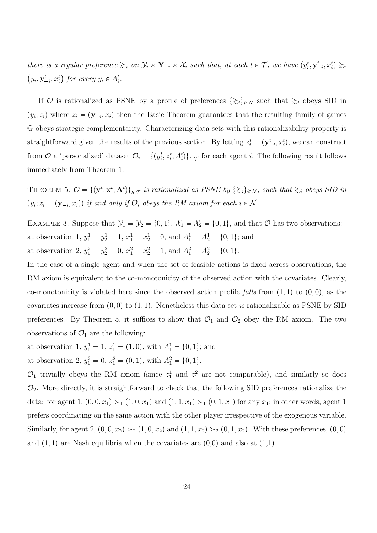there is a regular preference  $\gtrsim_i$  on  $\mathcal{Y}_i \times \mathbf{Y}_{-i} \times \mathcal{X}_i$  such that, at each  $t \in \mathcal{T}$ , we have  $(y_i^t, \mathbf{y}_{-i}^t, x_i^t) \gtrsim_i$  $(y_i, \mathbf{y}_{-i}^t, x_i^t)$  for every  $y_i \in A_i^t$ .

If O is rationalized as PSNE by a profile of preferences  $\{\gtrsim_i\}_{i\in\mathbb{N}}$  such that  $\gtrsim_i$  obeys SID in  $(y_i; z_i)$  where  $z_i = (\mathbf{y}_{-i}, x_i)$  then the Basic Theorem guarantees that the resulting family of games G obeys strategic complementarity. Characterizing data sets with this rationalizability property is straightforward given the results of the previous section. By letting  $z_i^t = (\mathbf{y}_{-i}^t, x_i^t)$ , we can construct from  $\mathcal O$  a 'personalized' dataset  $\mathcal O_i = \{(y_i^t, z_i^t, A_i^t)\}_{t \in \mathcal T}$  for each agent i. The following result follows immediately from Theorem 1.

THEOREM 5.  $\mathcal{O} = \{(\mathbf{y}^t, \mathbf{x}^t, \mathbf{A}^t)\}_{t \in \mathcal{T}}$  is rationalized as PSNE by  $\{\gtrsim_i\}_{i \in \mathcal{N}}$ , such that  $\gtrsim_i$  obeys SID in  $(y_i; z_i = (\mathbf{y}_{-i}, x_i))$  if and only if  $\mathcal{O}_i$  obeys the RM axiom for each  $i \in \mathcal{N}$ .

EXAMPLE 3. Suppose that  $\mathcal{Y}_1 = \mathcal{Y}_2 = \{0, 1\}$ ,  $\mathcal{X}_1 = \mathcal{X}_2 = \{0, 1\}$ , and that  $\mathcal O$  has two observations: at observation 1,  $y_1^1 = y_2^1 = 1$ ,  $x_1^1 = x_2^1 = 0$ , and  $A_1^1 = A_2^1 = \{0, 1\}$ ; and at observation 2,  $y_1^2 = y_2^2 = 0$ ,  $x_1^2 = x_2^2 = 1$ , and  $A_1^2 = A_2^2 = \{0, 1\}$ .

In the case of a single agent and when the set of feasible actions is fixed across observations, the RM axiom is equivalent to the co-monotonicity of the observed action with the covariates. Clearly, co-monotonicity is violated here since the observed action profile falls from  $(1, 1)$  to  $(0, 0)$ , as the covariates increase from  $(0, 0)$  to  $(1, 1)$ . Nonetheless this data set is rationalizable as PSNE by SID preferences. By Theorem 5, it suffices to show that  $\mathcal{O}_1$  and  $\mathcal{O}_2$  obey the RM axiom. The two observations of  $\mathcal{O}_1$  are the following:

at observation 1,  $y_1^1 = 1$ ,  $z_1^1 = (1, 0)$ , with  $A_1^1 = \{0, 1\}$ ; and at observation 2,  $y_1^2 = 0$ ,  $z_1^2 = (0, 1)$ , with  $A_1^2 = \{0, 1\}$ .

 $\mathcal{O}_1$  trivially obeys the RM axiom (since  $z_1^1$  and  $z_1^2$  are not comparable), and similarly so does  $\mathcal{O}_2$ . More directly, it is straightforward to check that the following SID preferences rationalize the data: for agent 1,  $(0, 0, x_1) >_1 (1, 0, x_1)$  and  $(1, 1, x_1) >_1 (0, 1, x_1)$  for any  $x_1$ ; in other words, agent 1 prefers coordinating on the same action with the other player irrespective of the exogenous variable. Similarly, for agent 2,  $(0, 0, x_2) >_2 (1, 0, x_2)$  and  $(1, 1, x_2) >_2 (0, 1, x_2)$ . With these preferences,  $(0, 0)$ and  $(1, 1)$  are Nash equilibria when the covariates are  $(0,0)$  and also at  $(1,1)$ .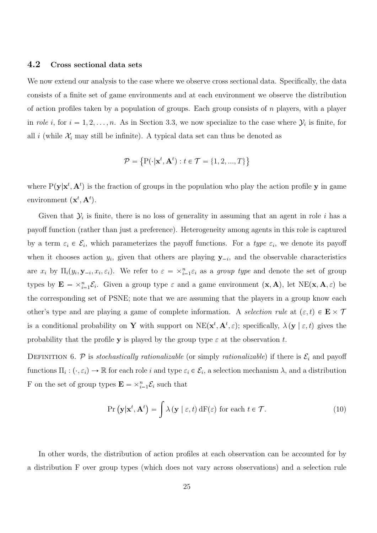#### 4.2 Cross sectional data sets

We now extend our analysis to the case where we observe cross sectional data. Specifically, the data consists of a finite set of game environments and at each environment we observe the distribution of action profiles taken by a population of groups. Each group consists of  $n$  players, with a player in role *i*, for  $i = 1, 2, ..., n$ . As in Section 3.3, we now specialize to the case where  $\mathcal{Y}_i$  is finite, for all i (while  $\mathcal{X}_i$  may still be infinite). A typical data set can thus be denoted as

$$
\mathcal{P} = \left\{ \mathbf{P}(\cdot | \mathbf{x}^t, \mathbf{A}^t) : t \in \mathcal{T} = \{1, 2, ..., T\} \right\}
$$

where  $P(y|x^t, A^t)$  is the fraction of groups in the population who play the action profile y in game environment  $(\mathbf{x}^t, \mathbf{A}^t)$ .

Given that  $\mathcal{Y}_i$  is finite, there is no loss of generality in assuming that an agent in role i has a payoff function (rather than just a preference). Heterogeneity among agents in this role is captured by a term  $\varepsilon_i \in \mathcal{E}_i$ , which parameterizes the payoff functions. For a *type*  $\varepsilon_i$ , we denote its payoff when it chooses action  $y_i$ , given that others are playing  $y_{-i}$ , and the observable characteristics are  $x_i$  by  $\Pi_i(y_i, \mathbf{y}_{-i}, x_i, \varepsilon_i)$ . We refer to  $\varepsilon = \times_{i=1}^n \varepsilon_i$  as a group type and denote the set of group types by  $\mathbf{E} = \times_{i=1}^n \mathcal{E}_i$ . Given a group type  $\varepsilon$  and a game environment  $(\mathbf{x}, \mathbf{A})$ , let  $NE(\mathbf{x}, \mathbf{A}, \varepsilon)$  be the corresponding set of PSNE; note that we are assuming that the players in a group know each other's type and are playing a game of complete information. A selection rule at  $(\varepsilon, t) \in \mathbf{E} \times \mathcal{T}$ is a conditional probability on **Y** with support on  $NE(\mathbf{x}^t, \mathbf{A}^t, \varepsilon)$ ; specifically,  $\lambda(\mathbf{y} \mid \varepsilon, t)$  gives the probability that the profile y is played by the group type  $\varepsilon$  at the observation t.

DEFINITION 6. P is stochastically rationalizable (or simply rationalizable) if there is  $\mathcal{E}_i$  and payoff functions  $\Pi_i: (\cdot, \varepsilon_i) \to \mathbb{R}$  for each role i and type  $\varepsilon_i \in \mathcal{E}_i$ , a selection mechanism  $\lambda$ , and a distribution F on the set of group types  $\mathbf{E} = \times_{i=1}^{n} \mathcal{E}_i$  such that

$$
\Pr\left(\mathbf{y}|\mathbf{x}^t, \mathbf{A}^t\right) = \int \lambda\left(\mathbf{y} \mid \varepsilon, t\right) dF(\varepsilon) \text{ for each } t \in \mathcal{T}.\tag{10}
$$

In other words, the distribution of action profiles at each observation can be accounted for by a distribution F over group types (which does not vary across observations) and a selection rule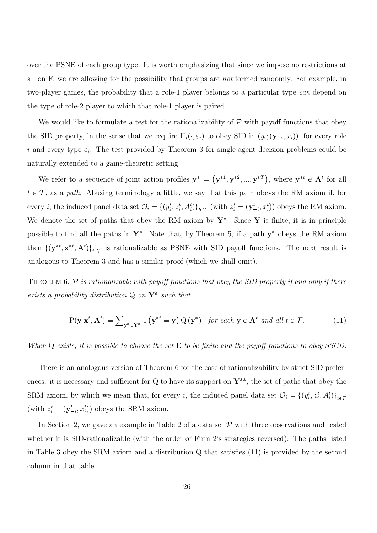over the PSNE of each group type. It is worth emphasizing that since we impose no restrictions at all on F, we are allowing for the possibility that groups are not formed randomly. For example, in two-player games, the probability that a role-1 player belongs to a particular type can depend on the type of role-2 player to which that role-1 player is paired.

We would like to formulate a test for the rationalizability of  $P$  with payoff functions that obey the SID property, in the sense that we require  $\Pi_i(\cdot, \varepsilon_i)$  to obey SID in  $(y_i; (\mathbf{y}_{-i}, x_i))$ , for every role i and every type  $\varepsilon_i$ . The test provided by Theorem 3 for single-agent decision problems could be naturally extended to a game-theoretic setting.

We refer to a sequence of joint action profiles  $y^* = (y^{*1}, y^{*2}, ..., y^{*T})$ , where  $y^{*t} \in A^t$  for all  $t \in \mathcal{T}$ , as a path. Abusing terminology a little, we say that this path obeys the RM axiom if, for every *i*, the induced panel data set  $\mathcal{O}_i = \{(y_i^t, z_i^t, A_i^t)\}_{t \in \mathcal{T}}$  (with  $z_i^t = (\mathbf{y}_{-i}^t, x_i^t)$ ) obeys the RM axiom. We denote the set of paths that obey the RM axiom by  $Y^*$ . Since Y is finite, it is in principle possible to find all the paths in  $\mathbf{Y}^*$ . Note that, by Theorem 5, if a path  $\mathbf{y}^*$  obeys the RM axiom then  $\{(\mathbf{y}^{*t}, \mathbf{x}^{*t}, \mathbf{A}^t)\}_{{t \in \mathcal{T}}}$  is rationalizable as PSNE with SID payoff functions. The next result is analogous to Theorem 3 and has a similar proof (which we shall omit).

THEOREM 6.  $\mathcal P$  is rationalizable with payoff functions that obey the SID property if and only if there exists a probability distribution  $Q$  on  $Y^*$  such that

$$
P(\mathbf{y}|\mathbf{x}^t, \mathbf{A}^t) = \sum_{\mathbf{y}^* \in \mathbf{Y}^*} \mathbf{1}\left(\mathbf{y}^{*t} = \mathbf{y}\right) Q(\mathbf{y}^*) \quad \text{for each } \mathbf{y} \in \mathbf{A}^t \text{ and all } t \in \mathcal{T}.
$$
 (11)

When  $Q$  exists, it is possible to choose the set  $E$  to be finite and the payoff functions to obey SSCD.

There is an analogous version of Theorem 6 for the case of rationalizability by strict SID preferences: it is necessary and sufficient for Q to have its support on  $Y^{**}$ , the set of paths that obey the SRM axiom, by which we mean that, for every i, the induced panel data set  $\mathcal{O}_i = \{(y_i^t, z_i^t, A_i^t)\}_{t \in \mathcal{I}}$ (with  $z_i^t = (\mathbf{y}_{-i}^t, x_i^t)$ ) obeys the SRM axiom.

In Section 2, we gave an example in Table 2 of a data set  $P$  with three observations and tested whether it is SID-rationalizable (with the order of Firm 2's strategies reversed). The paths listed in Table 3 obey the SRM axiom and a distribution Q that satisfies (11) is provided by the second column in that table.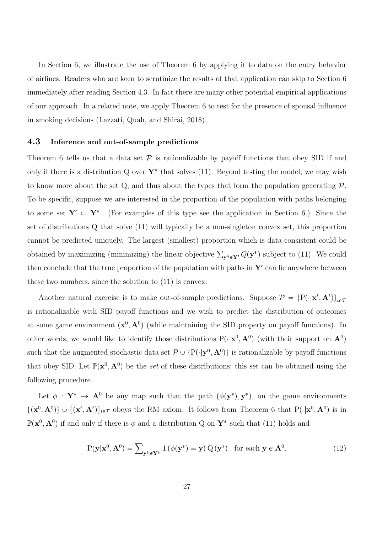In Section 6, we illustrate the use of Theorem 6 by applying it to data on the entry behavior of airlines. Readers who are keen to scrutinize the results of that application can skip to Section 6 immediately after reading Section 4.3. In fact there are many other potential empirical applications of our approach. In a related note, we apply Theorem 6 to test for the presence of spousal influence in smoking decisions (Lazzati, Quah, and Shirai, 2018).

#### 4.3 Inference and out-of-sample predictions

Theorem 6 tells us that a data set  $\mathcal P$  is rationalizable by payoff functions that obey SID if and only if there is a distribution Q over  $Y^*$  that solves (11). Beyond testing the model, we may wish to know more about the set  $Q$ , and thus about the types that form the population generating  $P$ . To be specific, suppose we are interested in the proportion of the population with paths belonging to some set  $Y' \subset Y^*$ . (For examples of this type see the application in Section 6.) Since the set of distributions Q that solve (11) will typically be a non-singleton convex set, this proportion cannot be predicted uniquely. The largest (smallest) proportion which is data-consistent could be obtained by maximizing (minimizing) the linear objective  $\sum_{\mathbf{y}^*\in\mathbf{Y}'} Q(\mathbf{y}^*)$  subject to (11). We could then conclude that the true proportion of the population with paths in  $Y'$  can lie anywhere between these two numbers, since the solution to (11) is convex.

Another natural exercise is to make out-of-sample predictions. Suppose  $P = \{P(\cdot|\mathbf{x}^t, \mathbf{A}^t)\}_{t \in \mathcal{T}}$ is rationalizable with SID payoff functions and we wish to predict the distribution of outcomes at some game environment  $(\mathbf{x}^0, \mathbf{A}^0)$  (while maintaining the SID property on payoff functions). In other words, we would like to identify those distributions  $P(\cdot|\mathbf{x}^0, \mathbf{A}^0)$  (with their support on  $\mathbf{A}^0$ ) such that the augmented stochastic data set  $\mathcal{P} \cup \{P(\cdot|\mathbf{y}^0, \mathbf{A}^0)\}\$ is rationalizable by payoff functions that obey SID. Let  $\mathbb{P}(\mathbf{x}^0, \mathbf{A}^0)$  be the set of these distributions; this set can be obtained using the following procedure.

Let  $\phi : Y^* \to A^0$  be any map such that the path  $(\phi(y^*), y^*)$ , on the game environments  $\{(\mathbf{x}^0, \mathbf{A}^0)\}\cup\{(\mathbf{x}^t, \mathbf{A}^t)\}_{t\in\mathcal{T}}$  obeys the RM axiom. It follows from Theorem 6 that  $P(\cdot|\mathbf{x}^0, \mathbf{A}^0)$  is in  $\mathbb{P}(\mathbf{x}^0, \mathbf{A}^0)$  if and only if there is  $\phi$  and a distribution Q on  $\mathbf{Y}^*$  such that (11) holds and

$$
P(\mathbf{y}|\mathbf{x}^{0}, \mathbf{A}^{0}) = \sum_{\mathbf{y}^* \in \mathbf{Y}^*} 1\left(\phi(\mathbf{y}^*) = \mathbf{y}\right) Q(\mathbf{y}^*) \text{ for each } \mathbf{y} \in \mathbf{A}^{0}.
$$
 (12)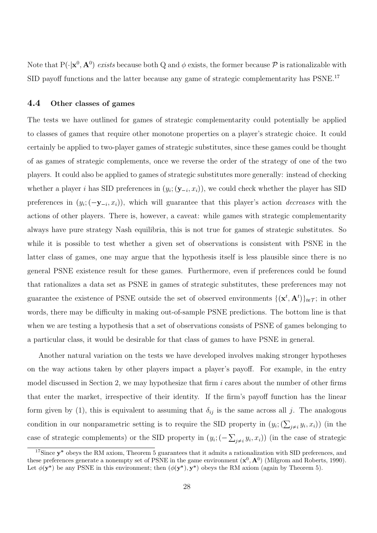Note that  $P(\cdot | x^0, A^0)$  exists because both Q and  $\phi$  exists, the former because  $P$  is rationalizable with SID payoff functions and the latter because any game of strategic complementarity has PSNE.<sup>17</sup>

### 4.4 Other classes of games

The tests we have outlined for games of strategic complementarity could potentially be applied to classes of games that require other monotone properties on a player's strategic choice. It could certainly be applied to two-player games of strategic substitutes, since these games could be thought of as games of strategic complements, once we reverse the order of the strategy of one of the two players. It could also be applied to games of strategic substitutes more generally: instead of checking whether a player *i* has SID preferences in  $(y_i; (\mathbf{y}_{-i}, x_i))$ , we could check whether the player has SID preferences in  $(y_i; (-y_{-i}, x_i))$ , which will guarantee that this player's action *decreases* with the actions of other players. There is, however, a caveat: while games with strategic complementarity always have pure strategy Nash equilibria, this is not true for games of strategic substitutes. So while it is possible to test whether a given set of observations is consistent with PSNE in the latter class of games, one may argue that the hypothesis itself is less plausible since there is no general PSNE existence result for these games. Furthermore, even if preferences could be found that rationalizes a data set as PSNE in games of strategic substitutes, these preferences may not guarantee the existence of PSNE outside the set of observed environments  $\{(\mathbf{x}^t, \mathbf{A}^t)\}_{t \in \mathcal{T}}$ ; in other words, there may be difficulty in making out-of-sample PSNE predictions. The bottom line is that when we are testing a hypothesis that a set of observations consists of PSNE of games belonging to a particular class, it would be desirable for that class of games to have PSNE in general.

Another natural variation on the tests we have developed involves making stronger hypotheses on the way actions taken by other players impact a player's payoff. For example, in the entry model discussed in Section 2, we may hypothesize that firm  $i$  cares about the number of other firms that enter the market, irrespective of their identity. If the firm's payoff function has the linear form given by (1), this is equivalent to assuming that  $\delta_{ij}$  is the same across all j. The analogous condition in our nonparametric setting is to require the SID property in  $(y_i; (\sum_{j\neq i} y_i, x_i))$  (in the case of strategic complements) or the SID property in  $(y_i; (-\sum_{j\neq i} y_i, x_i))$  (in the case of strategic

<sup>&</sup>lt;sup>17</sup>Since  $y^*$  obeys the RM axiom, Theorem 5 guarantees that it admits a rationalization with SID preferences, and these preferences generate a nonempty set of PSNE in the game environment  $(\mathbf{x}^0, \mathbf{A}^0)$  (Milgrom and Roberts, 1990). Let  $\phi(\mathbf{y}^*)$  be any PSNE in this environment; then  $(\phi(\mathbf{y}^*), \mathbf{y}^*)$  obeys the RM axiom (again by Theorem 5).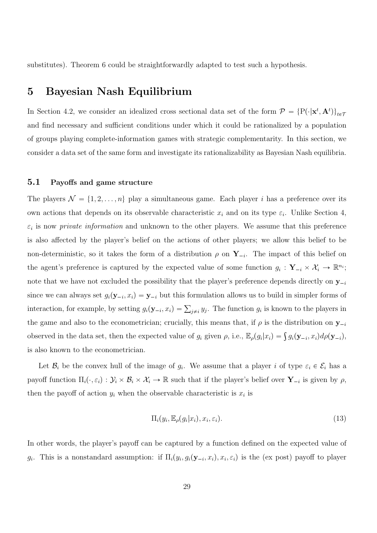substitutes). Theorem 6 could be straightforwardly adapted to test such a hypothesis.

# 5 Bayesian Nash Equilibrium

In Section 4.2, we consider an idealized cross sectional data set of the form  $\mathcal{P} = \{P(\cdot|\mathbf{x}^t, \mathbf{A}^t)\}_{t \in \mathcal{I}}$ and find necessary and sufficient conditions under which it could be rationalized by a population of groups playing complete-information games with strategic complementarity. In this section, we consider a data set of the same form and investigate its rationalizability as Bayesian Nash equilibria.

#### 5.1 Payoffs and game structure

The players  $\mathcal{N} = \{1, 2, ..., n\}$  play a simultaneous game. Each player i has a preference over its own actions that depends on its observable characteristic  $x_i$  and on its type  $\varepsilon_i$ . Unlike Section 4,  $\varepsilon_i$  is now *private information* and unknown to the other players. We assume that this preference is also affected by the player's belief on the actions of other players; we allow this belief to be non-deterministic, so it takes the form of a distribution  $\rho$  on  $Y_{-i}$ . The impact of this belief on the agent's preference is captured by the expected value of some function  $g_i: \mathbf{Y}_{-i} \times \mathcal{X}_i \to \mathbb{R}^{n_i}$ ; note that we have not excluded the possibility that the player's preference depends directly on  $y_{-i}$ since we can always set  $g_i(\mathbf{y}_{-i}, x_i) = \mathbf{y}_{-i}$  but this formulation allows us to build in simpler forms of interaction, for example, by setting  $g_i(\mathbf{y}_{-i}, x_i) = \sum_{j \neq i} y_j$ . The function  $g_i$  is known to the players in the game and also to the econometrician; crucially, this means that, if  $\rho$  is the distribution on  $y_{-i}$ observed in the data set, then the expected value of  $g_i$  given  $\rho$ , i.e.,  $\mathbb{E}_{\rho}(g_i|x_i) = \int g_i(\mathbf{y}_{-i}, x_i) d\rho(\mathbf{y}_{-i}),$ is also known to the econometrician.

Let  $\mathcal{B}_i$  be the convex hull of the image of  $g_i$ . We assume that a player i of type  $\varepsilon_i \in \mathcal{E}_i$  has a payoff function  $\Pi_i(\cdot, \varepsilon_i) : \mathcal{Y}_i \times \mathcal{B}_i \times \mathcal{X}_i \to \mathbb{R}$  such that if the player's belief over  $\mathbf{Y}_{-i}$  is given by  $\rho$ , then the payoff of action  $y_i$  when the observable characteristic is  $x_i$  is

$$
\Pi_i(y_i, \mathbb{E}_{\rho}(g_i|x_i), x_i, \varepsilon_i). \tag{13}
$$

In other words, the player's payoff can be captured by a function defined on the expected value of  $g_i$ . This is a nonstandard assumption: if  $\Pi_i(y_i, g_i(\mathbf{y}_{-i}, x_i), x_i, \varepsilon_i)$  is the (ex post) payoff to player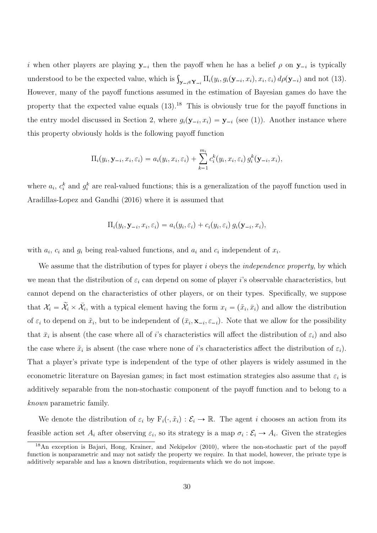i when other players are playing  $y_{-i}$  then the payoff when he has a belief  $\rho$  on  $y_{-i}$  is typically understood to be the expected value, which is  $\int_{\mathbf{y}_{-i} \in \mathbf{Y}_{-i}} \Pi_i(y_i, g_i(\mathbf{y}_{-i}, x_i), x_i, \varepsilon_i) d\rho(\mathbf{y}_{-i})$  and not (13). However, many of the payoff functions assumed in the estimation of Bayesian games do have the property that the expected value equals  $(13)$ .<sup>18</sup> This is obviously true for the payoff functions in the entry model discussed in Section 2, where  $g_i(\mathbf{y}_{-i}, x_i) = \mathbf{y}_{-i}$  (see (1)). Another instance where this property obviously holds is the following payoff function

$$
\Pi_i(y_i, \mathbf{y}_{-i}, x_i, \varepsilon_i) = a_i(y_i, x_i, \varepsilon_i) + \sum_{k=1}^{m_i} c_i^k(y_i, x_i, \varepsilon_i) g_i^k(\mathbf{y}_{-i}, x_i),
$$

where  $a_i$ ,  $c_i^k$  and  $g_i^k$  are real-valued functions; this is a generalization of the payoff function used in Aradillas-Lopez and Gandhi (2016) where it is assumed that

$$
\Pi_i(y_i, \mathbf{y}_{-i}, x_i, \varepsilon_i) = a_i(y_i, \varepsilon_i) + c_i(y_i, \varepsilon_i) g_i(\mathbf{y}_{-i}, x_i),
$$

with  $a_i$ ,  $c_i$  and  $g_i$  being real-valued functions, and  $a_i$  and  $c_i$  independent of  $x_i$ .

We assume that the distribution of types for player  $i$  obeys the *independence property*, by which we mean that the distribution of  $\varepsilon_i$  can depend on some of player i's observable characteristics, but cannot depend on the characteristics of other players, or on their types. Specifically, we suppose that  $\mathcal{X}_i = \tilde{\mathcal{X}}_i \times \bar{\mathcal{X}}_i$ , with a typical element having the form  $x_i = (\tilde{x}_i, \bar{x}_i)$  and allow the distribution of  $\varepsilon_i$  to depend on  $\tilde{x}_i$ , but to be independent of  $(\bar{x}_i, \mathbf{x}_{-i}, \varepsilon_{-i})$ . Note that we allow for the possibility that  $\bar{x}_i$  is absent (the case where all of *i*'s characteristics will affect the distribution of  $\varepsilon_i$ ) and also the case where  $\tilde{x}_i$  is absent (the case where none of *i*'s characteristics affect the distribution of  $\varepsilon_i$ ). That a player's private type is independent of the type of other players is widely assumed in the econometric literature on Bayesian games; in fact most estimation strategies also assume that  $\varepsilon_i$  is additively separable from the non-stochastic component of the payoff function and to belong to a known parametric family.

We denote the distribution of  $\varepsilon_i$  by  $F_i(\cdot, \tilde{x}_i): \mathcal{E}_i \to \mathbb{R}$ . The agent i chooses an action from its feasible action set  $A_i$  after observing  $\varepsilon_i$ , so its strategy is a map  $\sigma_i : \mathcal{E}_i \to A_i$ . Given the strategies

<sup>&</sup>lt;sup>18</sup>An exception is Bajari, Hong, Krainer, and Nekipelov (2010), where the non-stochastic part of the payoff function is nonparametric and may not satisfy the property we require. In that model, however, the private type is additively separable and has a known distribution, requirements which we do not impose.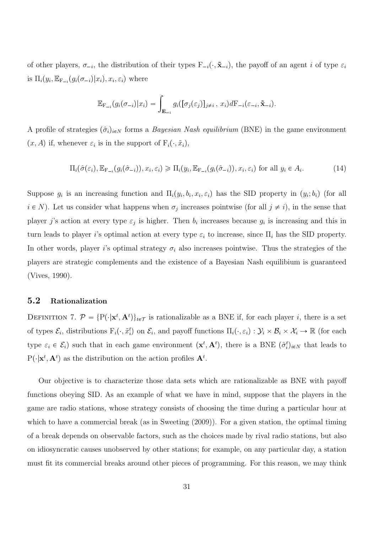of other players,  $\sigma_{-i}$ , the distribution of their types  $F_{-i}(\cdot, \tilde{\mathbf{x}}_{-i})$ , the payoff of an agent i of type  $\varepsilon_i$ is  $\Pi_i(y_i, \mathbb{E}_{\mathbf{F}_{-i}}(g_i(\sigma_{-i})|x_i), x_i, \varepsilon_i)$  where

$$
\mathbb{E}_{\mathbf{F}_{-i}}(g_i(\sigma_{-i})|x_i) = \int_{\mathbf{E}_{-i}} g_i([\sigma_j(\varepsilon_j)]_{j\neq i}, x_i) d\mathbf{F}_{-i}(\varepsilon_{-i}, \tilde{\mathbf{x}}_{-i}).
$$

A profile of strategies  $(\hat{\sigma}_i)_{i\in\mathbb{N}}$  forms a *Bayesian Nash equilibrium* (BNE) in the game environment  $(x, A)$  if, whenever  $\varepsilon_i$  is in the support of  $F_i(\cdot, \tilde{x}_i)$ ,

$$
\Pi_i(\hat{\sigma}(\varepsilon_i), \mathbb{E}_{\mathcal{F}_{-i}}(g_i(\hat{\sigma}_{-i})), x_i, \varepsilon_i) \ge \Pi_i(y_i, \mathbb{E}_{\mathcal{F}_{-i}}(g_i(\hat{\sigma}_{-i})), x_i, \varepsilon_i) \text{ for all } y_i \in A_i.
$$
\n(14)

Suppose  $g_i$  is an increasing function and  $\Pi_i(y_i, b_i, x_i, \varepsilon_i)$  has the SID property in  $(y_i; b_i)$  (for all  $i \in N$ ). Let us consider what happens when  $\sigma_j$  increases pointwise (for all  $j \neq i$ ), in the sense that player j's action at every type  $\varepsilon_j$  is higher. Then  $b_i$  increases because  $g_i$  is increasing and this in turn leads to player i's optimal action at every type  $\varepsilon_i$  to increase, since  $\Pi_i$  has the SID property. In other words, player i's optimal strategy  $\sigma_i$  also increases pointwise. Thus the strategies of the players are strategic complements and the existence of a Bayesian Nash equilibium is guaranteed (Vives, 1990).

#### 5.2 Rationalization

DEFINITION 7.  $\mathcal{P} = \{P(\cdot|\mathbf{x}^t, \mathbf{A}^t)\}_{t \in \mathcal{T}}$  is rationalizable as a BNE if, for each player *i*, there is a set of types  $\mathcal{E}_i$ , distributions  $F_i(\cdot, \tilde{x}_i^t)$  on  $\mathcal{E}_i$ , and payoff functions  $\Pi_i(\cdot, \varepsilon_i) : \mathcal{Y}_i \times \mathcal{B}_i \times \mathcal{X}_i \to \mathbb{R}$  (for each type  $\varepsilon_i \in \mathcal{E}_i$ ) such that in each game environment  $(\mathbf{x}^t, \mathbf{A}^t)$ , there is a BNE  $(\hat{\sigma}_i^t)_{i \in N}$  that leads to  $P(\cdot | \mathbf{x}^t, \mathbf{A}^t)$  as the distribution on the action profiles  $\mathbf{A}^t$ .

Our objective is to characterize those data sets which are rationalizable as BNE with payoff functions obeying SID. As an example of what we have in mind, suppose that the players in the game are radio stations, whose strategy consists of choosing the time during a particular hour at which to have a commercial break (as in Sweeting (2009)). For a given station, the optimal timing of a break depends on observable factors, such as the choices made by rival radio stations, but also on idiosyncratic causes unobserved by other stations; for example, on any particular day, a station must fit its commercial breaks around other pieces of programming. For this reason, we may think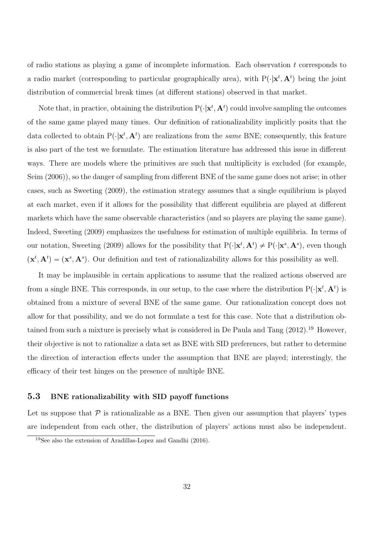of radio stations as playing a game of incomplete information. Each observation t corresponds to a radio market (corresponding to particular geographically area), with  $P(\cdot|\mathbf{x}^t, \mathbf{A}^t)$  being the joint distribution of commercial break times (at different stations) observed in that market.

Note that, in practice, obtaining the distribution  $P(\cdot | \mathbf{x}^t, \mathbf{A}^t)$  could involve sampling the outcomes of the same game played many times. Our definition of rationalizability implicitly posits that the data collected to obtain  $P(\cdot|\mathbf{x}^t, \mathbf{A}^t)$  are realizations from the *same* BNE; consequently, this feature is also part of the test we formulate. The estimation literature has addressed this issue in different ways. There are models where the primitives are such that multiplicity is excluded (for example, Seim (2006)), so the danger of sampling from different BNE of the same game does not arise; in other cases, such as Sweeting (2009), the estimation strategy assumes that a single equilibrium is played at each market, even if it allows for the possibility that different equilibria are played at different markets which have the same observable characteristics (and so players are playing the same game). Indeed, Sweeting (2009) emphasizes the usefulness for estimation of multiple equilibria. In terms of our notation, Sweeting (2009) allows for the possibility that  $P(\cdot|\mathbf{x}^t, \mathbf{A}^t) \neq P(\cdot|\mathbf{x}^s, \mathbf{A}^s)$ , even though  $(\mathbf{x}^t, \mathbf{A}^t) = (\mathbf{x}^s, \mathbf{A}^s)$ . Our definition and test of rationalizability allows for this possibility as well.

It may be implausible in certain applications to assume that the realized actions observed are from a single BNE. This corresponds, in our setup, to the case where the distribution  $P(\cdot | \mathbf{x}^t, \mathbf{A}^t)$  is obtained from a mixture of several BNE of the same game. Our rationalization concept does not allow for that possibility, and we do not formulate a test for this case. Note that a distribution obtained from such a mixture is precisely what is considered in De Paula and Tang (2012).<sup>19</sup> However, their objective is not to rationalize a data set as BNE with SID preferences, but rather to determine the direction of interaction effects under the assumption that BNE are played; interestingly, the efficacy of their test hinges on the presence of multiple BNE.

#### 5.3 BNE rationalizability with SID payoff functions

Let us suppose that  $P$  is rationalizable as a BNE. Then given our assumption that players' types are independent from each other, the distribution of players' actions must also be independent.

<sup>&</sup>lt;sup>19</sup>See also the extension of Aradillas-Lopez and Gandhi  $(2016)$ .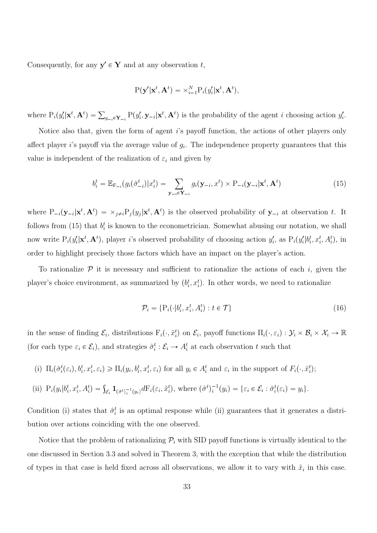Consequently, for any  $y' \in Y$  and at any observation t,

$$
P(\mathbf{y}'|\mathbf{x}^t, \mathbf{A}^t) = \times_{i=1}^N P_i(y'_i|\mathbf{x}^t, \mathbf{A}^t),
$$

where  $P_i(y'_i|\mathbf{x}^t, \mathbf{A}^t) = \sum_{y_{-i} \in \mathbf{Y}_{-i}} P(y'_i, \mathbf{y}_{-i}|\mathbf{x}^t, \mathbf{A}^t)$  is the probability of the agent *i* choosing action  $y'_i$ .

Notice also that, given the form of agent i's payoff function, the actions of other players only affect player *i*'s payoff via the average value of  $g_i$ . The independence property guarantees that this value is independent of the realization of  $\varepsilon_i$  and given by

$$
b_i^t = \mathbb{E}_{\mathbf{F}_{-i}}(g_i(\hat{\sigma}_{-i}^t)|x_i^t) = \sum_{\mathbf{y}_{-i} \in \mathbf{Y}_{-i}} g_i(\mathbf{y}_{-i}, x^t) \times \mathbf{P}_{-i}(\mathbf{y}_{-i}|\mathbf{x}^t, \mathbf{A}^t)
$$
(15)

where  $P_{-i}(\mathbf{y}_{-i}|\mathbf{x}^t, \mathbf{A}^t) = \times_{j\neq i} P_j(y_j|\mathbf{x}^t, \mathbf{A}^t)$  is the observed probability of  $\mathbf{y}_{-i}$  at observation t. It follows from (15) that  $b_i^t$  is known to the econometrician. Somewhat abusing our notation, we shall now write  $P_i(y_i'|\mathbf{x}^t, \mathbf{A}^t)$ , player *i*'s observed probability of choosing action  $y_i'$ , as  $P_i(y_i'|b_i^t, x_i^t, A_i^t)$ , in order to highlight precisely those factors which have an impact on the player's action.

To rationalize  $P$  it is necessary and sufficient to rationalize the actions of each i, given the player's choice environment, as summarized by  $(b_i^t, x_i^t)$ . In other words, we need to rationalize

$$
\mathcal{P}_i = \{ \mathcal{P}_i(\cdot | b_i^t, x_i^t, A_i^t) : t \in \mathcal{T} \}
$$
\n
$$
(16)
$$

in the sense of finding  $\mathcal{E}_i$ , distributions  $F_i(\cdot, \tilde{x}_i^t)$  on  $\mathcal{E}_i$ , payoff functions  $\Pi_i(\cdot, \varepsilon_i) : \mathcal{Y}_i \times \mathcal{B}_i \times \mathcal{X}_i \to \mathbb{R}$ (for each type  $\varepsilon_i \in \mathcal{E}_i$ ), and strategies  $\hat{\sigma}_i^t : \mathcal{E}_i \to A_i^t$  at each observation t such that

- (i)  $\Pi_i(\hat{\sigma}_i^t(\varepsilon_i), b_i^t, x_i^t, \varepsilon_i) \ge \Pi_i(y_i, b_i^t, x_i^t, \varepsilon_i)$  for all  $y_i \in A_i^t$  and  $\varepsilon_i$  in the support of  $F_i(\cdot, \tilde{x}_i^t);$
- (ii)  $P_i(y_i|b_i^t, x_i^t, A_i^t) = \int_{\mathcal{E}_i} \mathbf{1}_{(\hat{\sigma}^t)_i^{-1}(y_i)} dF_i(\varepsilon_i, \tilde{x}_i^t)$ , where  $(\hat{\sigma}^t)_i^{-1}(y_i) = \{\varepsilon_i \in \mathcal{E}_i : \hat{\sigma}_i^t(\varepsilon_i) = y_i\}.$

Condition (i) states that  $\hat{\sigma}_i^t$  is an optimal response while (ii) guarantees that it generates a distribution over actions coinciding with the one observed.

Notice that the problem of rationalizing  $\mathcal{P}_i$  with SID payoff functions is virtually identical to the one discussed in Section 3.3 and solved in Theorem 3, with the exception that while the distribution of types in that case is held fixed across all observations, we allow it to vary with  $\tilde{x}_i$  in this case.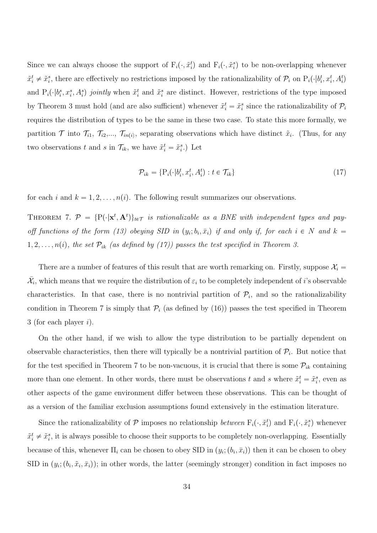Since we can always choose the support of  $F_i(\cdot, \tilde{x}_i^t)$  and  $F_i(\cdot, \tilde{x}_i^s)$  to be non-overlapping whenever  $\tilde{x}_i^t \neq \tilde{x}_i^s$ , there are effectively no restrictions imposed by the rationalizability of  $\mathcal{P}_i$  on  $P_i(\cdot | b_i^t, x_i^t, A_i^t)$ and  $P_i(\cdot|b_i^s, x_i^s, A_i^s)$  jointly when  $\tilde{x}_i^t$  and  $\tilde{x}_i^s$  are distinct. However, restrictions of the type imposed by Theorem 3 must hold (and are also sufficient) whenever  $\tilde{x}_i^t = \tilde{x}_i^s$  since the rationalizability of  $\mathcal{P}_i$ requires the distribution of types to be the same in these two case. To state this more formally, we partition  $\mathcal T$  into  $\mathcal T_{i1}$ ,  $\mathcal T_{i2},...,\mathcal T_{in(i)}$ , separating observations which have distinct  $\tilde x_i$ . (Thus, for any two observations t and s in  $\mathcal{T}_{ik}$ , we have  $\tilde{x}_i^t = \tilde{x}_i^s$ .) Let

$$
\mathcal{P}_{ik} = \{ \mathbf{P}_i(\cdot | b_i^t, x_i^t, A_i^t) : t \in \mathcal{T}_{ik} \}
$$
\n
$$
(17)
$$

for each i and  $k = 1, 2, ..., n(i)$ . The following result summarizes our observations.

THEOREM 7.  $\mathcal{P} = \{P(\cdot|\mathbf{x}^t, \mathbf{A}^t)\}_{t \in \mathcal{T}}$  is rationalizable as a BNE with independent types and payoff functions of the form (13) obeying SID in  $(y_i; b_i, \bar{x}_i)$  if and only if, for each  $i \in N$  and  $k =$  $1, 2, \ldots, n(i)$ , the set  $\mathcal{P}_{ik}$  (as defined by (17)) passes the test specified in Theorem 3.

There are a number of features of this result that are worth remarking on. Firstly, suppose  $\mathcal{X}_i$  $\bar{\mathcal{X}}_i$ , which means that we require the distribution of  $\varepsilon_i$  to be completely independent of *i*'s observable characteristics. In that case, there is no nontrivial partition of  $\mathcal{P}_i$ , and so the rationalizability condition in Theorem 7 is simply that  $P_i$  (as defined by (16)) passes the test specified in Theorem 3 (for each player  $i$ ).

On the other hand, if we wish to allow the type distribution to be partially dependent on observable characteristics, then there will typically be a nontrivial partition of  $\mathcal{P}_i$ . But notice that for the test specified in Theorem 7 to be non-vacuous, it is crucial that there is some  $\mathcal{P}_{ik}$  containing more than one element. In other words, there must be observations t and s where  $\tilde{x}_i^t = \tilde{x}_i^s$ , even as other aspects of the game environment differ between these observations. This can be thought of as a version of the familiar exclusion assumptions found extensively in the estimation literature.

Since the rationalizability of  $P$  imposes no relationship *between*  $F_i(\cdot, \tilde{x}_i^t)$  and  $F_i(\cdot, \tilde{x}_i^s)$  whenever  $\tilde{x}_i^t \neq \tilde{x}_i^s$ , it is always possible to choose their supports to be completely non-overlapping. Essentially because of this, whenever  $\Pi_i$  can be chosen to obey SID in  $(y_i; (b_i, \bar{x}_i))$  then it can be chosen to obey SID in  $(y_i; (b_i, \tilde{x}_i, \bar{x}_i))$ ; in other words, the latter (seemingly stronger) condition in fact imposes no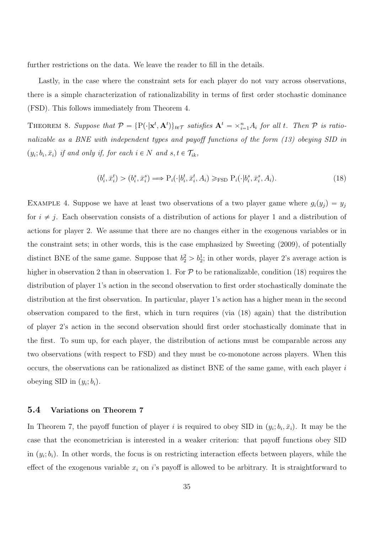further restrictions on the data. We leave the reader to fill in the details.

Lastly, in the case where the constraint sets for each player do not vary across observations, there is a simple characterization of rationalizability in terms of first order stochastic dominance (FSD). This follows immediately from Theorem 4.

THEOREM 8. Suppose that  $\mathcal{P} = \{P(\cdot|\mathbf{x}^t, \mathbf{A}^t)\}_{t \in \mathcal{T}}$  satisfies  $\mathbf{A}^t = \times_{i=1}^n A_i$  for all t. Then  $\mathcal P$  is rationalizable as a BNE with independent types and payoff functions of the form (13) obeying SID in  $(y_i; b_i, \bar{x}_i)$  if and only if, for each  $i \in N$  and  $s, t \in \mathcal{T}_{ik}$ ,

$$
(b_i^t, \bar{x}_i^t) > (b_i^s, \bar{x}_i^s) \Longrightarrow \mathcal{P}_i(\cdot | b_i^t, \bar{x}_i^t, A_i) \geq \text{FSD } \mathcal{P}_i(\cdot | b_i^s, \bar{x}_i^s, A_i). \tag{18}
$$

EXAMPLE 4. Suppose we have at least two observations of a two player game where  $g_i(y_j) = y_j$ for  $i \neq j$ . Each observation consists of a distribution of actions for player 1 and a distribution of actions for player 2. We assume that there are no changes either in the exogenous variables or in the constraint sets; in other words, this is the case emphasized by Sweeting (2009), of potentially distinct BNE of the same game. Suppose that  $b_2^2 > b_2^1$ ; in other words, player 2's average action is higher in observation 2 than in observation 1. For  $P$  to be rationalizable, condition (18) requires the distribution of player 1's action in the second observation to first order stochastically dominate the distribution at the first observation. In particular, player 1's action has a higher mean in the second observation compared to the first, which in turn requires (via (18) again) that the distribution of player 2's action in the second observation should first order stochastically dominate that in the first. To sum up, for each player, the distribution of actions must be comparable across any two observations (with respect to FSD) and they must be co-monotone across players. When this occurs, the observations can be rationalized as distinct BNE of the same game, with each player  $i$ obeying SID in  $(y_i; b_i)$ .

#### 5.4 Variations on Theorem 7

In Theorem 7, the payoff function of player *i* is required to obey SID in  $(y_i; b_i, \bar{x}_i)$ . It may be the case that the econometrician is interested in a weaker criterion: that payoff functions obey SID in  $(y_i; b_i)$ . In other words, the focus is on restricting interaction effects between players, while the effect of the exogenous variable  $x_i$  on i's payoff is allowed to be arbitrary. It is straightforward to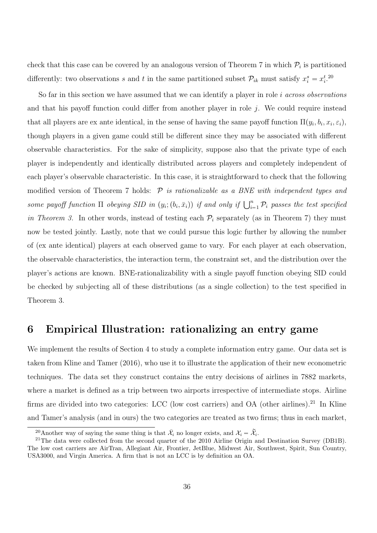check that this case can be covered by an analogous version of Theorem 7 in which  $P_i$  is partitioned differently: two observations s and t in the same partitioned subset  $\mathcal{P}_{ik}$  must satisfy  $x_i^s = x_i^t$ .<sup>20</sup>

So far in this section we have assumed that we can identify a player in role *i* across observations and that his payoff function could differ from another player in role  $j$ . We could require instead that all players are ex ante identical, in the sense of having the same payoff function  $\Pi(y_i, b_i, x_i, \varepsilon_i)$ , though players in a given game could still be different since they may be associated with different observable characteristics. For the sake of simplicity, suppose also that the private type of each player is independently and identically distributed across players and completely independent of each player's observable characteristic. In this case, it is straightforward to check that the following modified version of Theorem 7 holds:  $P$  is rationalizable as a BNE with independent types and some payoff function  $\Pi$  obeying SID in  $(y_i; (b_i, \bar{x}_i))$  if and only if  $\bigcup_{i=1}^n \mathcal{P}_i$  passes the test specified in Theorem 3. In other words, instead of testing each  $\mathcal{P}_i$  separately (as in Theorem 7) they must now be tested jointly. Lastly, note that we could pursue this logic further by allowing the number of (ex ante identical) players at each observed game to vary. For each player at each observation, the observable characteristics, the interaction term, the constraint set, and the distribution over the player's actions are known. BNE-rationalizability with a single payoff function obeying SID could be checked by subjecting all of these distributions (as a single collection) to the test specified in Theorem 3.

## 6 Empirical Illustration: rationalizing an entry game

We implement the results of Section 4 to study a complete information entry game. Our data set is taken from Kline and Tamer (2016), who use it to illustrate the application of their new econometric techniques. The data set they construct contains the entry decisions of airlines in 7882 markets, where a market is defined as a trip between two airports irrespective of intermediate stops. Airline firms are divided into two categories: LCC (low cost carriers) and OA (other airlines).<sup>21</sup> In Kline and Tamer's analysis (and in ours) the two categories are treated as two firms; thus in each market, d Tamer's analysis (and in ours) the two categories are treated as two<br><sup>20</sup>Another way of saying the same thing is that  $\bar{\mathcal{X}}_i$  no longer exists, and  $\mathcal{X}_i = \tilde{\mathcal{X}}_i$ .

<sup>&</sup>lt;sup>21</sup>The data were collected from the second quarter of the 2010 Airline Origin and Destination Survey (DB1B). The low cost carriers are AirTran, Allegiant Air, Frontier, JetBlue, Midwest Air, Southwest, Spirit, Sun Country, USA3000, and Virgin America. A firm that is not an LCC is by definition an OA.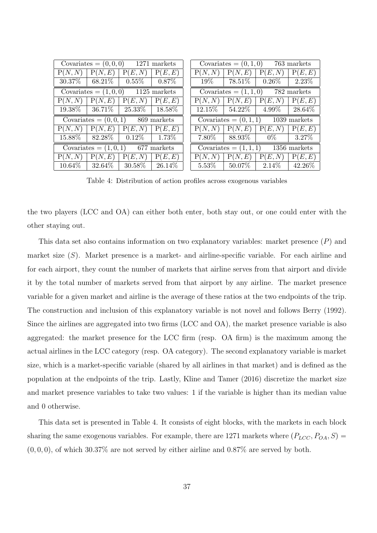|           |           | Covariates = $(0,0,0)$ 1271 markets                                   |          |          | Covariates $= (0, 1, 0)$ |                                       | 763 markets |
|-----------|-----------|-----------------------------------------------------------------------|----------|----------|--------------------------|---------------------------------------|-------------|
| P(N, N)   | P(N,E)    | P(E, N)                                                               | P(E, E)  | P(N,N)   | P(N,E)                   | P(E, N)                               | P(E, E)     |
| $30.37\%$ | $68.21\%$ | $\begin{array}{ c} 0.55\% \end{array}$                                | $0.87\%$ | $19\%$   | $78.51\%$                | $0.26\%$                              | 2.23\%      |
|           |           | Covariates = $(1,0,0)$ 1125 markets                                   |          |          |                          | Covariates = $(1, 1, 0)$ 782 markets  |             |
| P(N, N)   | P(N,E)    | P(E, N)                                                               | P(E, E)  | P(N,N)   | P(N,E)                   | P(E, N)                               | P(E,E)      |
|           |           | $19.38\%$   $36.71\%$   $25.33\%$   $18.58\%$                         |          |          | $12.15\%$   54.22\%      | $4.99\%$ 28.64\%                      |             |
|           |           | Covariates = $(0,0,1)$ 869 markets                                    |          |          |                          | Covariates = $(0, 1, 1)$ 1039 markets |             |
| P(N, N)   | P(N,E)    | P(E, N)                                                               | P(E, E)  | P(N, N)  | P(N,E)                   | P(E, N)                               | P(E, E)     |
| $15.88\%$ | $82.28\%$ | $\begin{array}{ c c c c c } \hline 0.12\% & \hline \end{array}$ 1.73% |          | $7.80\%$ | $88.93\%$ $\,$           | $0\%$                                 | $3.27\%$    |
|           |           |                                                                       |          |          |                          |                                       |             |
|           |           | Covariates = $(1,0,1)$ 677 markets                                    |          |          |                          | Covariates = $(1, 1, 1)$ 1356 markets |             |
| P(N, N)   | P(N,E)    | P(E, N)                                                               | P(E, E)  | P(N, N)  | P(N,E)                   | P(E, N)                               | P(E,E)      |

Table 4: Distribution of action profiles across exogenous variables

the two players (LCC and OA) can either both enter, both stay out, or one could enter with the other staying out.

This data set also contains information on two explanatory variables: market presence  $(P)$  and market size  $(S)$ . Market presence is a market- and airline-specific variable. For each airline and for each airport, they count the number of markets that airline serves from that airport and divide it by the total number of markets served from that airport by any airline. The market presence variable for a given market and airline is the average of these ratios at the two endpoints of the trip. The construction and inclusion of this explanatory variable is not novel and follows Berry (1992). Since the airlines are aggregated into two firms (LCC and OA), the market presence variable is also aggregated: the market presence for the LCC firm (resp. OA firm) is the maximum among the actual airlines in the LCC category (resp. OA category). The second explanatory variable is market size, which is a market-specific variable (shared by all airlines in that market) and is defined as the population at the endpoints of the trip. Lastly, Kline and Tamer (2016) discretize the market size and market presence variables to take two values: 1 if the variable is higher than its median value and 0 otherwise.

This data set is presented in Table 4. It consists of eight blocks, with the markets in each block sharing the same exogenous variables. For example, there are 1271 markets where  $(P_{LCC}, P_{OA}, S)$  $(0, 0, 0)$ , of which 30.37% are not served by either airline and 0.87% are served by both.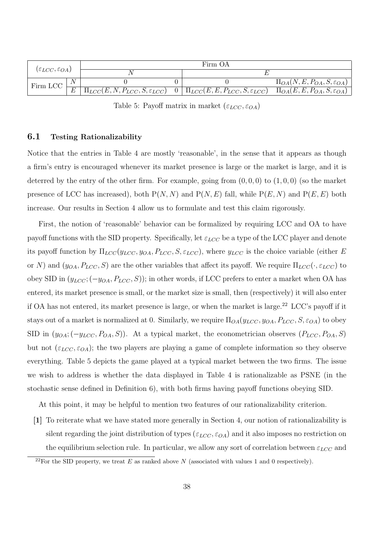| $(\varepsilon_{LCC}, \varepsilon_{OA})$ |                | Firm OA                                                                                                              |  |  |                                               |  |  |  |  |
|-----------------------------------------|----------------|----------------------------------------------------------------------------------------------------------------------|--|--|-----------------------------------------------|--|--|--|--|
|                                         |                |                                                                                                                      |  |  |                                               |  |  |  |  |
| Firm LCC                                |                |                                                                                                                      |  |  | $\Pi_{OA}(N, E, P_{OA}, S, \varepsilon_{OA})$ |  |  |  |  |
|                                         | $\overline{E}$ | $\boxed{\Pi_{LCC}(E, N, P_{LCC}, S, \varepsilon_{LCC}) \quad 0 \mid \Pi_{LCC}(E, E, P_{LCC}, S, \varepsilon_{LCC})}$ |  |  | $\Pi_{OA}(E, E, P_{OA}, S, \varepsilon_{OA})$ |  |  |  |  |

Table 5: Payoff matrix in market  $(\varepsilon_{LCC}, \varepsilon_{OA})$ 

### 6.1 Testing Rationalizability

Notice that the entries in Table 4 are mostly 'reasonable', in the sense that it appears as though a firm's entry is encouraged whenever its market presence is large or the market is large, and it is deterred by the entry of the other firm. For example, going from  $(0, 0, 0)$  to  $(1, 0, 0)$  (so the market presence of LCC has increased), both  $P(N, N)$  and  $P(N, E)$  fall, while  $P(E, N)$  and  $P(E, E)$  both increase. Our results in Section 4 allow us to formulate and test this claim rigorously.

First, the notion of 'reasonable' behavior can be formalized by requiring LCC and OA to have payoff functions with the SID property. Specifically, let  $\varepsilon_{LCC}$  be a type of the LCC player and denote its payoff function by  $\Pi_{LCC}(y_{LCC}, y_{OA}, P_{LCC}, S, \varepsilon_{LCC})$ , where  $y_{LCC}$  is the choice variable (either E or N) and  $(y_{OA}, P_{LCC}, S)$  are the other variables that affect its payoff. We require  $\Pi_{LCC}(\cdot, \varepsilon_{LCC})$  to obey SID in  $(y_{LCC}; (-y_{OA}, P_{LCC}, S))$ ; in other words, if LCC prefers to enter a market when OA has entered, its market presence is small, or the market size is small, then (respectively) it will also enter if OA has not entered, its market presence is large, or when the market is large.<sup>22</sup> LCC's payoff if it stays out of a market is normalized at 0. Similarly, we require  $\Pi_{OA}(y_{LCC}, y_{OA}, P_{LCC}, S, \varepsilon_{OA})$  to obey SID in  $(y_{OA}; (-y_{LCC}, P_{OA}, S))$ . At a typical market, the econometrician observes  $(P_{LCC}, P_{OA}, S)$ but not  $(\varepsilon_{LCC}, \varepsilon_{OA})$ ; the two players are playing a game of complete information so they observe everything. Table 5 depicts the game played at a typical market between the two firms. The issue we wish to address is whether the data displayed in Table 4 is rationalizable as PSNE (in the stochastic sense defined in Definition 6), with both firms having payoff functions obeying SID.

At this point, it may be helpful to mention two features of our rationalizability criterion.

[1] To reiterate what we have stated more generally in Section 4, our notion of rationalizability is silent regarding the joint distribution of types  $(\varepsilon_{LCC}, \varepsilon_{OA})$  and it also imposes no restriction on the equilibrium selection rule. In particular, we allow any sort of correlation between  $\varepsilon_{LCC}$  and

<sup>&</sup>lt;sup>22</sup>For the SID property, we treat E as ranked above N (associated with values 1 and 0 respectively).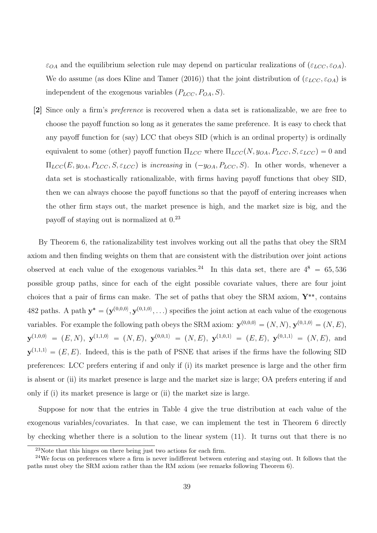$\varepsilon_{OA}$  and the equilibrium selection rule may depend on particular realizations of  $(\varepsilon_{LCC}, \varepsilon_{OA})$ . We do assume (as does Kline and Tamer (2016)) that the joint distribution of  $(\varepsilon_{LCC}, \varepsilon_{OA})$  is independent of the exogenous variables  $(P_{LCC}, P_{OA}, S)$ .

[2] Since only a firm's preference is recovered when a data set is rationalizable, we are free to choose the payoff function so long as it generates the same preference. It is easy to check that any payoff function for (say) LCC that obeys SID (which is an ordinal property) is ordinally equivalent to some (other) payoff function  $\Pi_{LCC}$  where  $\Pi_{LCC}(N, y_{OA}, P_{LCC}, S, \varepsilon_{LCC}) = 0$  and  $\Pi_{LCC}(E, y_{OA}, P_{LCC}, S, \varepsilon_{LCC})$  is increasing in  $(-y_{OA}, P_{LCC}, S)$ . In other words, whenever a data set is stochastically rationalizable, with firms having payoff functions that obey SID, then we can always choose the payoff functions so that the payoff of entering increases when the other firm stays out, the market presence is high, and the market size is big, and the payoff of staying out is normalized at 0.<sup>23</sup>

By Theorem 6, the rationalizability test involves working out all the paths that obey the SRM axiom and then finding weights on them that are consistent with the distribution over joint actions observed at each value of the exogenous variables.<sup>24</sup> In this data set, there are  $4^8 = 65,536$ possible group paths, since for each of the eight possible covariate values, there are four joint choices that a pair of firms can make. The set of paths that obey the SRM axiom,  $Y^{**}$ , contains 482 paths. A path  $y^* = (y^{(0,0,0)}, y^{(0,1,0)}, \ldots)$  specifies the joint action at each value of the exogenous variables. For example the following path obeys the SRM axiom:  $\mathbf{y}^{(0,0,0)} = (N, N), \mathbf{y}^{(0,1,0)} = (N, E),$  $\mathbf{y}^{(1,0,0)} = (E, N), \ \mathbf{y}^{(1,1,0)} = (N, E), \ \mathbf{y}^{(0,0,1)} = (N, E), \ \mathbf{y}^{(1,0,1)} = (E, E), \ \mathbf{y}^{(0,1,1)} = (N, E), \text{ and}$  $\mathbf{y}^{(1,1,1)} = (E, E)$ . Indeed, this is the path of PSNE that arises if the firms have the following SID preferences: LCC prefers entering if and only if (i) its market presence is large and the other firm is absent or (ii) its market presence is large and the market size is large; OA prefers entering if and only if (i) its market presence is large or (ii) the market size is large.

Suppose for now that the entries in Table 4 give the true distribution at each value of the exogenous variables/covariates. In that case, we can implement the test in Theorem 6 directly by checking whether there is a solution to the linear system (11). It turns out that there is no

 $23$ Note that this hinges on there being just two actions for each firm.

 $24$ We focus on preferences where a firm is never indifferent between entering and staying out. It follows that the paths must obey the SRM axiom rather than the RM axiom (see remarks following Theorem 6).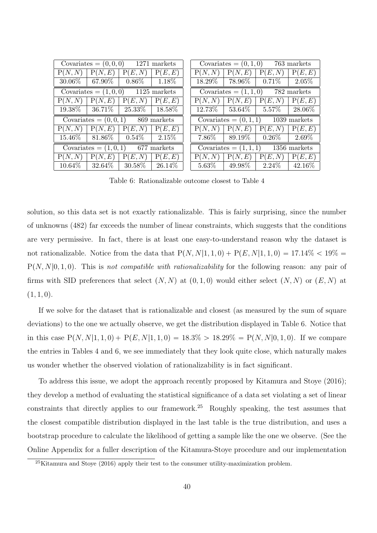|                                    |                          | Covariates = $(0,0,0)$ 1271 markets |          |          |                     | Covariates = $(0, 1, 0)$ 763 markets  |           |
|------------------------------------|--------------------------|-------------------------------------|----------|----------|---------------------|---------------------------------------|-----------|
| P(N, N)                            | P(N,E)                   | P(E, N)                             | P(E,E)   | P(N, N)  | P(N,E)              | P(E, N)                               | P(E, E)   |
| $30.06\%$                          | $67.90\%$                | $0.86\%$                            | $1.18\%$ |          | $18.29\%$   78.96\% | $0.71\%$                              | 2.05%     |
|                                    |                          | Covariates = $(1,0,0)$ 1125 markets |          |          |                     | Covariates = $(1, 1, 0)$ 782 markets  |           |
| P(N, N)                            | P(N,E)                   | (E, N)<br>P(                        | P(E, E)  | P(N, N)  | P(N,E)              | P(E, N)                               | P(E,E)    |
| $19.38\%$                          |                          | $ 36.71\% 25.33\% 18.58\%$          |          |          |                     | $12.73\%$   53.64\%   5.57\%          | $28.06\%$ |
| Covariates = $(0,0,1)$ 869 markets |                          |                                     |          |          |                     | Covariates = $(0, 1, 1)$ 1039 markets |           |
| P(N, N)                            | P(N,E)                   | P(E, N)                             | P(E, E)  | P(N, N)  | P(N,E)              | P(E, N)                               | P(E,E)    |
| $15.46\%$                          | $81.86\%$                | $0.54\%$                            | $2.15\%$ | $7.86\%$ | $89.19\%$           | $0.26\%$                              | $2.69\%$  |
|                                    | Covariates $= (1, 0, 1)$ | $677$ markets                       |          |          |                     | Covariates = $(1, 1, 1)$ 1356 markets |           |
|                                    |                          |                                     |          |          |                     |                                       |           |
| P(N, N)                            | P(N,E)                   | P(<br>(E,N)                         | P(E,E)   | P(N, N)  | P(N,E)              | P(E, N)                               | P(E,E)    |

Table 6: Rationalizable outcome closest to Table 4

solution, so this data set is not exactly rationalizable. This is fairly surprising, since the number of unknowns (482) far exceeds the number of linear constraints, which suggests that the conditions are very permissive. In fact, there is at least one easy-to-understand reason why the dataset is not rationalizable. Notice from the data that  $P(N, N|1, 1, 0) + P(E, N|1, 1, 0) = 17.14\% < 19\% =$  $P(N, N|0, 1, 0)$ . This is not compatible with rationalizability for the following reason: any pair of firms with SID preferences that select  $(N, N)$  at  $(0, 1, 0)$  would either select  $(N, N)$  or  $(E, N)$  at  $(1, 1, 0).$ 

If we solve for the dataset that is rationalizable and closest (as measured by the sum of square deviations) to the one we actually observe, we get the distribution displayed in Table 6. Notice that in this case  $P(N, N|1, 1, 0) + P(E, N|1, 1, 0) = 18.3\% > 18.29\% = P(N, N|0, 1, 0)$ . If we compare the entries in Tables 4 and 6, we see immediately that they look quite close, which naturally makes us wonder whether the observed violation of rationalizability is in fact significant.

To address this issue, we adopt the approach recently proposed by Kitamura and Stoye (2016); they develop a method of evaluating the statistical significance of a data set violating a set of linear constraints that directly applies to our framework.<sup>25</sup> Roughly speaking, the test assumes that the closest compatible distribution displayed in the last table is the true distribution, and uses a bootstrap procedure to calculate the likelihood of getting a sample like the one we observe. (See the Online Appendix for a fuller description of the Kitamura-Stoye procedure and our implementation

 $^{25}$ Kitamura and Stoye (2016) apply their test to the consumer utility-maximization problem.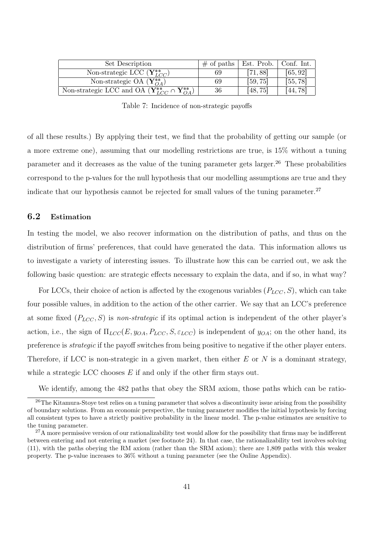| Set Description                                                              | $\#$ of paths | Est. Prob. | Conf. Int. |
|------------------------------------------------------------------------------|---------------|------------|------------|
| Non-strategic LCC $(Y_{LCC}^{**})$                                           | 69            | [71, 88]   | [65, 92]   |
| Non-strategic OA $(Y_{OA}^{**})$                                             | 69            | [59, 75]   | [55, 78]   |
| Non-strategic LCC and OA $(\mathbf{Y}_{LCC}^{**} \cap \mathbf{Y}_{OA}^{**})$ | 36            | [48,75]    | 44,78      |

Table 7: Incidence of non-strategic payoffs

of all these results.) By applying their test, we find that the probability of getting our sample (or a more extreme one), assuming that our modelling restrictions are true, is 15% without a tuning parameter and it decreases as the value of the tuning parameter gets larger.<sup>26</sup> These probabilities correspond to the p-values for the null hypothesis that our modelling assumptions are true and they indicate that our hypothesis cannot be rejected for small values of the tuning parameter.<sup>27</sup>

## 6.2 Estimation

In testing the model, we also recover information on the distribution of paths, and thus on the distribution of firms' preferences, that could have generated the data. This information allows us to investigate a variety of interesting issues. To illustrate how this can be carried out, we ask the following basic question: are strategic effects necessary to explain the data, and if so, in what way?

For LCCs, their choice of action is affected by the exogenous variables  $(P_{LCC}, S)$ , which can take four possible values, in addition to the action of the other carrier. We say that an LCC's preference at some fixed  $(P_{LCC}, S)$  is non-strategic if its optimal action is independent of the other player's action, i.e., the sign of  $\Pi_{LCC}(E, y_{OA}, P_{LCC}, S, \varepsilon_{LCC})$  is independent of  $y_{OA}$ ; on the other hand, its preference is strategic if the payoff switches from being positive to negative if the other player enters. Therefore, if LCC is non-strategic in a given market, then either  $E$  or  $N$  is a dominant strategy, while a strategic LCC chooses  $E$  if and only if the other firm stays out.

We identify, among the 482 paths that obey the SRM axiom, those paths which can be ratio-

<sup>&</sup>lt;sup>26</sup>The Kitamura-Stoye test relies on a tuning parameter that solves a discontinuity issue arising from the possibility of boundary solutions. From an economic perspective, the tuning parameter modifies the initial hypothesis by forcing all consistent types to have a strictly positive probability in the linear model. The p-value estimates are sensitive to the tuning parameter.

<sup>&</sup>lt;sup>27</sup>A more permissive version of our rationalizability test would allow for the possibility that firms may be indifferent between entering and not entering a market (see footnote 24). In that case, the rationalizability test involves solving (11), with the paths obeying the RM axiom (rather than the SRM axiom); there are 1,809 paths with this weaker property. The p-value increases to 36% without a tuning parameter (see the Online Appendix).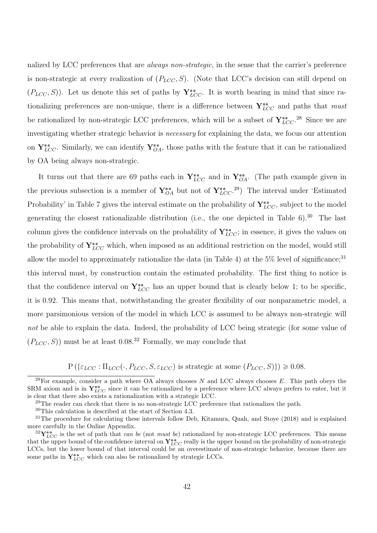nalized by LCC preferences that are *always non-strategic*, in the sense that the carrier's preference is non-strategic at every realization of  $(P_{LCC}, S)$ . (Note that LCC's decision can still depend on  $(P_{LCC}, S)$ ). Let us denote this set of paths by  $\mathbf{Y}_{LCC}^{**}$ . It is worth bearing in mind that since rationalizing preferences are non-unique, there is a difference between  $Y_{LCC}^{**}$  and paths that must be rationalized by non-strategic LCC preferences, which will be a subset of  $Y_{LCC}^{**}$ .<sup>28</sup> Since we are investigating whether strategic behavior is necessary for explaining the data, we focus our attention on  $Y_{LCC}^{**}$ . Similarly, we can identify  $Y_{OA}^{**}$ , those paths with the feature that it can be rationalized by OA being always non-strategic.

It turns out that there are 69 paths each in  $Y_{LCC}^{**}$  and in  $Y_{OA}^{**}$ . (The path example given in the previous subsection is a member of  $Y^{**}_{OA}$  but not of  $Y^{**}_{LCC}$ .<sup>29</sup>) The interval under 'Estimated Probability' in Table 7 gives the interval estimate on the probability of  $\mathbf{Y}_{LCC}^{**}$ , subject to the model generating the closest rationalizable distribution (i.e., the one depicted in Table  $6$ ).<sup>30</sup> The last column gives the confidence intervals on the probability of  $Y^*_{LCC}$ ; in essence, it gives the values on the probability of  $Y_{LCC}^{**}$  which, when imposed as an additional restriction on the model, would still allow the model to approximately rationalize the data (in Table 4) at the  $5\%$  level of significance;<sup>31</sup> this interval must, by construction contain the estimated probability. The first thing to notice is that the confidence interval on  $Y_{LCC}^{**}$  has an upper bound that is clearly below 1; to be specific, it is 0.92. This means that, notwithstanding the greater flexibility of our nonparametric model, a more parsimonious version of the model in which LCC is assumed to be always non-strategic will not be able to explain the data. Indeed, the probability of LCC being strategic (for some value of  $(P_{LCC}, S)$  must be at least 0.08.<sup>32</sup> Formally, we may conclude that

 $P\left(\{\varepsilon_{LCC} : \Pi_{LCC}(\cdot, P_{LCC}, S, \varepsilon_{LCC}) \text{ is strategic at some } (P_{LCC}, S)\}\right) \geq 0.08.$ 

 $^{28}$ For example, consider a path where OA always chooses N and LCC always chooses E. This path obeys the SRM axiom and is in  $Y_{LCC}^{**}$  since it can be rationalized by a preference where LCC always prefers to enter, but it is clear that there also exists a rationalization with a strategic LCC.

 $29$ The reader can check that there is no non-strategic LCC preference that rationalizes the path.

<sup>30</sup>This calculation is described at the start of Section 4.3.

<sup>&</sup>lt;sup>31</sup>The procedure for calculating these intervals follow Deb, Kitamura, Quah, and Stoye (2018) and is explained more carefully in the Online Appendix.

 ${}^{32}\mathbf{Y}_{LCC}^{**}$  is the set of path that *can be* (not *must be*) rationalized by non-strategic LCC preferences. This means that the upper bound of the confidence interval on  $Y_{LCC}^{**}$  really is the upper bound on the probability of non-strategic LCCs, but the lower bound of that interval could be an overestimate of non-strategic behavior, because there are some paths in  $Y_{LCC}^{**}$  which can also be rationalized by strategic LCCs.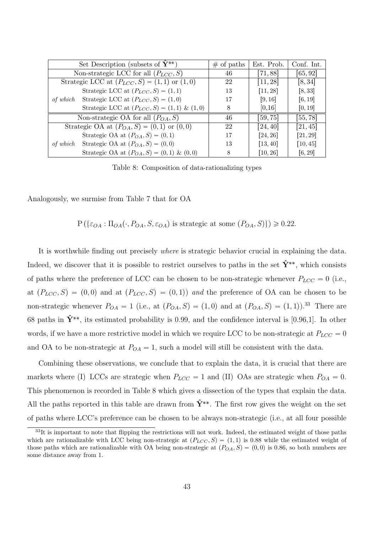| Set Description (subsets of $\hat{Y}^{**}$ )         | $#$ of paths | Est. Prob. | Conf. Int. |
|------------------------------------------------------|--------------|------------|------------|
| Non-strategic LCC for all $(P_{LCC}, S)$             | 46           | [71, 88]   | [65, 92]   |
| Strategic LCC at $(P_{LCC}, S) = (1, 1)$ or $(1, 0)$ | 22           | [11, 28]   | [8, 34]    |
| Strategic LCC at $(P_{LCC}, S) = (1, 1)$             | 13           | [11, 28]   | [8, 33]    |
| of which Strategic LCC at $(P_{LCC}, S) = (1, 0)$    | 17           | [9, 16]    | [6, 19]    |
| Strategic LCC at $(P_{LCC}, S) = (1, 1) \& (1, 0)$   | 8            | [0,16]     | [0, 19]    |
| Non-strategic OA for all $(P_{OA}, S)$               | 46           | [59, 75]   | [55, 78]   |
| Strategic OA at $(P_{OA}, S) = (0, 1)$ or $(0, 0)$   | 22           | 24,40      | [21, 45]   |
| Strategic OA at $(P_{OA}, S) = (0, 1)$               | 17           | [24, 26]   | [21, 29]   |
| of which Strategic OA at $(P_{OA}, S) = (0, 0)$      | 13           | [13, 40]   | [10, 45]   |
| Strategic OA at $(P_{OA}, S) = (0, 1) \& (0, 0)$     | 8            | [10, 26]   | [6, 29]    |

Table 8: Composition of data-rationalizing types

Analogously, we surmise from Table 7 that for OA

 $P(\{\varepsilon_{OA}: \Pi_{OA}(\cdot, P_{OA}, S, \varepsilon_{OA}) \text{ is strategic at some } (P_{OA}, S)\}) \geq 0.22.$ 

It is worthwhile finding out precisely where is strategic behavior crucial in explaining the data. Indeed, we discover that it is possible to restrict ourselves to paths in the set  $\hat{\mathbf{Y}}^{**}$ , which consists of paths where the preference of LCC can be chosen to be non-strategic whenever  $P_{LCC} = 0$  (i.e., at  $(P_{LCC}, S) = (0, 0)$  and at  $(P_{LCC}, S) = (0, 1)$  and the preference of OA can be chosen to be non-strategic whenever  $P_{OA} = 1$  (i.e., at  $(P_{OA}, S) = (1, 0)$  and at  $(P_{OA}, S) = (1, 1)$ ).<sup>33</sup> There are 68 paths in  $\hat{\mathbf{Y}}^{**}$ , its estimated probability is 0.99, and the confidence interval is [0.96,1]. In other words, if we have a more restrictive model in which we require LCC to be non-strategic at  $P_{LCC} = 0$ and OA to be non-strategic at  $P_{OA} = 1$ , such a model will still be consistent with the data.

Combining these observations, we conclude that to explain the data, it is crucial that there are markets where (I) LCCs are strategic when  $P_{LCC} = 1$  and (II) OAs are strategic when  $P_{OA} = 0$ . This phenomenon is recorded in Table 8 which gives a dissection of the types that explain the data. All the paths reported in this table are drawn from  $\hat{Y}^{**}$ . The first row gives the weight on the set of paths where LCC's preference can be chosen to be always non-strategic (i.e., at all four possible

<sup>&</sup>lt;sup>33</sup>It is important to note that flipping the restrictions will not work. Indeed, the estimated weight of those paths which are rationalizable with LCC being non-strategic at  $(P_{LCC}, S) = (1, 1)$  is 0.88 while the estimated weight of those paths which are rationalizable with OA being non-strategic at  $(P_{OA}, S) = (0, 0)$  is 0.86, so both numbers are some distance away from 1.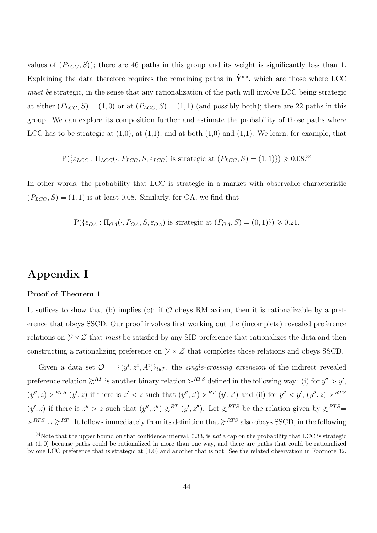values of  $(P_{LCC}, S)$ ; there are 46 paths in this group and its weight is significantly less than 1. Explaining the data therefore requires the remaining paths in  $\hat{Y}^{**}$ , which are those where LCC must be strategic, in the sense that any rationalization of the path will involve LCC being strategic at either  $(P_{LCC}, S) = (1, 0)$  or at  $(P_{LCC}, S) = (1, 1)$  (and possibly both); there are 22 paths in this group. We can explore its composition further and estimate the probability of those paths where LCC has to be strategic at  $(1,0)$ , at  $(1,1)$ , and at both  $(1,0)$  and  $(1,1)$ . We learn, for example, that

$$
P(\{\varepsilon_{LCC} : \Pi_{LCC}(\cdot, P_{LCC}, S, \varepsilon_{LCC}) \text{ is strategic at } (P_{LCC}, S) = (1, 1)\}) \ge 0.08^{34}
$$

In other words, the probability that LCC is strategic in a market with observable characteristic  $(P_{LCC}, S) = (1, 1)$  is at least 0.08. Similarly, for OA, we find that

 $P(\{\epsilon_{OA}: \Pi_{OA}(\cdot, P_{OA}, S, \epsilon_{OA}) \text{ is strategic at } (P_{OA}, S) = (0, 1)\}) \geq 0.21.$ 

# Appendix I

#### Proof of Theorem 1

It suffices to show that (b) implies (c): if  $\mathcal O$  obeys RM axiom, then it is rationalizable by a preference that obeys SSCD. Our proof involves first working out the (incomplete) revealed preference relations on  $\mathcal{Y} \times \mathcal{Z}$  that *must* be satisfied by any SID preference that rationalizes the data and then constructing a rationalizing preference on  $\mathcal{Y} \times \mathcal{Z}$  that completes those relations and obeys SSCD.

Given a data set  $\mathcal{O} = \{(y^t, z^t, A^t)\}_{t \in \mathcal{T}}$ , the *single-crossing extension* of the indirect revealed preference relation  $\gtrsim^{RT}$  is another binary relation  $\rhd^{RTS}$  defined in the following way: (i) for  $y'' > y'$ ,  $(y'', z) > RTS$   $(y', z)$  if there is  $z' < z$  such that  $(y'', z') > RTS$   $(y', z')$  and (ii) for  $y'' < y'$ ,  $(y'', z) > RTS$  $(y', z)$  if there is  $z'' > z$  such that  $(y'', z'') \geq RST$   $(y', z'')$ . Let  $\geq RTS$  be the relation given by  $\geq RTS$  $\langle \rangle^{RTS} \cup \langle \rangle^{RT}$ . It follows immediately from its definition that  $\langle \rangle^{RTS}$  also obeys SSCD, in the following

 $34$ Note that the upper bound on that confidence interval, 0.33, is not a cap on the probability that LCC is strategic at  $(1, 0)$  because paths could be rationalized in more than one way, and there are paths that could be rationalized by one LCC preference that is strategic at (1,0) and another that is not. See the related observation in Footnote 32.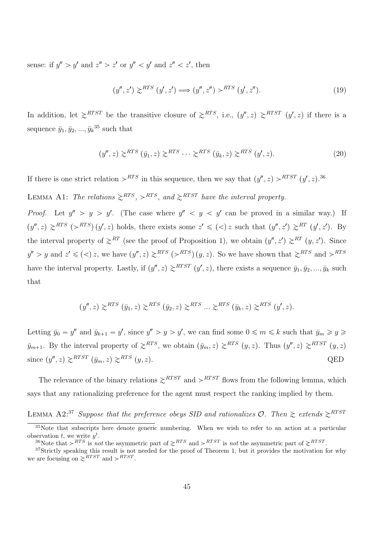sense: if  $y'' > y'$  and  $z'' > z'$  or  $y'' < y'$  and  $z'' < z'$ , then

$$
(y'', z') \ge^{RTS} (y', z') \Longrightarrow (y'', z'') >^{RTS} (y', z'').
$$
\n
$$
(19)
$$

In addition, let  $\gtrsim$ <sup>RTST</sup> be the transitive closure of  $\gtrsim$ <sup>RTS</sup>, i.e.,  $(y'', z) \gtrsim$ <sup>RTST</sup>  $(y', z)$  if there is a sequence  $\bar{y}_1, \bar{y}_2, ..., \bar{y}_k^{35}$  such that

$$
(y'', z) \gtrsim^{RTS} (\bar{y}_1, z) \gtrsim^{RTS} \cdots \gtrsim^{RTS} (\bar{y}_k, z) \gtrsim^{RTS} (y', z). \tag{20}
$$

If there is one strict relation  $\succ^{RTS}$  in this sequence, then we say that  $(y'', z) \succ^{RTST} (y', z)$ .<sup>36</sup>

LEMMA A1: The relations  $\gtrsim^{RTS}$ ,  $\rhd^{RTS}$ , and  $\gtrsim^{RTST}$  have the interval property.

*Proof.* Let  $y'' > y > y'$ . (The case where  $y'' < y < y'$  can be proved in a similar way.) If  $(y'', z) \ge R^{T S}$   $(\succ^{R T S})(y', z)$  holds, there exists some  $z' \leq (\prec) z$  such that  $(y'', z') \geq R^{T} (y', z')$ . By the interval property of  $\gtrsim^{RT}$  (see the proof of Proposition 1), we obtain  $(y'', z') \gtrsim^{RT} (y, z')$ . Since  $y'' > y$  and  $z' \leqslant (0) z$ , we have  $(y'', z) \geq RTS$  ( $RTS$ )  $(y, z)$ . So we have shown that  $\geq RTS$  and  $RTS$ have the interval property. Lastly, if  $(y'', z) \ge R^{TST} (y', z)$ , there exists a sequence  $\bar{y}_1, \bar{y}_2, ..., \bar{y}_k$  such that

$$
(y'', z) \gtrsim^{RTS} (\bar{y}_1, z) \gtrsim^{RTS} (\bar{y}_2, z) \gtrsim^{RTS} \dots \gtrsim^{RTS} (\bar{y}_k, z) \gtrsim^{RTS} (y', z).
$$

Letting  $\bar{y}_0 = y''$  and  $\bar{y}_{k+1} = y'$ , since  $y'' > y > y'$ , we can find some  $0 \leq m \leq k$  such that  $\bar{y}_m \geq y \geq 0$  $\bar{y}_{m+1}$ . By the interval property of  $\gtrsim^{RTS}$ , we obtain  $(\bar{y}_m, z) \gtrsim^{RTS} (y, z)$ . Thus  $(y'', z) \gtrsim^{RTST} (y, z)$ since  $(y'', z) \gtrsim^{RTST} (\bar{y}_m, z) \gtrsim^{RTS} (y, z)$ . QED

The relevance of the binary relations  $\gtrsim^{RTST}$  and  $\rhd^{RTST}$  flows from the following lemma, which says that any rationalizing preference for the agent must respect the ranking implied by them.

LEMMA A2:<sup>37</sup> Suppose that the preference obeys SID and rationalizes  $\mathcal{O}$ . Then  $\gtrsim$  extends  $\gtrsim$ <sup>RTST</sup>

<sup>&</sup>lt;sup>35</sup>Note that subscripts here denote generic numbering. When we wish to refer to an action at a particular observation t, we write  $y^t$ .

<sup>&</sup>lt;sup>36</sup>Note that  $\geq$ <sup>RTS</sup> is not the asymmetric part of  $\geq$ <sup>RTS</sup> and  $\geq$ <sup>RTST</sup> is not the asymmetric part of  $\geq$ <sup>RTST</sup>.

 $37$ Strictly speaking this result is not needed for the proof of Theorem 1, but it provides the motivation for why we are focusing on  $\gtrsim$ <sup>RTST</sup> and  $\succ$ <sup>RTST</sup>.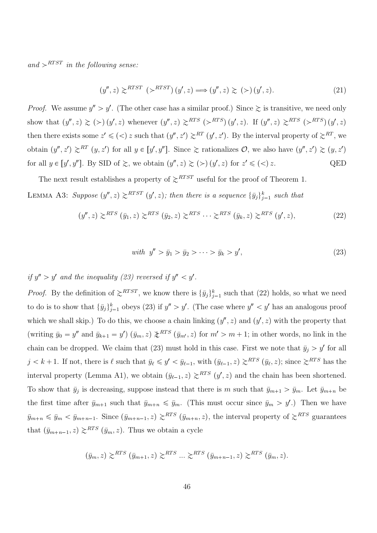and  $\rho^{RTST}$  in the following sense:

$$
(y'', z) \gtrsim^{RTST} (\gtrsim^{RTST}) (y', z) \Longrightarrow (y'', z) \gtrsim (\gtrsim) (y', z). \tag{21}
$$

*Proof.* We assume  $y'' > y'$ . (The other case has a similar proof.) Since  $\geq$  is transitive, we need only show that  $(y'', z) \geq (>) (y', z)$  whenever  $(y'', z) \geq RTS (>RTS) (y', z)$ . If  $(y'', z) \geq RTS (>RTS) (y', z)$ then there exists some  $z' \leqslant (0)$  z such that  $(y'', z') \geq R^T (y', z')$ . By the interval property of  $z^{RT}$ , we obtain  $(y'', z') \ge R^T (y, z')$  for all  $y \in [y', y'']$ . Since  $\ge$  rationalizes  $\mathcal{O}$ , we also have  $(y'', z') \ge (y, z')$ for all  $y \in [y', y'']$ . By SID of  $\geq$ , we obtain  $(y'', z) \geq (\geq) (y', z)$  for  $z' \leq (\leq) z$ . QED

The next result establishes a property of  $\gtrsim$ <sup>RTST</sup> useful for the proof of Theorem 1. LEMMA A3: Suppose  $(y'', z) \ge R^{TST} (y', z)$ ; then there is a sequence  $\{\bar{y}_j\}_{j=1}^k$  such that

$$
(y'', z) \gtrsim^{RTS} (\bar{y}_1, z) \gtrsim^{RTS} (\bar{y}_2, z) \gtrsim^{RTS} \cdots \gtrsim^{RTS} (\bar{y}_k, z) \gtrsim^{RTS} (y', z), \tag{22}
$$

with 
$$
y'' > \bar{y}_1 > \bar{y}_2 > \cdots > \bar{y}_k > y'
$$
, (23)

# if  $y'' > y'$  and the inequality (23) reversed if  $y'' < y'$ .

*Proof.* By the definition of  $\gtrsim^{RTST}$ , we know there is  $\{\bar{y}_j\}_{j=1}^k$  such that (22) holds, so what we need to do is to show that  ${\{\bar{y}_j\}_{j=1}^k}$  obeys (23) if  $y'' > y'$ . (The case where  $y'' < y'$  has an analogous proof which we shall skip.) To do this, we choose a chain linking  $(y'', z)$  and  $(y', z)$  with the property that (writing  $\bar{y}_0 = y''$  and  $\bar{y}_{k+1} = y'$ )  $(\bar{y}_m, z) \neq^{RTS} (\bar{y}_{m'}, z)$  for  $m' > m+1$ ; in other words, no link in the chain can be dropped. We claim that (23) must hold in this case. First we note that  $\bar{y}_j > y'$  for all  $j < k + 1$ . If not, there is  $\ell$  such that  $\bar{y}_{\ell} \leq y' < \bar{y}_{\ell-1}$ , with  $(\bar{y}_{\ell-1}, z) \geq RTS \ (\bar{y}_{\ell}, z)$ ; since  $\geq RTS$  has the interval property (Lemma A1), we obtain  $(\bar{y}_{\ell-1}, z) \geq RTS$   $(y', z)$  and the chain has been shortened. To show that  $\bar{y}_j$  is decreasing, suppose instead that there is m such that  $\bar{y}_{m+1} > \bar{y}_m$ . Let  $\bar{y}_{m+n}$  be the first time after  $\bar{y}_{m+1}$  such that  $\bar{y}_{m+n} \leq \bar{y}_m$ . (This must occur since  $\bar{y}_m > y'$ .) Then we have  $\bar{y}_{m+n} \le \bar{y}_m < \bar{y}_{m+n-1}$ . Since  $(\bar{y}_{m+n-1}, z) \ge RTS$   $(\bar{y}_{m+n}, z)$ , the interval property of  $\ge RTS$  guarantees that  $(\bar{y}_{m+n-1}, z) \geq RTS$   $(\bar{y}_m, z)$ . Thus we obtain a cycle

$$
(\bar{y}_m, z) \gtrsim^{RTS} (\bar{y}_{m+1}, z) \gtrsim^{RTS} \dots \gtrsim^{RTS} (\bar{y}_{m+n-1}, z) \gtrsim^{RTS} (\bar{y}_m, z).
$$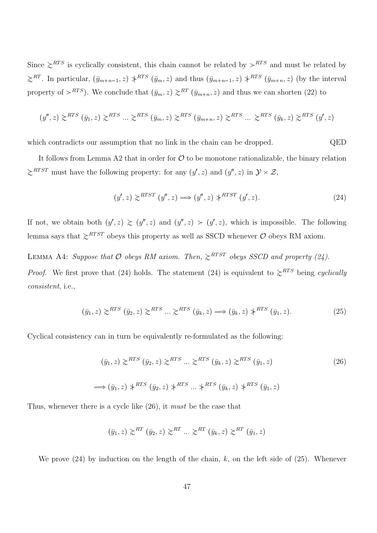Since  $\gtrsim$ <sup>RTS</sup> is cyclically consistent, this chain cannot be related by  $gtrsim$ <sup>RTS</sup> and must be related by  $\gtrsim^{RT}$ . In particular,  $(\bar{y}_{m+n-1}, z) \nless^{RTS} (\bar{y}_m, z)$  and thus  $(\bar{y}_{m+n-1}, z) \nless^{RTS} (\bar{y}_{m+n}, z)$  (by the interval property of  $>^{RTS}$ ). We conclude that  $(\bar{y}_m, z) \geq^{RT} (\bar{y}_{m+n}, z)$  and thus we can shorten (22) to

$$
(y'', z) \gtrsim^{RTS} (\bar{y}_1, z) \gtrsim^{RTS} \dots \gtrsim^{RTS} (\bar{y}_m, z) \gtrsim^{RTS} (\bar{y}_{m+n}, z) \gtrsim^{RTS} \dots \gtrsim^{RTS} (\bar{y}_k, z) \gtrsim^{RTS} (y', z)
$$

which contradicts our assumption that no link in the chain can be dropped. QED

It follows from Lemma A2 that in order for  $\mathcal O$  to be monotone rationalizable, the binary relation  $\gtrsim$ <sup>RTST</sup> must have the following property: for any  $(y', z)$  and  $(y'', z)$  in  $\mathcal{Y} \times \mathcal{Z}$ ,

$$
(y', z) \gtrsim^{RTST} (y'', z) \Longrightarrow (y'', z) \uparrow^{RTST} (y', z). \tag{24}
$$

If not, we obtain both  $(y', z) \ge (y'', z)$  and  $(y'', z) > (y', z)$ , which is impossible. The following lemma says that  $\gtrsim$ <sup>RTST</sup> obeys this property as well as SSCD whenever  $O$  obeys RM axiom.

LEMMA A4: Suppose that  $O$  obeys RM axiom. Then,  $\gtrsim$ <sup>RTST</sup> obeys SSCD and property (24). *Proof.* We first prove that (24) holds. The statement (24) is equivalent to  $\gtrsim$ <sup>RTS</sup> being cyclically consistent, i.e.,

$$
(\bar{y}_1, z) \gtrsim^{RTS} (\bar{y}_2, z) \gtrsim^{RTS} \dots \gtrsim^{RTS} (\bar{y}_k, z) \Longrightarrow (\bar{y}_k, z) \uparrow^{RTS} (\bar{y}_1, z).
$$
 (25)

Cyclical consistency can in turn be equivalently re-formulated as the following:

$$
(\bar{y}_1, z) \gtrsim^{RTS} (\bar{y}_2, z) \gtrsim^{RTS} \dots \gtrsim^{RTS} (\bar{y}_k, z) \gtrsim^{RTS} (\bar{y}_1, z)
$$
\n
$$
\implies (\bar{y}_1, z) \uparrow^{RTS} (\bar{y}_2, z) \uparrow^{RTS} \dots \uparrow^{RTS} (\bar{y}_k, z) \uparrow^{RTS} (\bar{y}_1, z)
$$
\n
$$
(26)
$$

Thus, whenever there is a cycle like  $(26)$ , it *must* be the case that

$$
(\bar{y}_1, z) \gtrsim^{RT} (\bar{y}_2, z) \gtrsim^{RT} \dots \gtrsim^{RT} (\bar{y}_k, z) \gtrsim^{RT} (\bar{y}_1, z)
$$

We prove  $(24)$  by induction on the length of the chain, k, on the left side of  $(25)$ . Whenever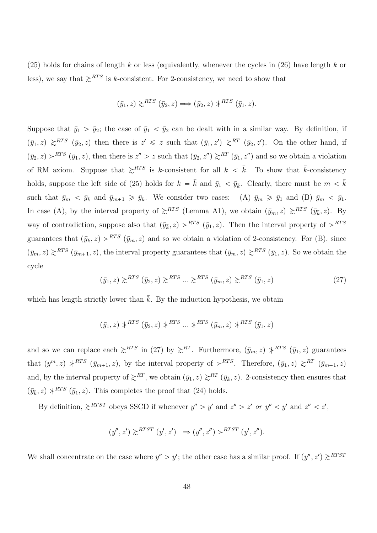$(25)$  holds for chains of length k or less (equivalently, whenever the cycles in  $(26)$  have length k or less), we say that  $\gtrsim$ <sup>RTS</sup> is k-consistent. For 2-consistency, we need to show that

$$
(\bar{y}_1, z) \gtrsim^{RTS} (\bar{y}_2, z) \Longrightarrow (\bar{y}_2, z) \uparrow^{RTS} (\bar{y}_1, z).
$$

Suppose that  $\bar{y}_1 > \bar{y}_2$ ; the case of  $\bar{y}_1 < \bar{y}_2$  can be dealt with in a similar way. By definition, if  $(\bar{y}_1, z) \ge R^{T S}$   $(\bar{y}_2, z)$  then there is  $z' \leq z$  such that  $(\bar{y}_1, z') \geq R^{T}$   $(\bar{y}_2, z')$ . On the other hand, if  $(\bar{y}_2, z) > RTS \ (\bar{y}_1, z)$ , then there is  $z'' > z$  such that  $(\bar{y}_2, z'') \gtrsim^{RT} (\bar{y}_1, z'')$  and so we obtain a violation of RM axiom. Suppose that  $\gtrsim^{RTS}$  is k-consistent for all  $k < \bar{k}$ . To show that  $\bar{k}$ -consistency holds, suppose the left side of (25) holds for  $k = \bar{k}$  and  $\bar{y}_1 < \bar{y}_{\bar{k}}$ . Clearly, there must be  $m < \bar{k}$ such that  $\bar{y}_m < \bar{y}_{\bar{k}}$  and  $\bar{y}_{m+1} \geq \bar{y}_{\bar{k}}$ . We consider two cases: (A)  $\bar{y}_m \geq \bar{y}_1$  and (B)  $\bar{y}_m < \bar{y}_1$ . In case (A), by the interval property of  $\gtrsim^{RTS}$  (Lemma A1), we obtain  $(\bar{y}_m, z) \gtrsim^{RTS} (\bar{y}_{\bar{k}}, z)$ . By way of contradiction, suppose also that  $(\bar{y}_{\bar{k}}, z) > RTS$   $(\bar{y}_1, z)$ . Then the interval property of  $> RTS$ guarantees that  $(\bar{y}_{\bar{k}}, z) > RTS$   $(\bar{y}_m, z)$  and so we obtain a violation of 2-consistency. For (B), since  $(\bar{y}_m, z) \geq RTS$   $(\bar{y}_{m+1}, z)$ , the interval property guarantees that  $(\bar{y}_m, z) \geq RTS$   $(\bar{y}_1, z)$ . So we obtain the cycle

$$
(\bar{y}_1, z) \gtrsim^{RTS} (\bar{y}_2, z) \gtrsim^{RTS} \dots \gtrsim^{RTS} (\bar{y}_m, z) \gtrsim^{RTS} (\bar{y}_1, z)
$$
 (27)

which has length strictly lower than  $\bar{k}$ . By the induction hypothesis, we obtain

$$
(\bar{y}_1, z) *^{RTS} (\bar{y}_2, z) *^{RTS} \dots *^{RTS} (\bar{y}_m, z) *^{RTS} (\bar{y}_1, z)
$$

and so we can replace each  $\gtrsim^{RTS}$  in (27) by  $\gtrsim^{RT}$ . Furthermore,  $(\bar{y}_m, z) \not\downarrow^{RTS} (\bar{y}_1, z)$  guarantees that  $(y^m, z) \neq^{RTS} (\bar{y}_{m+1}, z)$ , by the interval property of  $\succ^{RTS}$ . Therefore,  $(\bar{y}_1, z) \succeq^{RT} (\bar{y}_{m+1}, z)$ and, by the interval property of  $\gtrsim^{RT}$ , we obtain  $(\bar{y}_1, z) \gtrsim^{RT} (\bar{y}_{\bar{k}}, z)$ . 2-consistency then ensures that  $(\bar{y}_{\bar{k}}, z) \nless R^{TS} (\bar{y}_1, z)$ . This completes the proof that (24) holds.

By definition,  $\gtrsim$ <sup>RTST</sup> obeys SSCD if whenever  $y'' > y'$  and  $z'' > z'$  or  $y'' < y'$  and  $z'' < z'$ ,

$$
(y'', z') \ge^{RTST} (y', z') \Longrightarrow (y'', z'') >^{RTST} (y', z'').
$$

We shall concentrate on the case where  $y'' > y'$ ; the other case has a similar proof. If  $(y'', z') \ge R^{TST}$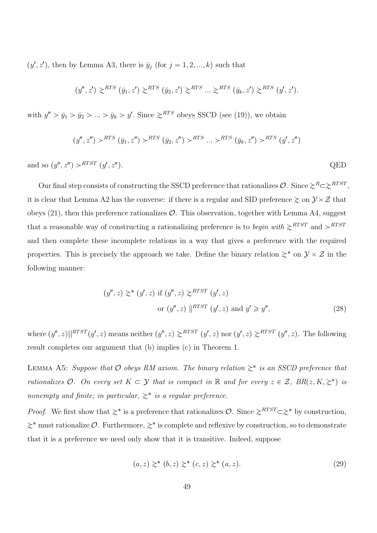$(y', z')$ , then by Lemma A3, there is  $\bar{y}_j$  (for  $j = 1, 2, ..., k$ ) such that

$$
(y'', z') \gtrsim^{RTS} (\bar{y}_1, z') \gtrsim^{RTS} (\bar{y}_2, z') \gtrsim^{RTS} \dots \gtrsim^{RTS} (\bar{y}_k, z') \gtrsim^{RTS} (y', z').
$$

with  $y'' > \bar{y}_1 > \bar{y}_2 > ... > \bar{y}_k > y'$ . Since  $\geq^{RTS}$  obeys SSCD (see (19)), we obtain

$$
(y'', z'') >^{RTS} (\bar{y}_1, z'') >^{RTS} (\bar{y}_2, z'') >^{RTS} \dots >^{RTS} (\bar{y}_k, z'') >^{RTS} (y', z'')
$$

and so  $(y'', z'') > RTST$   $(y', z'')$  $QED$ 

Our final step consists of constructing the SSCD preference that rationalizes  $\mathcal{O}$ . Since  $\gtrsim^{R} \gtrsim^{RTST}$ , it is clear that Lemma A2 has the converse: if there is a regular and SID preference  $\gtrsim$  on  $\mathcal{Y} \times \mathcal{Z}$  that obeys  $(21)$ , then this preference rationalizes  $\mathcal{O}$ . This observation, together with Lemma A4, suggest that a reasonable way of constructing a rationalizing preference is to *begin with*  $\gtrsim^{RTST}$  and  $\rhd^{RTST}$ and then complete these incomplete relations in a way that gives a preference with the required properties. This is precisely the approach we take. Define the binary relation  $\gtrsim^*$  on  $\mathcal{Y} \times \mathcal{Z}$  in the following manner:

$$
(y'', z) \geq^* (y', z) \text{ if } (y'', z) \geq^{RTST} (y', z)
$$
  
or 
$$
(y'', z) \parallel^{RTST} (y', z) \text{ and } y' \geq y'', \tag{28}
$$

where  $(y'', z) ||^{RTST}(y', z)$  means neither  $(y'', z) \geq^{RTST} (y', z)$  nor  $(y', z) \geq^{RTST} (y'', z)$ . The following result completes our argument that (b) implies (c) in Theorem 1.

LEMMA A5: Suppose that  $\mathcal O$  obeys RM axiom. The binary relation  $\gtrsim^*$  is an SSCD preference that rationalizes O. On every set  $K \subset \mathcal{Y}$  that is compact in  $\mathbb R$  and for every  $z \in \mathcal{Z}$ ,  $BR(z, K, \geq^*)$  is nonempty and finite; in particular,  $\gtrsim^*$  is a regular preference.

*Proof.* We first show that  $\gtrsim^*$  is a preference that rationalizes  $\mathcal{O}$ . Since  $\gtrsim^{RTST} \subset \gtrsim^*$  by construction,  $\gtrsim^*$  must rationalize  $\mathcal{O}$ . Furthermore,  $\gtrsim^*$  is complete and reflexive by construction, so to demonstrate that it is a preference we need only show that it is transitive. Indeed, suppose

$$
(a, z) \geq^* (b, z) \geq^* (c, z) \geq^* (a, z). \tag{29}
$$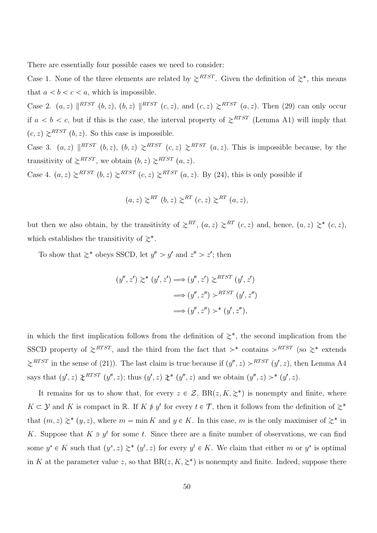There are essentially four possible cases we need to consider:

Case 1. None of the three elements are related by  $\gtrsim^{RTST}$ . Given the definition of  $\gtrsim^*$ , this means that  $a < b < c < a$ , which is impossible.

Case 2.  $(a, z) \parallel^{RTST} (b, z)$ ,  $(b, z) \parallel^{RTST} (c, z)$ , and  $(c, z) \geq^{RTST} (a, z)$ . Then (29) can only occur if  $a < b < c$ , but if this is the case, the interval property of  $\geq^{RTST}$  (Lemma A1) will imply that  $(c, z) \geq^{RTST} (b, z)$ . So this case is impossible.

Case 3.  $(a, z) \parallel^{RTST} (b, z), (b, z) \geq^{RTST} (c, z) \geq^{RTST} (a, z)$ . This is impossible because, by the transitivity of  $\gtrsim$ <sup>RTST</sup>, we obtain  $(b, z) \gtrsim$ <sup>RTST</sup>  $(a, z)$ .

Case 4.  $(a, z) \ge RTST$   $(b, z) \ge RTST$   $(c, z) \ge RTST$   $(a, z)$ . By (24), this is only possible if

$$
(a, z) \gtrsim^{RT} (b, z) \gtrsim^{RT} (c, z) \gtrsim^{RT} (a, z),
$$

but then we also obtain, by the transitivity of  $\gtrsim^{RT}$ ,  $(a, z) \gtrsim^{RT}$   $(c, z)$  and, hence,  $(a, z) \gtrsim^*$   $(c, z)$ , which establishes the transitivity of  $\gtrsim^*$ .

To show that  $\gtrsim^*$  obeys SSCD, let  $y'' > y'$  and  $z'' > z'$ ; then

$$
(y'', z') \geq^* (y', z') \Longrightarrow (y'', z') \geq^{RTST} (y', z')
$$

$$
\Longrightarrow (y'', z'') >^{RTST} (y', z'')
$$

$$
\Longrightarrow (y'', z'') >^* (y', z''),
$$

in which the first implication follows from the definition of  $\geq^*$ , the second implication from the SSCD property of  $\gtrsim^{RTST}$ , and the third from the fact that  $\rhd^*$  contains  $\rhd^{RTST}$  (so  $\gtrsim^*$  extends  $\gtrsim$ <sup>RTST</sup> in the sense of (21)). The last claim is true because if  $(y'', z) >$ <sup>RTST</sup>  $(y', z)$ , then Lemma A4 says that  $(y', z) \nless TST$   $(y'', z)$ ; thus  $(y', z) \nless T(y'', z)$  and we obtain  $(y'', z) \nless T(y', z)$ .

It remains for us to show that, for every  $z \in \mathcal{Z}$ ,  $BR(z, K, \geq^*)$  is nonempty and finite, where  $K \subset \mathcal{Y}$  and K is compact in R. If  $K \neq y^t$  for every  $t \in \mathcal{T}$ , then it follows from the definition of  $\gtrsim^*$ that  $(m, z) \geq^* (y, z)$ , where  $m = \min K$  and  $y \in K$ . In this case, m is the only maximiser of  $\geq^*$  in K. Suppose that  $K \ni y^t$  for some t. Since there are a finite number of observations, we can find some  $y^s \in K$  such that  $(y^s, z) \geq^* (y^t, z)$  for every  $y^t \in K$ . We claim that either m or  $y^s$  is optimal in K at the parameter value z, so that  $BR(z, K, \geq^*)$  is nonempty and finite. Indeed, suppose there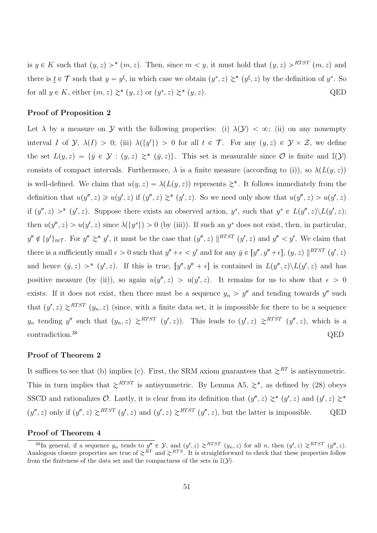is  $y \in K$  such that  $(y, z) >^* (m, z)$ . Then, since  $m < y$ , it must hold that  $(y, z) >^{RTST} (m, z)$  and there is  $\underline{t} \in \mathcal{T}$  such that  $y = y^{\underline{t}}$ , in which case we obtain  $(y^s, z) \geq^* (y^{\underline{t}}, z)$  by the definition of  $y^s$ . So for all  $y \in K$ , either  $(m, z) \gtrsim^* (y, z)$  or  $(y^s, z) \gtrsim^*$  $(p, z)$ . QED

#### Proof of Proposition 2

Let  $\lambda$  by a measure on Y with the following properties: (i)  $\lambda(\mathcal{Y}) < \infty$ ; (ii) on any nonempty interval I of  $\mathcal{Y}, \lambda(I) > 0$ ; (iii)  $\lambda(\{y^t\}) > 0$  for all  $t \in \mathcal{T}$ . For any  $(y, z) \in \mathcal{Y} \times \mathcal{Z}$ , we define the set  $L(y, z) = \{\bar{y} \in \mathcal{Y} : (y, z) \geq^* (\bar{y}, z)\}.$  This set is measurable since  $\mathcal{O}$  is finite and  $\mathbb{I}(\mathcal{Y})$ consists of compact intervals. Furthermore,  $\lambda$  is a finite measure (according to (i)), so  $\lambda(L(y, z))$ is well-defined. We claim that  $u(y, z) = \lambda(L(y, z))$  represents  $\geq^*$ . It follows immediately from the definition that  $u(y'', z) \geq u(y', z)$  if  $(y'', z) \geq^* (y', z)$ . So we need only show that  $u(y'', z) > u(y', z)$ if  $(y'', z) >^* (y', z)$ . Suppose there exists an observed action,  $y^s$ , such that  $y^s \in L(y'', z) \setminus L(y', z)$ ; then  $u(y'', z) > u(y', z)$  since  $\lambda({y^s}) > 0$  (by (iii)). If such an  $y^s$  does not exist, then, in particular,  $y'' \notin \{y^t\}_{t \in \mathcal{T}}$ . For  $y'' \geq^* y'$ , it must be the case that  $(y'', z) \parallel^{RTST} (y', z)$  and  $y'' < y'$ . We claim that there is a sufficiently small  $\epsilon > 0$  such that  $y'' + \epsilon < y'$  and for any  $\bar{y} \in [y'', y'' + \epsilon], (y, z) |$ <sup>RTST</sup>  $(y', z)$ and hence  $(\bar{y}, z)$  >\*  $(y', z)$ . If this is true,  $[y'', y'' + \epsilon]$  is contained in  $L(y'', z) \setminus L(y', z)$  and has positive measure (by (ii)), so again  $u(y'', z) > u(y', z)$ . It remains for us to show that  $\epsilon > 0$ exists. If it does not exist, then there must be a sequence  $y_n > y''$  and tending towards  $y''$  such that  $(y', z) \ge R^{TST}$   $(y_n, z)$  (since, with a finite data set, it is impossible for there to be a sequence  $y_n$  tending y'' such that  $(y_n, z) \ge R^{TST}$   $(y', z)$ ). This leads to  $(y', z) \ge R^{TST}$   $(y'', z)$ , which is a contradiction.<sup>38</sup> QED

#### Proof of Theorem 2

It suffices to see that (b) implies (c). First, the SRM axiom guarantees that  $\gtrsim^{RT}$  is antisymmetric. This in turn implies that  $\gtrsim^{RTST}$  is antisymmetric. By Lemma A5,  $\gtrsim^*$ , as defined by (28) obeys SSCD and rationalizes  $\mathcal{O}$ . Lastly, it is clear from its definition that  $(y'', z) \geq^* (y', z)$  and  $(y', z) \geq^*$  $(y'', z)$  only if  $(y'', z) \ge R^{TST} (y', z)$  and  $(y', z) \ge R^{TST} (y'', z)$ , but the latter is impossible. QED

#### Proof of Theorem 4

<sup>&</sup>lt;sup>38</sup>In general, if a sequence  $y_n$  tends to  $y'' \in \mathcal{Y}$ , and  $(y', z) \ge R^{TST} (y_n, z)$  for all n, then  $(y', z) \ge R^{TST} (y'', z)$ . Analogous closure properties are true of  $\gtrsim^{RT}$  and  $\gtrsim^{RTS}$ . It is straightforward to check that these properties follow from the finiteness of the data set and the compactness of the sets in  $\mathbb{I}(\mathcal{Y})$ .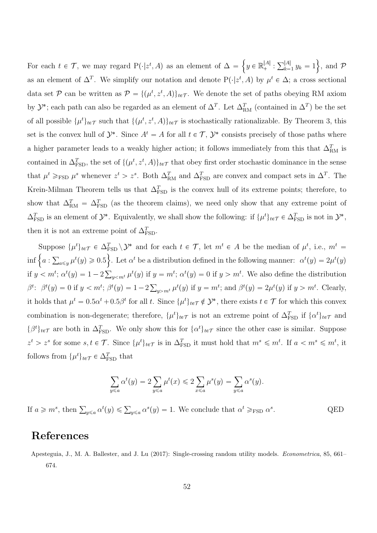For each  $t \in \mathcal{T}$ , we may regard  $P(\cdot|z^t, A)$  as an element of  $\Delta = \left\{y \in \mathbb{R}^{|A|}_+ : \sum_{k=1}^{|A|} y_k = 1\right\}$ , and  $\mathcal{P}$ as an element of  $\Delta^T$ . We simplify our notation and denote  $P(\cdot|z^t, A)$  by  $\mu^t \in \Delta$ ; a cross sectional data set P can be written as  $P = \{(\mu^t, z^t, A)\}_{t \in \mathcal{T}}$ . We denote the set of paths obeying RM axiom by  $\mathcal{Y}^*$ ; each path can also be regarded as an element of  $\Delta^T$ . Let  $\Delta_{\rm RM}^T$  (contained in  $\Delta^T$ ) be the set of all possible  $\{\mu^t\}_{t\in\mathcal{T}}$  such that  $\{(\mu^t, z^t, A)\}_{t\in\mathcal{T}}$  is stochastically rationalizable. By Theorem 3, this set is the convex hull of  $\mathcal{Y}^*$ . Since  $A^t = A$  for all  $t \in \mathcal{T}$ ,  $\mathcal{Y}^*$  consists precisely of those paths where a higher parameter leads to a weakly higher action; it follows immediately from this that  $\Delta_{\text{RM}}^T$  is contained in  $\Delta_{\text{FSD}}^T$ , the set of  $\{(\mu^t, z^t, A)\}_{t \in \mathcal{T}}$  that obey first order stochastic dominance in the sense that  $\mu^t \geq_{\text{FSD}} \mu^s$  whenever  $z^t > z^s$ . Both  $\Delta_{\text{RM}}^T$  and  $\Delta_{\text{FSD}}^T$  are convex and compact sets in  $\Delta^T$ . The Krein-Milman Theorem tells us that  $\Delta_{\text{FSD}}^T$  is the convex hull of its extreme points; therefore, to show that  $\Delta_{\text{RM}}^T = \Delta_{\text{FSD}}^T$  (as the theorem claims), we need only show that any extreme point of  $\Delta_{\text{FSD}}^T$  is an element of  $\mathcal{Y}^*$ . Equivalently, we shall show the following: if  $\{\mu^t\}_{t \in \mathcal{T}} \in \Delta_{\text{FSD}}^T$  is not in  $\mathcal{Y}^*$ , then it is not an extreme point of  $\Delta_{\text{FSD}}^T$ .

Suppose  $\{\mu^t\}_{t\in\mathcal{T}} \in \Delta_{\text{FSD}}^T \setminus \mathcal{Y}^*$  and for each  $t \in \mathcal{T}$ , let  $m^t \in A$  be the median of  $\mu^t$ , i.e.,  $m^t =$  $\inf \{a : \sum_{a \leq y} \mu^t(y) \geq 0.5\}$ . Let  $\alpha^t$  be a distribution defined in the following manner:  $\alpha^t(y) = 2\mu^t(y)$ if  $y < m^t$ ;  $\alpha^t(y) = 1 - 2 \sum_{y \le m^t} \mu^t(y)$  if  $y = m^t$ ;  $\alpha^t(y) = 0$  if  $y > m^t$ . We also define the distribution  $\beta^t$ :  $\beta^t(y) = 0$  if  $y < m^t$ ;  $\beta^t(y) = 1 - 2 \sum_{y > m^t} \mu^t(y)$  if  $y = m^t$ ; and  $\beta^t(y) = 2\mu^t(y)$  if  $y > m^t$ . Clearly, it holds that  $\mu^t = 0.5\alpha^t + 0.5\beta^t$  for all t. Since  $\{\mu^t\}_{t\in\mathcal{T}} \notin \mathcal{Y}^*$ , there exists  $t \in \mathcal{T}$  for which this convex combination is non-degenerate; therefore,  $\{\mu^t\}_{t\in\mathcal{T}}$  is not an extreme point of  $\Delta_{\text{FSD}}^T$  if  $\{\alpha^t\}_{t\in\mathcal{T}}$  and  $\{\beta^t\}_{t\in\mathcal{T}}$  are both in  $\Delta_{\text{FSD}}^T$ . We only show this for  $\{\alpha^t\}_{t\in\mathcal{T}}$  since the other case is similar. Suppose  $z^t > z^s$  for some  $s, t \in \mathcal{T}$ . Since  $\{\mu^t\}_{t \in \mathcal{T}}$  is in  $\Delta_{\text{FSD}}^T$  it must hold that  $m^s \leq m^t$ . If  $a < m^s \leq m^t$ , it follows from  $\{\mu^t\}_{t \in \mathcal{T}} \in \Delta_{\text{FSD}}^T$  that

$$
\sum_{y \leq a} \alpha^t(y) = 2 \sum_{y \leq a} \mu^t(x) \leq 2 \sum_{x \leq a} \mu^s(y) = \sum_{y \leq a} \alpha^s(y).
$$

If  $a \geq m^s$ , then  $\sum_{y \leq a} \alpha^t(y) \leq \sum_{y \leq a} \alpha^s(y) = 1$ . We conclude that  $\alpha^t \geq_{\text{FSD}} \alpha^s$ . QED

# References

Apesteguia, J., M. A. Ballester, and J. Lu (2017): Single-crossing random utility models. Econometrica, 85, 661– 674.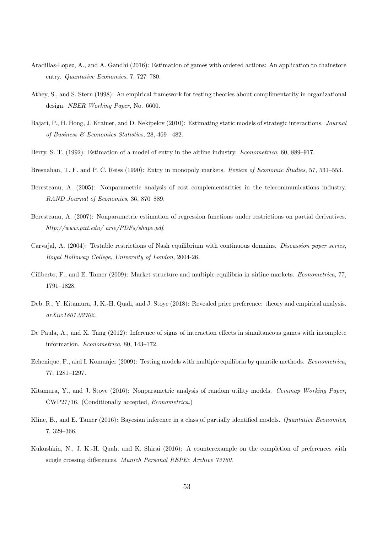- Aradillas-Lopez, A., and A. Gandhi (2016): Estimation of games with ordered actions: An application to chainstore entry. Quantative Economics, 7, 727–780.
- Athey, S., and S. Stern (1998): An empirical framework for testing theories about complimentarity in organizational design. NBER Working Paper, No. 6600.
- Bajari, P., H. Hong, J. Krainer, and D. Nekipelov (2010): Estimating static models of strategic interactions. Journal of Business & Economics Statistics, 28, 469 –482.
- Berry, S. T. (1992): Estimation of a model of entry in the airline industry. Econometrica, 60, 889–917.
- Bresnahan, T. F. and P. C. Reiss (1990): Entry in monopoly markets. Review of Economic Studies, 57, 531–553.
- Beresteanu, A. (2005): Nonparametric analysis of cost complementarities in the telecommunications industry. RAND Journal of Economics, 36, 870–889.
- Beresteanu, A. (2007): Nonparametric estimation of regression functions under restrictions on partial derivatives. http://www.pitt.edu/ arie/PDFs/shape.pdf.
- Carvajal, A. (2004): Testable restrictions of Nash equilibrium with continuous domains. Discussion paper series, Royal Holloway College, University of London, 2004-26.
- Ciliberto, F., and E. Tamer (2009): Market structure and multiple equilibria in airline markets. Econometrica, 77, 1791–1828.
- Deb, R., Y. Kitamura, J. K.-H. Quah, and J. Stoye (2018): Revealed price preference: theory and empirical analysis. arXiv:1801.02702.
- De Paula, A., and X. Tang (2012): Inference of signs of interaction effects in simultaneous games with incomplete information. Econometrica, 80, 143–172.
- Echenique, F., and I. Komunjer (2009): Testing models with multiple equilibria by quantile methods. Econometrica, 77, 1281–1297.
- Kitamura, Y., and J. Stoye (2016): Nonparametric analysis of random utility models. Cemmap Working Paper, CWP27/16. (Conditionally accepted, Econometrica.)
- Kline, B., and E. Tamer (2016): Bayesian inference in a class of partially identified models. Quantative Economics, 7, 329–366.
- Kukushkin, N., J. K.-H. Quah, and K. Shirai (2016): A counterexample on the completion of preferences with single crossing differences. Munich Personal REPEc Archive 73760.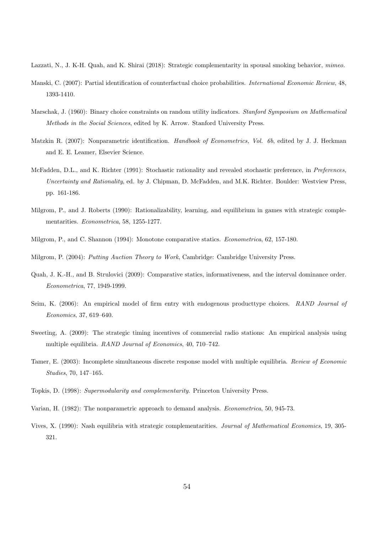- Lazzati, N., J. K-H. Quah, and K. Shirai (2018): Strategic complementarity in spousal smoking behavior, mimeo.
- Manski, C. (2007): Partial identification of counterfactual choice probabilities. International Economic Review, 48, 1393-1410.
- Marschak, J. (1960): Binary choice constraints on random utility indicators. Stanford Symposium on Mathematical Methods in the Social Sciences, edited by K. Arrow. Stanford University Press.
- Matzkin R. (2007): Nonparametric identification. Handbook of Econometrics, Vol. 6b, edited by J. J. Heckman and E. E. Leamer, Elsevier Science.
- McFadden, D.L., and K. Richter (1991): Stochastic rationality and revealed stochastic preference, in Preferences, Uncertainty and Rationality, ed. by J. Chipman, D. McFadden, and M.K. Richter. Boulder: Westview Press, pp. 161-186.
- Milgrom, P., and J. Roberts (1990): Rationalizability, learning, and equilibrium in games with strategic complementarities. Econometrica, 58, 1255-1277.
- Milgrom, P., and C. Shannon (1994): Monotone comparative statics. Econometrica, 62, 157-180.

Milgrom, P. (2004): Putting Auction Theory to Work, Cambridge: Cambridge University Press.

- Quah, J. K.-H., and B. Strulovici (2009): Comparative statics, informativeness, and the interval dominance order. Econometrica, 77, 1949-1999.
- Seim, K. (2006): An empirical model of firm entry with endogenous producttype choices. RAND Journal of Economics, 37, 619–640.
- Sweeting, A. (2009): The strategic timing incentives of commercial radio stations: An empirical analysis using multiple equilibria. RAND Journal of Economics, 40, 710–742.
- Tamer, E. (2003): Incomplete simultaneous discrete response model with multiple equilibria. Review of Economic Studies, 70, 147–165.
- Topkis, D. (1998): Supermodularity and complementarity. Princeton University Press.
- Varian, H. (1982): The nonparametric approach to demand analysis. Econometrica, 50, 945-73.
- Vives, X. (1990): Nash equilibria with strategic complementarities. Journal of Mathematical Economics, 19, 305- 321.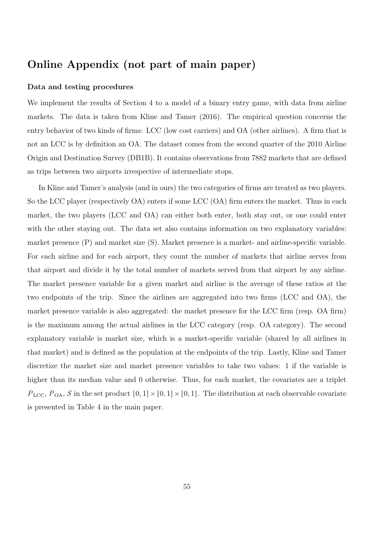# Online Appendix (not part of main paper)

#### Data and testing procedures

We implement the results of Section 4 to a model of a binary entry game, with data from airline markets. The data is taken from Kline and Tamer (2016). The empirical question concerns the entry behavior of two kinds of firms: LCC (low cost carriers) and OA (other airlines). A firm that is not an LCC is by definition an OA. The dataset comes from the second quarter of the 2010 Airline Origin and Destination Survey (DB1B). It contains observations from 7882 markets that are defined as trips between two airports irrespective of intermediate stops.

In Kline and Tamer's analysis (and in ours) the two categories of firms are treated as two players. So the LCC player (respectively OA) enters if some LCC (OA) firm enters the market. Thus in each market, the two players (LCC and OA) can either both enter, both stay out, or one could enter with the other staying out. The data set also contains information on two explanatory variables: market presence (P) and market size (S). Market presence is a market- and airline-specific variable. For each airline and for each airport, they count the number of markets that airline serves from that airport and divide it by the total number of markets served from that airport by any airline. The market presence variable for a given market and airline is the average of these ratios at the two endpoints of the trip. Since the airlines are aggregated into two firms (LCC and OA), the market presence variable is also aggregated: the market presence for the LCC firm (resp. OA firm) is the maximum among the actual airlines in the LCC category (resp. OA category). The second explanatory variable is market size, which is a market-specific variable (shared by all airlines in that market) and is defined as the population at the endpoints of the trip. Lastly, Kline and Tamer discretize the market size and market presence variables to take two values: 1 if the variable is higher than its median value and 0 otherwise. Thus, for each market, the covariates are a triplet  $P_{\text{LCC}}, P_{\text{OA}}, S$  in the set product  $\{0, 1\} \times \{0, 1\} \times \{0, 1\}$ . The distribution at each observable covariate is presented in Table 4 in the main paper.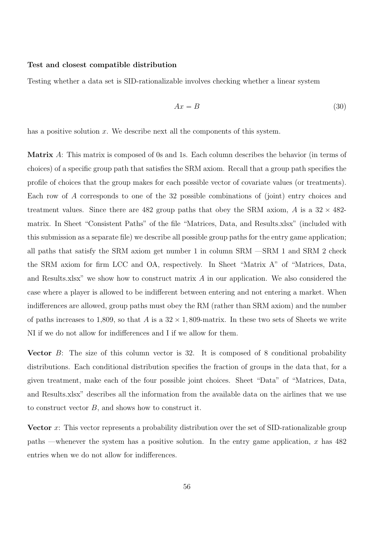#### Test and closest compatible distribution

Testing whether a data set is SID-rationalizable involves checking whether a linear system

$$
Ax = B \tag{30}
$$

has a positive solution  $x$ . We describe next all the components of this system.

Matrix A: This matrix is composed of 0s and 1s. Each column describes the behavior (in terms of choices) of a specific group path that satisfies the SRM axiom. Recall that a group path specifies the profile of choices that the group makes for each possible vector of covariate values (or treatments). Each row of A corresponds to one of the 32 possible combinations of (joint) entry choices and treatment values. Since there are 482 group paths that obey the SRM axiom,  $\hat{A}$  is a 32  $\times$  482matrix. In Sheet "Consistent Paths" of the file "Matrices, Data, and Results.xlsx" (included with this submission as a separate file) we describe all possible group paths for the entry game application; all paths that satisfy the SRM axiom get number 1 in column SRM —SRM 1 and SRM 2 check the SRM axiom for firm LCC and OA, respectively. In Sheet "Matrix A" of "Matrices, Data, and Results.xlsx" we show how to construct matrix A in our application. We also considered the case where a player is allowed to be indifferent between entering and not entering a market. When indifferences are allowed, group paths must obey the RM (rather than SRM axiom) and the number of paths increases to 1,809, so that A is a  $32 \times 1,809$ -matrix. In these two sets of Sheets we write NI if we do not allow for indifferences and I if we allow for them.

Vector B: The size of this column vector is 32. It is composed of 8 conditional probability distributions. Each conditional distribution specifies the fraction of groups in the data that, for a given treatment, make each of the four possible joint choices. Sheet "Data" of "Matrices, Data, and Results.xlsx" describes all the information from the available data on the airlines that we use to construct vector B, and shows how to construct it.

Vector  $x$ : This vector represents a probability distribution over the set of SID-rationalizable group paths —whenever the system has a positive solution. In the entry game application,  $x$  has 482 entries when we do not allow for indifferences.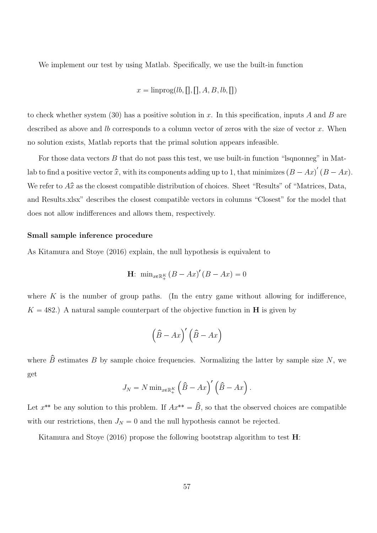We implement our test by using Matlab. Specifically, we use the built-in function

$$
x = \text{linprog}(lb,[], A, B, lb, [])
$$

to check whether system (30) has a positive solution in x. In this specification, inputs A and B are described as above and  $lb$  corresponds to a column vector of zeros with the size of vector  $x$ . When no solution exists, Matlab reports that the primal solution appears infeasible.

For those data vectors  $B$  that do not pass this test, we use built-in function "Isqnonneg" in Matlab to find a positive vector  $\hat{x}$ , with its components adding up to 1, that minimizes  $(B - Ax)^{'}(B - Ax)$ . We refer to  $A\hat{x}$  as the closest compatible distribution of choices. Sheet "Results" of "Matrices, Data, and Results.xlsx" describes the closest compatible vectors in columns "Closest" for the model that does not allow indifferences and allows them, respectively.

#### Small sample inference procedure

As Kitamura and Stoye (2016) explain, the null hypothesis is equivalent to

$$
\mathbf{H}: \ \min_{x \in \mathbb{R}_+^K} \left( B - Ax \right)' \left( B - Ax \right) = 0
$$

where  $K$  is the number of group paths. (In the entry game without allowing for indifference,  $K = 482$ .) A natural sample counterpart of the objective function in **H** is given by

$$
\left(\hat{B} - Ax\right)' \left(\hat{B} - Ax\right)
$$

where  $\hat{B}$  estimates B by sample choice frequencies. Normalizing the latter by sample size N, we get

$$
J_N = N \min_{x \in \mathbb{R}_+^K} \left( \hat{B} - Ax \right)' \left( \hat{B} - Ax \right).
$$

Let  $x^{**}$  be any solution to this problem. If  $Ax^{**} = B$ , so that the observed choices are compatible with our restrictions, then  $J_N = 0$  and the null hypothesis cannot be rejected.

Kitamura and Stoye (2016) propose the following bootstrap algorithm to test  $\mathbf{H}$ :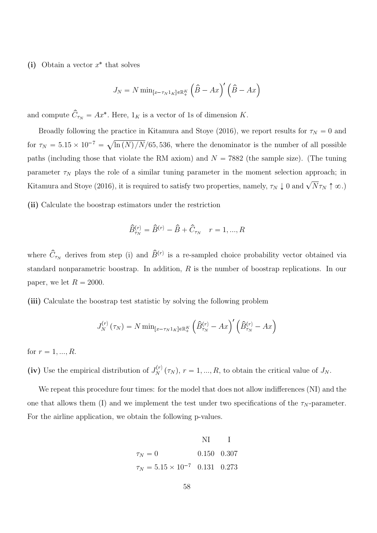(i) Obtain a vector  $x^*$  that solves

$$
J_N = N \min_{[x - \tau_N 1_K] \in \mathbb{R}_+^K} \left( \hat{B} - Ax \right)' \left( \hat{B} - Ax \right)
$$

and compute  $\hat{C}_{\tau_N} = Ax^*$ . Here,  $1_K$  is a vector of 1s of dimension K.

Broadly following the practice in Kitamura and Stoye (2016), we report results for  $\tau_N = 0$  and for  $\tau_N = 5.15 \times 10^{-7} = \sqrt{\ln(N)/N/65}$ , 536, where the denominator is the number of all possible paths (including those that violate the RM axiom) and  $N = 7882$  (the sample size). (The tuning parameter  $\tau_N$  plays the role of a similar tuning parameter in the moment selection approach; in Kitamura and Stoye (2016), it is required to satisfy two properties, namely,  $\tau_N \downarrow 0$  and  $\sqrt{N} \tau_N \uparrow \infty$ .

(ii) Calculate the boostrap estimators under the restriction

$$
\hat{B}^{(r)}_{\tau_N} = \hat{B}^{(r)} - \hat{B} + \hat{C}_{\tau_N} \quad r = 1, ..., R
$$

where  $\hat{C}_{\tau_N}$  derives from step (i) and  $\hat{B}^{(r)}$  is a re-sampled choice probability vector obtained via standard nonparametric boostrap. In addition, R is the number of boostrap replications. In our paper, we let  $R = 2000$ .

(iii) Calculate the boostrap test statistic by solving the following problem

$$
J_N^{(r)}(\tau_N) = N \min_{[x-\tau_N 1_K] \in \mathbb{R}_+^K} \left( \hat{B}_{\tau_N}^{(r)} - Ax \right)' \left( \hat{B}_{\tau_N}^{(r)} - Ax \right)
$$

for  $r = 1, ..., R$ .

(iv) Use the empirical distribution of  $J_N^{(r)}(\tau_N)$ ,  $r = 1, ..., R$ , to obtain the critical value of  $J_N$ .

We repeat this procedure four times: for the model that does not allow indifferences (NI) and the one that allows them (I) and we implement the test under two specifications of the  $\tau_N$ -parameter. For the airline application, we obtain the following p-values.

NI I  
\n
$$
\tau_N = 0
$$
 0.150 0.307  
\n $\tau_N = 5.15 \times 10^{-7}$  0.131 0.273